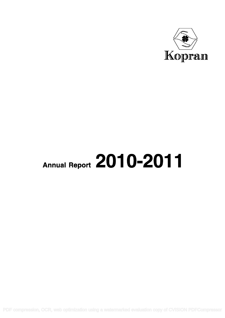

# Annual Report 2010-2011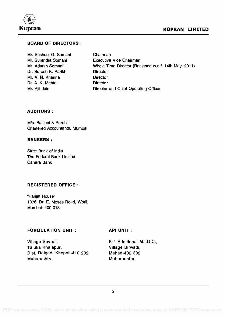

### BOARD OF DIRECTORS :

| Mr. Susheel G. Somani | Chairman                                             |
|-----------------------|------------------------------------------------------|
| Mr. Surendra Somani   | <b>Executive Vice Chairman</b>                       |
| Mr. Adarsh Somani     | Whole Time Director (Resigned w.e.f. 14th May, 2011) |
| Dr. Suresh K. Parikh  | <b>Director</b>                                      |
| Mr. V. N. Khanna      | <b>Director</b>                                      |
| Dr. A. K. Mehta       | <b>Director</b>                                      |
| Mr. Ajit Jain         | Director and Chief Operating Officer                 |

### AUDITORS :

M/s. Batliboi & Purohit Chartered Accountants, Mumbai

### BANKERS :

State Bank of India The Federal Bank Limited Canara Bank

### REGISTERED OFFICE :

"Parijat House" 1076, Dr. E. Moses Road, Worli, Mumbai- 400 018.

### FORMULATION UNIT :

API UNIT :

Village Savroli, Taluka Khalapur, Dist. Raigad, Khopoli-410 202 Maharashtra.

K-4 Additional M.I.D.C., Village Birwadi, Mahad-402 302 Maharashtra.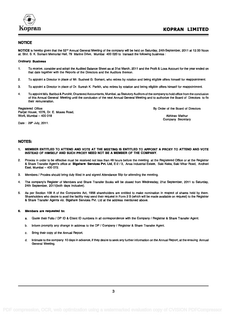

#### **NOTICE**

NOTICE is hereby given that the 52<sup>nd</sup> Annual General Meeting of the company will be held on Saturday, 24th September, 2011 at 12.00 Noon at. Shri. S. K. Somani Memorial Hall, 79 Marine Drive, Mumbai 400 020 to transact the following business :

#### Ordinary Business

- 1. To receive, consider and adopt the Audited Balance Sheet as at 31st March, 2011 and the Profit & Loss Account for the year ended on that date together with the Reports of the Directors and the Auditors thereon.
- 2. To appoint a Director in place of Mr. Susheel G. Somani, who retires by rotation and being eligible offers himself for reappointment.
- 3. To appoint a Director in place of Dr. Suresh K. Parikh, who retires by rotation and being eligible offers himself for reappointment.
- 4. To appoint M/s. Batliboi & Purohit, Chartered Accountants, Mumbai, as Statutory Auditors of the company to hold office from the conclusion of this Annual General Meeting until the conclusion of the next Annual General Meeting and to authorize the Board of Directors to fix their remuneration.

Registered Office: Parijat House, 1076, Dr. E. Moses Road, Worli, Mumbai - 400 018

By Order of the Board of Directors

Abhinav Mathur Company Secretary

Date: 29th July, 2011.

#### NOTES:

- 1. MEMBER ENTITLED TO ATTEND AND VOTE AT THE MEETING IS ENTITLED TO APPOINT A PROXY TO ATTEND AND VOTE INSTEAD OF HIMSELF AND SUCH PROXY NEED NOT BE A MEMBER OF THE COMPANY.
- 2. Proxies in order to be effective must be received not less than 48 hours before the meeting at the Registered Office or at the Registrar & Share Transfer Agent's office at Bigshare Services Pvt. Ltd, E-2 / 3, Ansa Industrial Estate, Saki Naka, Saki Vihar Road, Andheri East, Mumbai  $-400$  072.
- 3. Members / Proxies should bring duly filled in and signed Attendance Slip for attending the meeting.
- 4. The company's Register of Members and Share Transfer Books will be closed from Wednesday, 21st September, 2011 to Saturday, 24th September, 2011(both days inclusive).
- 5. As per Section 109 A of the Companies Act, 1956 shareholders are entitled to make nomination in respect of shares held by them. Shareholders who desire to avail the facility may send their request in Form 2 B (which will be made available on request) to the Registrar & Share Transfer Agents viz. Bigshare Services Pvt. Ltd at the address mentioned above.

#### 6. Members are requested to:

- a. Quote their Folio / DP ID & Client ID numbers in all correspondence with the Company / Registrar & Share Transfer Agent.
- b. Inform promptly any change in address to the DP / Company / Registrar & Share Transfer Agent.
- c. Bring their copy of the Annual Report.
- d. Intimate to the company 10 days in advance, if they desire to seek any further information on the Annual Report, at the ensuing Annual General Meeting.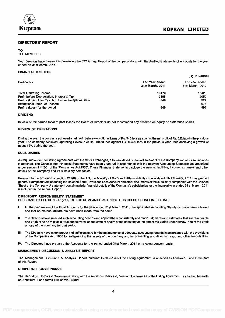

#### DIRECTORS' REPORT

#### TO THE MEMBERS

Your Directors have pleasure in presenting the 52<sup>nd</sup> Annual Report of the company along with the Audited Statements of Accounts for the year ended on 31st March, 2011.

#### FINANCIAL RESULTS

|                                                       |                  | ( き in Lakhs)    |
|-------------------------------------------------------|------------------|------------------|
| <b>Particulars</b>                                    | For Year ended   | For Year ended   |
|                                                       | 31st March, 2011 | 31st March, 2010 |
| <b>Total Operating Income</b>                         | 19473            | 16429            |
| Profit before Depreciation, Interest & Tax            | 2385             | 2052             |
| Profit / (Loss) After Tax but before exceptional item | 540              | 322              |
| <b>Exceptional Items of Income</b>                    |                  | 675              |
| Profit / (Loss) for the period                        | 540              | 997              |
|                                                       |                  |                  |

#### DIVIDEND

In view of the carried forward past losses the Board of Directors do not recommend any dividend on equity or preference shares.

#### REVIEW OF OPERATIONS

During the year, the company achieved a net profit before exceptional items of Rs. 540 lacs as against the net profit of Rs. 322 lacsin the previous year. The company achieved Operating Revenue of Rs. 19473 lacs against Rs. 16429 lacs in the previous year, thus achieving a growth of about 19% during the year.

#### SUBSIDIARIES

As required under the Listing Agreements with the Stock Exchanges, a Consolidated Financial Statement of the Company and all its subsidiaries is attached. The Consolidated Financial Statements have been prepared in accordance with the relevant Accounting Standards as prescribed under section 211(3C) of the 'Companies Act,1956'. These Financial Statements disclose the assets, liabilities, income, expenses and other details of the Company and its subsidiary companies.

Pursuant to the provision of section 212(8) of the Act, the Ministry of Corporate Affairs vide its circular dated 8th February, 2011 has granted general exemption from attaching the Balance Sheet, Profit and Loss Account and other documents of the subsidiary companies with the Balance Sheet of the Company. A statement containing brief financial details of the Company's subsidiaries for the financial year ended 31 st March, 2011 is included in the Annual Report.

#### DIRECTORS' RESPONSIBILITY STATEMENT

PURSUANT TO SECTION 217 (2AA) OF THE COMPANIES ACT, 1956 IT IS HEREBY CONFIRMED THAT :

- I. In the preparation of the Final Accounts for the year ended 31st March, 2011, the applicable Accounting Standards have been followed and that no material departures have been made from the same.
- II. The Directors have selected such accounting policies and applied them consistently and made judgments and estimates that are reasonable and prudent so as to give a true and fair view of the state of affairs of the company at the end of the period under review and of the profit or loss of the company for that period.
- III. The Directors have taken proper and sufficient care for the maintenance of adequate accounting records in accordance with the provisions of the Companies Act, 1956 for safeguarding the assets of the company and for preventing and detecting fraud and other irregularities.
- IV. The Directors have prepared the Accounts for the period ended 31st March, 2011 on a going concern basis.

#### MANAGEMENT DISCUSSION & ANALYSIS REPORT

The Management Discussion & Analysis Report pursuant to clause 49 of the Listing Agreement is attached as Annexure I and forms part of this Report.

#### CORPORATE GOVERNANCE

The Report on Corporate Governance along with the Auditor's Certificate, pursuant to clause 49 of the Listing Agreement is attached herewith as Annexure II and forms part of this Report.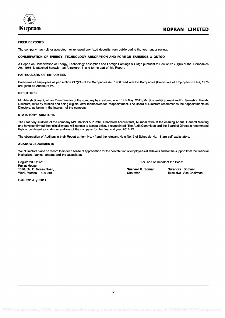

#### FIXED DEPOSITS

The company has neither accepted nor renewed any fixed deposits from public during the year under review.

#### CONSERVATION OF ENERGY, TECHNOLOGY ABSORPTION AND FOREIGN EARNINGS & OUTGO

A Report on Conservation of Energy, Technology Absorption and Foreign Earnings & Outgo pursuant to Section 217(1)(e) of the Companies Act, 1956 is attached herewith as Annexure III and forms part of this Report.

#### PARTICULARS OF EMPLOYEES

Particulars of employees as per section 217(2A) of the Companies Act, 1956 read with the Companies (Particulars of Employees) Rules, 1975 are given as Annexure IV.

#### DIRECTORS

Mr. Adarsh Somani, Whole Time Director of the company has resigned w.e.f. 14th May, 2011, Mr. Susheel G.Somani and Dr. Suresh K. Parikh, Directors, retire by rotation and being eligible, offer themselves for reappointment. The Board of Directors recommends their appointments as Directors, as being in the interest of the company.

#### STATUTORY AUDITORS

The Statutory Auditors of the company M/s. Batliboi & Purohit, Chartered Accountants, Mumbai retire at the ensuing Annual General Meeting and have confirmed their eligibility and willingness to accept office, if reappointed. The Audit Committee and the Board of Directors recommend their appointment as statutory auditors of the company for the financial year 2011-12.

The observation of Auditors in their Report at Item No. 4f and the relevant Note No. 9 of Schedule No. 18 are self explanatory.

#### ACKNOWLEDGEMENTS

Your Directors place on record their deep sense of appreciation for the contribution of employees at all levels and for the support from the financial institutions, banks, lenders and the associates.

Parijat House, 1076, Dr. E. Moses Road, November 2011 108 and Susheel G. Somani Surendra Somani Surendra Somani Surendra Somani<br>Surendra Somani Surendra Somani Surendra Somani Surendra Somani Surendra Somani Surendra Somani New Yice-Chai Worli, Mumbai  $-400$  018

Registered Office: **For and on behalf of the Board For and on behalf of the Board** 

Date: 29<sup>th</sup> July, 2011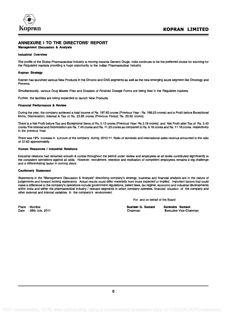

### ANNEXURE I TO THE DIRECTORS' REPORT

#### Management Discussion & Analysis

#### Industrial Overview

The profile of the Global Pharmaceutical Industry is moving towards Generic Drugs. India continues to be the preferred choice for sourcing for the Regulated markets providing a huge opportunity to the Indian Pharmaceutical Industry.

#### Kopran Strategy

Kopran has launched various New Products in the Chronic and CNS segments as well as the new emerging acute segment like Oncology and Penems.

Simultaneously, various Drug Master Files and Dossiers of Finished Dosage Forms are being filed in the Regulated markets.

Further, the facilities are being expanded to launch New Products.

#### Financial Performance & Review

During the year, the company achieved a total income of Rs. 197.63 crores (Previous Year : Rs. 166.23 crores) and a Profit before Exceptional Items, Depreciation, Interest & Tax of Rs. 23.85 crores (Previous Period: Rs. 20.52 crores).

There is a Net Profit before Tax and Exceptional Items of Rs. 5.13 crores (Previous Year: Rs.3.19 crores) and Net Profit after Tax of Rs. 5.40 crores.The Interest and Depreciation are Rs. 7.40 crores and Rs. 11.23 crores as compared to Rs. 6.18 crores and Rs. 11.16 crores respectively in the previous Year.

There was 19% increase in turnover of the company during 2010-11. Ratio of domestic and international sales revenue amounted to the ratio of 37:63 approximately.

#### Human Resources / Industrial Relations

Industrial relations had remained smooth & cordial throughout the period under review and employees at all levels contributed significantly to the consistent operations against all odds. However, recruitment, retention and motivation of competent employees remains a big challenge and a differentiating factor in coming years.

#### Cautionary Statement

Statements in the "Management Discussion & Analysis" describing company's strategy, business and financial analysis are in the nature of judgements and forward looking statements. Actual results could differ materially from those expected or implied. Important factors that could make a difference to the company's operations include government regulations, patent laws, tax regime, economic and industrial developments within India and within the pharmaceutical industry / relevant segments in which company operates, financial situation of the company and other external and internal variables in the company's environment.

For and on behalf of the Board

Susheel G. Somani Surendra Somani<br>Chairman Executive Vice-Chairman

Place : Mumbai Date : 29th July, 2011 Chairman Executive Vice-Chairman Executive Vice-Chairman Executive Vice-Chairman Chairman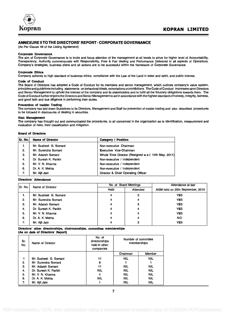

#### ANNEXURE II TO THE DIRECTORS' REPORT - CORPORATE GOVERNANCE

(As Per Clause 49 of the Listing Agreement)

#### Corporate Governance

The aim of Corporate Governance is to invite and focus attention of the management at all levels to strive for higher level of Accountability, Transparency, Authority commensurate with Responsibility, Free & Fair dealing and Performance Delivered in all aspects of Operations. Company's strategies, business plans and all actions are to be successful within the framework of Corporate Governance.

#### Corporate Ethics

Company adheres to high standard of business ethics, compliance with the Law of the Land in letter and spirit, and public interest.

#### Code of Conduct

The Board of Directors has adopted a Code of Conduct for its members and senior management, which outlines company's value system, principles and guidelines including statements on behavioral ideals, exhortations or prohibitions. The Code of Conduct impresses upon Directors and Senior Management to uphold the interest of the company and its stakeholders and to fulfill all the fiduciary obligations towards them. The Code of Conduct further enjoins the Directors and Senior Management to act in accordance with the highest standard of honesty, integrity, fairness, and good faith and due diligence in performing their duties.

#### Prevention of Insider Trading

The company has laid down Guidelines to its Directors, Management and Staff for prevention of insider trading and also described procedures to be followed in disclosures of dealing in securities.

#### Risk Management

The company has thought out and communicated the procedures, to all concerned in the organization as to identification, measurement and evaluation of risks, their classification and mitigation.

#### Board of Directors

| Sr. No. | <b>Name of Director</b> | <b>Category / Position</b>                           |
|---------|-------------------------|------------------------------------------------------|
| 1.      | Mr. Susheel G. Somani   | Non-executive Chairman                               |
| 2.      | Mr. Surendra Somani     | <b>Executive Vice-Chairman</b>                       |
| 3.      | Mr. Adarsh Somani       | Whole Time Director (Resigned w.e.f. 14th May, 2011) |
| 4.      | Dr. Suresh K. Parikh    | Non-executive / Independent                          |
| 5.      | Mr. V. N. Khanna        | Non-executive / Independent                          |
| 6.      | Dr. A. K. Mehta         | Non-executive / Independent                          |
| 7.      | Mr. Ajit Jain           | Director & Chief Operating Officer                   |

#### Directors' Attendance

|  | Sr. No. | Name of Director      |      | No. of Board Meetings | Attendance at last               |
|--|---------|-----------------------|------|-----------------------|----------------------------------|
|  |         |                       | Held | Attended              | AGM held on 25th September, 2010 |
|  | 1.      | Mr. Susheel G. Somani | 4    | 3                     | <b>YES</b>                       |
|  | 2.      | Mr. Surendra Somani   | 4    | 4                     | <b>YES</b>                       |
|  | 3.      | Mr. Adarsh Somani     | 4    | 3                     | <b>YES</b>                       |
|  | -4.     | Dr. Suresh K. Parikh  | 4    | 4                     | <b>YES</b>                       |
|  | 5.      | Mr. V. N. Khanna      | 4    | 4                     | <b>YES</b>                       |
|  | 6.      | Dr. A. K. Mehta       | 4    | 4                     | NO.                              |
|  | 7.      | Mr. Ajit Jain         | 4    | 3                     | <b>YES</b>                       |
|  |         |                       |      |                       |                                  |

#### Directors' other directorships, chairmanships, committee memberships (As on date of Directors' Report)

| Sr.<br>No. | Name of Director      | No. of<br>directorships<br>held in other<br>companies | Number of committee<br>memberships |            |
|------------|-----------------------|-------------------------------------------------------|------------------------------------|------------|
|            |                       |                                                       | Chairman                           | Member     |
| 1          | Mr. Susheel G. Somani | 11                                                    | <b>NIL</b>                         | <b>NIL</b> |
| 2.         | Mr. Surendra Somani   | 9                                                     |                                    |            |
| 3.         | Mr. Adarsh Somani     | 11                                                    | <b>NIL</b>                         | <b>NIL</b> |
| 4.         | Dr. Suresh K. Parikh  | <b>NIL</b>                                            | <b>NIL</b>                         | <b>NIL</b> |
| 5.         | Mr. V. N. Khanna      | 4                                                     | <b>NIL</b>                         | <b>NIL</b> |
| 6.         | Dr. A. K. Mehta       | <b>NIL</b>                                            | <b>NIL</b>                         | <b>NIL</b> |
| 7.         | Mr. Ailt Jain         |                                                       | <b>NIL</b>                         | <b>NIL</b> |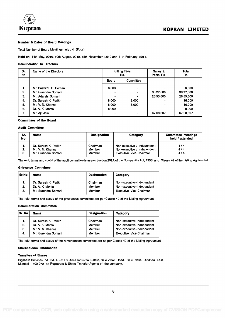

#### Number & Dates of Board Meetings

Total Number of Board Meetings held : 4 (Four)

Held on: 14th May, 2010, 10th August, 2010, 15th November, 2010 and 11th February, 2011.

#### Remuneration to Directors

| Sr.<br>No. | Name of the Directors | <b>Sitting Fees</b><br>Rs. |                | Salary &<br>Perks Rs. | Total<br>Rs. |
|------------|-----------------------|----------------------------|----------------|-----------------------|--------------|
|            |                       | Board                      | Committee      |                       |              |
| 1.         | Mr. Susheel G. Somani | 6,000                      | $\blacksquare$ |                       | 6,000        |
| 2.         | Mr. Surendra Somani   | -                          | $\blacksquare$ | 30,27,600             | 39,27,600    |
| 3.         | Mr. Adarsh Somani     | ۰                          | $\blacksquare$ | 26,55,600             | 26,55,600    |
| 4.         | Dr. Suresh K. Parikh  | 8.000                      | 8,000          |                       | 16,000       |
| 5.         | Mr. V. N. Khanna      | 8,000                      | 8,000          |                       | 16,000       |
| 6.         | Dr. A. K. Mehta       | 8.000                      | $\blacksquare$ |                       | 8,000        |
| 7.         | Mr. Ajit Jain         | $\overline{\phantom{a}}$   | $\blacksquare$ | 67,08,607             | 67,08,607    |

#### Committees of the Board

#### Audit Committee

| Sr.<br>No. | Name                                                            | <b>Designation</b>           | Category                                                                                     | <b>Committee meetings</b><br>held / attended |
|------------|-----------------------------------------------------------------|------------------------------|----------------------------------------------------------------------------------------------|----------------------------------------------|
| 2.<br>3.   | Dr. Suresh K. Parikh<br>Mr. V. N. Khanna<br>Mr. Surendra Somani | Chairman<br>Member<br>Member | Non-executive / Independent<br>Non-executive / Independent<br><b>Executive Vice-Chairman</b> | 4/4<br>4/4<br>4/4                            |

The role, terms and scope of the audit committee is as per Section 292A of the Companies Act, 1956 and Clause 49 of the Listing Agreement.

#### Grievance Committee

| Sr.No. | <b>Name</b>          | <b>Designation</b> | Category                       |
|--------|----------------------|--------------------|--------------------------------|
|        | Dr. Suresh K. Parikh | Chairman           | Non-executive-Independent      |
| 2.     | Dr. A. K. Mehta      | Member             | Non-executive-Independent      |
| 3.     | Mr. Surendra Somani  | Member             | <b>Executive Vice-Chairman</b> |

The role, terms and scope of the grievances committee are per Clause 49 of the Listing Agreement.

#### Remuneration Committee

| <b>Sr. No.</b> | <b>Name</b>          | <b>Designation</b> | Category                       |
|----------------|----------------------|--------------------|--------------------------------|
| 1.             | Dr. Suresh K. Parikh | Chairman           | Non-executive-Independent      |
| 2.             | Dr. A. K. Mehta      | Member             | Non-executive-Independent      |
| З.             | Mr. V. N. Khanna     | Member             | Non-executive-Independent      |
| 4.             | Mr. Surendra Somani  | Member             | <b>Executive Vice-Chairman</b> |

The role, terms and scope of the remuneration committee are as per Clause 49 of the Listing Agreement.

#### Shareholders' Information

#### Transfers of Shares

Bigshare Services Pvt. Ltd, E - 2 / 3, Ansa Industrial Estate, Saki Vihar Road, Saki Naka, Andheri East, Mumbai - 400 072 as Registrars & Share Transfer Agents of the company.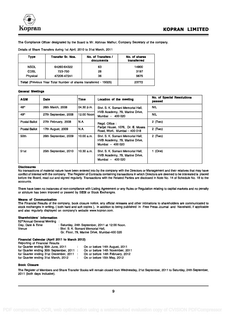

The Compliance Officer designated by the Board is Mr. Abhinav Mathur, Company Secretary of the company.

| <b>Type</b>                                                                      | <b>Transfer Sr. Nos.</b> | No. of Transfers /<br>documents | No. of shares<br>transferred |  |
|----------------------------------------------------------------------------------|--------------------------|---------------------------------|------------------------------|--|
| <b>NSDL</b>                                                                      | 64260-64322              | 63                              | 14900                        |  |
| <b>CDSL</b>                                                                      | 723-750                  | 28                              | 3197                         |  |
| Physical                                                                         | 47206-47241              | 36                              | 5675                         |  |
| <b>Total (Previous Year Total Number of shares transferred - 15025)</b><br>23772 |                          |                                 |                              |  |

Details of Share Transfers during 1st April, 2010 to 31st March, 2011

#### General Meetings

| <b>AGM</b>           | <b>Date</b>          | <b>Time</b> | Location of the meeting                                                                 | <b>No. of Special Resolutions</b><br>passed |
|----------------------|----------------------|-------------|-----------------------------------------------------------------------------------------|---------------------------------------------|
| 48th                 | 26th March, 2008     | 04.30 p.m.  | Shri, S. K. Somani Memorial Hall.                                                       | <b>NIL</b>                                  |
| 49th                 | 27th September, 2008 | 12.00 Noonl | HVB Academy, 79, Marine Drive,<br>Mumbai - 400 020                                      | <b>NIL</b>                                  |
| Postal Ballot        | 27th February, 2008  | IN.A.       | Regd. Office:                                                                           | $2$ (Two)                                   |
| <b>Postal Ballot</b> | 17th August, 2009    | N.A.        | Parijat House, 1076, Dr. E. Moses<br>Road, Worli, Mumbai - 400 018                      | $2$ (Two)                                   |
| 50th                 | 26th September, 2009 | 10.00 a.m.  | Shri, S. K. Somani Memorial Hall.<br>HVB Academy, 79, Marine Drive,<br>Mumbai - 400 020 | $2$ (Two)                                   |
| 51st                 | 25th September, 2010 | 10.30 a.m.  | Shri, S. K. Somani Memorial Hall.<br>HVB Academy, 79, Marine Drive,<br>Mumbai - 400 020 | 1 (One)                                     |

#### Disclosures

No transactions of material nature have been entered into by the company with the Directors or Management and their relatives that may have conflict of interest with the company. The Register of Contracts containing transactions in which Directors are deemed to be interested is placed before the Board, read out and signed regularly. Transactions with the Related Parties are disclosed in Note No. 14 of Schedule No. 18 to the accounts.

There have been no instances of non-compliance with Listing Agreement or any Rules or Regulation relating to capital markets and no penalty or stricture has been imposed or passed by SEBI or Stock Exchanges.

#### Means of Communication

The Financial Results of the company, book closure notice, any official releases and other intimations to shareholders are communicated to stock exchanges in writing, ( both hard and soft copies ), in addition to being published in Free Press Journal and Nayshakti, if applicable and also regularly displayed on company's website www.kopran.com.

#### Shareholders' Information

52<sup>nd</sup>Annual General Meeting :<br>Day, Date & Time : : Saturday, 24th September, 2011 at 12:00 Noon. Venue : Shri. S. K. Somani Memorial Hall, Gr. Floor, 79, Marine Drive, Mumbai-400 020

#### Financial Calendar (April 2011 to March 2012) Reporting of Financial Results

| $1.99$ and $1.01$ and $1.01$ and $1.90$ and $1.00$ |                                  |
|----------------------------------------------------|----------------------------------|
| for Quarter ending 30th June, 2011                 | On or before 14th August, 2011   |
| for Quarter ending 30th September, 2011 :          | On or before 14th November, 2011 |
| for Quarter ending 31st December, 2011 :           | On or before 14th February, 2012 |
| for Quarter ending 31st March, 2012                | On or before 15th May, 2012      |

#### Book Closure

The Register of Members and Share Transfer Books will remain closed from Wednesday, 21st September, 2011 to Saturday, 24th September, 2011 (both days inclusive).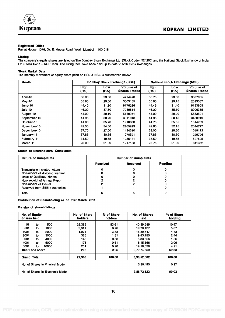

#### Registered Office

Parijat House, 1076, Dr. E. Moses Road, Worli, Mumbai - 400 018.

#### Listing

The company's equity shares are listed on The Bombay Stock Exchange Ltd (Stock Code - 524280) and the National Stock Exchange of India Ltd (Stock Code – KOPRAN). The listing fees have been paid up to date to both stock exchanges.

#### Stock Market Data

The monthly movement of equity share price on BSE & NSE is summarized below:

| <b>Volume of</b><br><b>Shares Traded</b><br>3387665 |
|-----------------------------------------------------|
|                                                     |
|                                                     |
| 2513337                                             |
| 9153608                                             |
| 8906385                                             |
| 5553891                                             |
| 3438919                                             |
| 1814769                                             |
| 2344777                                             |
| 1049122                                             |
| 1229726                                             |
| 627695                                              |
| 841352                                              |
|                                                     |

#### Status of Shareholders' Complaints

| <b>Nature of Complaints</b>         |                 | <b>Number of Complaints</b> |         |  |  |
|-------------------------------------|-----------------|-----------------------------|---------|--|--|
|                                     | <b>Received</b> | <b>Resolved</b>             | Pending |  |  |
| <b>Transmission related letters</b> |                 |                             |         |  |  |
| Non-receipt of dividend warrant     |                 |                             |         |  |  |
| <b>Issue of Duplicate shares</b>    |                 |                             |         |  |  |
| Non-receipt of Annual Report        |                 |                             |         |  |  |
| Non-receipt of Demat                |                 |                             |         |  |  |
| Received from SEBI / Authorities    |                 |                             |         |  |  |
| Total                               |                 |                             |         |  |  |

Distribution of Shareholding as on 31st March, 2011

#### By size of shareholdings

| No. of Equity<br><b>Shares held</b> | No. of Share<br>holders | % of Share<br>holders | <b>No. of Shares</b><br>held | % of Share<br>holding |
|-------------------------------------|-------------------------|-----------------------|------------------------------|-----------------------|
| 500<br>01<br>to                     | 23,385                  | 83.61                 | 40,89,249                    | 10.47                 |
| 501<br>1000<br>to                   | 2,311                   | 8.26                  | 19,78,437                    | 5.07                  |
| 1001<br>2000<br>to                  | 1,071                   | 3.83                  | 16,89,547                    | 4.33                  |
| 2001<br>3000<br>to                  | 365                     | 1.31                  | 9,53,150                     | 2.44                  |
| 3001<br>4000<br>to                  | 148                     | 0.53                  | 5,33,556                     | 1.36                  |
| 4001<br>5000<br>to                  | 171                     | 0.61                  | 8,15,366                     | 2.09                  |
| 5001<br>10000<br>to                 | 251                     | 0.90                  | 19,18,638                    | 4.91                  |
| 10001 and above                     | 266                     | 0.95                  | 2,70,74,659                  | 69.33                 |
| <b>Grand Total</b>                  | 27,968                  | 100.00                | 3,90,52,602                  | 100.00                |
| No. of Shares in Physical Mode      |                         |                       | 3.80,480                     | 0.97                  |
| No. of Shares in Electronic Mode.   |                         |                       | 3,86,72,122                  | 99.03                 |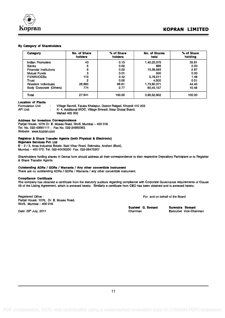

#### By Category of Shareholders

| Category                      | No. of Share<br>holders | % of Share<br>holders | No. of Shares<br>held | % of Share<br>holding |
|-------------------------------|-------------------------|-----------------------|-----------------------|-----------------------|
| Indian Promoters              | 43                      | 0.15                  | 1,40,23,075           | 35.91                 |
| <b>Banks</b>                  | 5                       | 0.02                  | 895                   | 0.00                  |
| <b>Financial Institutions</b> | 6                       | 0.02                  | 10,39,593             | 2.67                  |
| Mutual Funds                  | з                       | 0.01                  | 500                   | 0.00                  |
| <b>FII/NRI/OCBs</b>           | 115                     | 0.42                  | 5,78,511              | 1.48                  |
| Trust                         | 2                       | 0.00                  | 4.500                 | 0.01                  |
| Resident Individuals          | 26.993                  | 96.61                 | 1,73,60,371           | 44.45                 |
| Body Corporate (Others)       | 774                     | 2.77                  | 60,45,157             | 15.48                 |
| Total                         | 27,941                  | 100.00                | 3,90,52,602           | 100.00                |

#### Location of Plants

Formulation Unit : Village Savroli, Taluka Khalapur, District Raigad, Khopoli 410 202<br>API Unit : K-4, Additional MIDC, Village Birwadi, Near Global Board, K- 4, Additional MIDC, Village Birwadi, Near Global Board, Mahad 402 302

#### Address for Investors Correspondence

Parijat House, 1076 Dr. E. Moses Road, Worli, Mumbai - 400 018. Tel. No. 022-43661111 ; Fax No. 022-24950363. Website: www.kopran.com

#### Registrar & Share Transfer Agents (both Physical & Electronic)

Bigshare Services Pvt. Ltd

E - 2 / 3, Ansa Industrial Estate, Saki Vihar Road, Sakinaka, Andheri (East), Mumbai - 400 072, Tel. 022-40430200 Fax. 022-28475207

Shareholders holding shares in Demat form should address all their correspondence to their respective Depository Participant or to Registrar & Share Transfer Agents.

#### Outstanding ADRs / GDRs / Warrants / Any other convertible instrument

There are no outstanding ADRs / GDRs / Warrants / any other convertible instrument.

#### Compliance Certificate

The company has obtained a certificate from the statutory auditors regarding compliance with Corporate Governance requirements of Clause 49 of the Listing Agreement, which is annexed hereto. Similarly a certificate from CEO has been obtained and is annexed hereto.

Registered Office : Parijat House, 1076, Dr. E. Moses Road, Worli, Mumbai - 400 018.

For and on behalf of the Board

Susheel G. Somani Surendra Somani<br>Chairman Executive Vice-Cha

Date: 29<sup>th</sup> July, 2011 **Chairman** Executive Vice-Chairman **Executive Vice-Chairman** Executive Vice-Chairman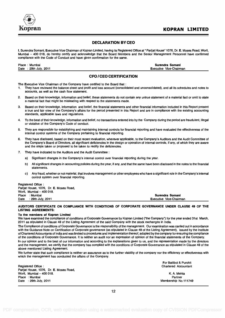

#### DECLARATION BY CEO

I, Surendra Somani, Executive Vice Chairman of Kopran Limited, having its Registered Office at " Parijat House" 1076, Dr. E. Moses Road, Worli, Mumbai - 400 018, do hereby certify and acknowledge that the Board Members and the Senior Management Personnel have confirmed compliance with the Code of Conduct and have given confirmation for the same.

Place : Mumbai **Surendra Somani** Surendra Somani **Surendra Somani** Surendra Somani **Surendra Somani** Surendra Somani Date : 29th July, 2011 Executive Vice-Chairman

#### CFO /CEO CERTIFICATION

The Executive Vice Chairman of the Company have certified to the Board that :

- 1. They have reviewed the balance sheet and profit and loss account (consolidated and unconsolidated), and all its schedules and notes to accounts, as well as the cash flow statement.
- 2. Based on their knowledge, information and belief, these statements do not contain any untrue statement of a material fact or omit to state a material fact that might be misleading with respect to the statements made.
- 3. Based on their knowledge, information and belief, the financial statements and other financial information included in this Report present a true and fair view of the Company's affairs for the period presented in this Report and are in compliance with the existing accounting standards, applicable laws and regulations.
- 4. To the best of their knowledge, information and belief, no transactions entered into by the Company during the period are fraudulent, illegal or violative of the Company's Code of conduct.
- 5. They are responsible for establishing and maintaining internal controls for financial reporting and have evaluated the effectiveness of the internal control systems of the Company pertaining to financial reporting.
- 6. They have disclosed, based on their most recent evaluation, wherever applicable, to the Company's Auditors and the Audit Committee of the Company's Board of Directors, all significant deficiencies in the design or operation of internal controls, if any, of which they are aware and the steps taken or proposed to be taken to rectify the deficiencies.
- 7. They have indicated to the Auditors and the Audit Committee :
	- a) Significant changes in the Company's internal control over financial reporting during the year.
	- b) All significant changes in accounting policies during the year, if any, and that the same have been disclosed in the notes to the financial statements.
	- c) Any fraud, whether or not material, that involves management or other employees who have a significant role in the Company's internal control system over financial reporting.

|      | Registered Office:                      |                                |
|------|-----------------------------------------|--------------------------------|
|      | Parijat House, 1076, Dr. E. Moses Road, |                                |
|      | Worli. Mumbai - 400 018.                |                                |
|      | Place : Mumbai                          | Surendra Somani                |
| Date | : 29th July, 2011                       | <b>Executive Vice-Chairman</b> |

#### AUDITORS CERTIFICATE ON COMPLIANCE WITH CONDITIONS OF CORPORATE GOVERNANCE UNDER CLAUSE 49 OF THE LISTING AGREEMENTS:

#### To the members of Kopran Limited

We have examined the compliance of conditions of Corporate Governance by Kopran Limited ("the Company") for the year ended 31st March, 2011 as stipulated in Clause 49 of the Listing Agreement of the said Company with the stock exchanges in India.

The Compliance of conditions of Corporate Governance is the responsibility of the management. Our examination was carried out in accordance with the Guidance Note on Certification of Corporate governance (as stipulated in Clause 49 of the Listing Agreement), issued by the Institute of Chartered Accountants of India and was limited to procedures and implementation thereof, adopted by the company for ensuring the compliance of the conditions of Corporate Governance. It is neither an audit nor an expression of opinion of the financial statements of the Company.

In our opinion and to the best of our information and according to the explanations given to us, and the representation made by the directors and the management, we certify that the company has complied with the conditions of Corporate Governance as stipulated in Clause 49 of the above mentioned Listing Agreement.

We further state that such compliance is neither an assurance as to the further viability of the company nor the efficiency or effectiveness with which the management has conducted the affairs of the Company.

Registered Office : Chartered Accountant Parijat House, 1076, Dr. E. Moses Road, Worli, Mumbai - 400 018. K. A. Mehta Place : Mumbai Partner Date : 29th July, 2011 **Membership No.111749** Controllering the Membership No.111749

For Batliboi & Purohit

12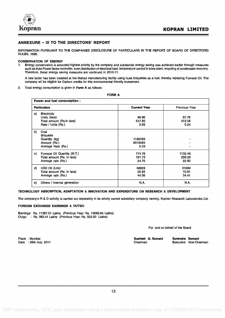

#### ANNEXURE - III TO THE DIRECTORS' REPORT

INFORMATION PURSUANT TO THE COMPANIES (DISCLOSURE OF PARTICULARS IN THE REPORT OF BOARD OF DIRECTORS) RULES, 1988.

#### CONSERVATION OF ENERGY

1. Energy conservation is accorded highest priority by the company and substantial energy saving was achieved earlier through measures such as Auto Power factor controller, even distribution of electrical load, temperature control in brine plant, recycling of condensate recovery. Therefore, these energy saving measures are continued in 2010-11.

A new boiler has been installed at the Mahad manufacturing facility using husk briquettes as a fuel, thereby replacing Furnace Oil. The company wIl be eligible for Carbon credits for this environmental friendly investment.

2. Total energy consumption is given in Form A as follows:

FORM A

|    | Power and fuel consumption :                                                          |                            |                            |  |  |
|----|---------------------------------------------------------------------------------------|----------------------------|----------------------------|--|--|
|    | <b>Particulars</b>                                                                    | <b>Current Year</b>        | <b>Previous Year</b>       |  |  |
| a) | <b>Electricity</b><br>Units (lacs)<br>Total amount (Rs.in lacs)<br>Rate / Units (Rs.) | 96.88<br>547.85<br>5.65    | 97.78<br>512.06<br>5.24    |  |  |
| b) | Coal<br><b>Briguette</b><br>Quantity (kg)<br>Amount (Rs.)<br>Average Rate (Rs.)       | 1195783<br>6019484<br>5.03 |                            |  |  |
| C) | Fumace Oil Quantity (M.T.)<br>Total amount (Rs. in lacs)<br>Average rate (Rs.)        | 774.76<br>191.73<br>24.75  | 1132.46<br>259.29<br>22.90 |  |  |
| d) | HSD Oil (Ltrs)<br>Total amount (Rs. in lacs)<br>Average rate (Rs.)                    | 58829<br>25.93<br>44.08    | 31699<br>10.91<br>34.41    |  |  |
| e) | Others / Internal generation                                                          | <b>N.A.</b>                | <b>N.A.</b>                |  |  |

#### TECHNOLOGY ABSORPTION, ADAPTATION & INNOVATION AND EXPENDITURE ON RESEARCH & DEVELOPMENT

The company's R & D activity is carried out separately in its wholly owned subsidiary company namely, Kopran Research Laboratories Ltd.

#### FOREIGN EXCHANGE EARNINGS & OUTGO

Earnings: Rs. 11397.51 Lakhs (Previous Year: Rs. 10065.84 Lakhs) Outgo : Rs. 565.41 Lakhs (Previous Year: Rs. 523.00 Lakhs)

For and on behalf of the Board

Place : Mumbai Date : 29th July, 2011 Susheel G. Somani Surendra Somani<br>Chairman Executive Vice-Cha

Executive Vice-Chairman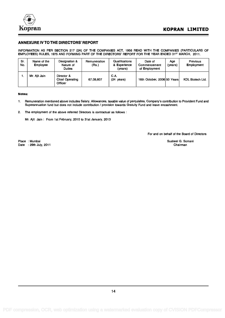

#### ANNEXURE IV TO THE DIRECTORS' REPORT

INFORMATION AS PER SECTION 217 (2A) OF THE COMPANIES ACT, 1956 READ WITH THE COMPANIES (PARTICULARS OF EMPLOYEES) RULES, 1975 AND FORMING PART OF THE DIRECTORS' REPORT FOR THE YEAR ENDED 31<sup>st</sup> MARCH, 2011.

| Sr.<br>No. | Name of the<br><b>Employee</b> | Designation &<br>Nature of<br><b>Duties</b>     | Remuneration<br>(Rs.) | Qualifications<br>& Experience<br>(years) | Date of<br>Commencement<br>of Employment | Aae<br>(years) | <b>Previous</b><br><b>Employment</b> |
|------------|--------------------------------|-------------------------------------------------|-----------------------|-------------------------------------------|------------------------------------------|----------------|--------------------------------------|
|            | Mr. Aiit Jain                  | Director &<br><b>Chief Operating</b><br>Officer | 67,08,607             | C.A.<br>(24<br>years)                     | 16th October, 2006 50 Years              |                | <b>KDL Biotech Ltd.</b>              |

#### Notes:

- 1. Remuneration mentioned above includes Salary, Allowances, taxable value of perquisites, Company's contribution to Provident Fund and Superannuation fund but does not include contribution / provision towards Gratuity Fund and leave encashment.
- 2. The employment of the above referred Directors is contractual as follows :

Mr. Ajit Jain : From 1st February, 2010 to 31st January, 2013

For and on behalf of the Board of Directors

Place : Mumbai Date : 29th July, 2011 Susheel G. Somani Chairman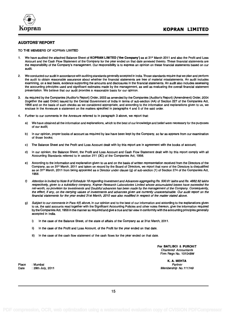

#### AUDITORS' REPORT

#### TO THE MEMBERS OF KOPRAN LIMITED

- 1. We have audited the attached Balance Sheet of **KOPRAN LIMITED** ('the Company') as at 31<sup>st</sup> March 2011 and also the Profit and Loss Account and the Cash Flow Statement of the Company for the year ended on that date annexed thereto. These financial statements are the responsibility of the Company's management. Our responsibility is to express an opinion on these financial statements based on our audit.
- 2. We conducted our audit in accordance with auditing standards generally accepted in India. Those standards require that we plan and perform the audit to obtain reasonable assurance about whether the financial statements are free of material misstatements. An audit includes examining, on a test basis, evidence supporting the amounts and disclosures in the financial statements. An audit also includes assessing the accounting principles used and significant estimates made by the management, as well as evaluating the overall financial statement presentation. We believe that our audit provides a reasonable basis for our opinion.
- 3. As required by the Companies (Auditor's Report) Order, 2003 as amended by the Companies (Auditor's Report) (Amendment) Order, 2004 (together the said Order) issued by the Central Government of India in terms of sub-section (4A) of Section 227 of the Companies Act, 1956 and on the basis of such checks as we considered appropriate, and according to the information and explanations given to us, we enclose in the Annexure a statement on the matters specified in paragraphs 4 and 5 of the said order.
- 4. Further to our comments in the Annexure referred to in paragraph 3 above, we report that:
	- a) We have obtained all the information and explanations, which to the best of our knowledge and belief were necessary for the purposes of our audit;
	- b) In our opinion, proper books of account as required by law have been kept by the Company, so far as appears from our examination of those books;
	- c) The Balance Sheet and the Profit and Loss Account dealt with by this report are in agreement with the books of account;
	- d) In our opinion, the Balance Sheet, the Profit and Loss Account and Cash Flow Statement dealt with by this report comply with all Accounting Standards referred to in section 211 (3C) of the Companies Act, 1956.
	- e) According to the information and explanation given to us and on the basis of written representation received from the Directors of the Company, as on 31<sup>st</sup> March, 2011 and taken on record by the Board of Directors, we report that none of the Directors is disqualified as on 31<sup>st</sup> March, 2011 from being appointed as a Director under clause (g) of sub-section (1) of Section 274 of the Companies Act, 1956.
	- f) Attention is invited to Note 9 of Schedule 18 regarding Investment and Advances aggregating Rs. 500.61 lakhs and Rs. 4882.62 lakhs respectively, given to a subsidiary company, Kopran Research Laboratories Limited whose accumulated losses have exceeded the net-worth, no provision for Investments and Doubtful advances has been made by the management of the Company. Consequently, the effect, if any, on the carrying values of investments and advances given are currently unascertainable. Our audit report on the financial statements for the year ended 31st March, 2010 was also modified in respect of the matter stated above.
	- g) Subject to our comments in Para 4(f) above, in our opinion and to the best of our information and according to the explanations given to us, the said accounts read together with the Significant Accounting Policies and other notes thereon, give the information required by the Companies Act, 1956 in the manner so required and give a true and fair view in conformity with the accounting principles generally accepted in India.
		- i) In the case of the Balance Sheet, of the state of affairs of the Company as at 31st March, 2011.
		- ii) In the case of the Profit and Loss Account, of the Profit for the year ended on that date.
		- iii) In the case of the cash flow statement of the cash flows for the year ended on that date.

For BATLIBOI & PUROHIT Chartered Accountants Firm Regn No. 101048W

Place : Mumbai **Partner** : Mumbai Partner in the Second Community of the Second Community of the Partner in the Second Community of the Second Community of the Second Community of the Second Community of the Second Communi Date : 29th July, 2011 2011 2012 12:00 00:00 00:00 00:00 00:00 00:00 00:00 00:00 00:00 00:00 00:00 00:00 00:00 00:00 00:00 00:00 00:00 00:00 00:00 00:00 00:00 00:00 00:00 00:00 00:00 00:00 00:00 00:00 00:00 00:00 00:00 00:

K. A. MEHTA

15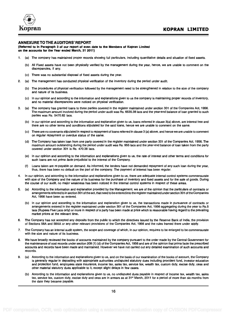

#### ANNEXURE TO THE AUDITORS' REPORT

(Referred to in Paragraph 3 of our report of even date to the Members of Kopran Limited on the accounts for the Year ended March, 31 2011)

- 1. (a) The company has maintained proper records showing full particulars, including quantitative details and situation of fixed assets.
	- (b) All Fixed assets have not been physically verified by the management during the year, hence, we are unable to comment on the discrepancies, if any.
	- (c) There was no substantial disposal of fixed assets during the year.
- 2. (a) The management has conducted physical verification of the inventory during the period under audit.
	- (b) The procedures of physical verification followed by the management need to be strengthened in relation to the size of the company and nature of its business.
	- (c) In our opinion and according to the information and explanations given to us the company is maintaining proper records of inventory, and no material discrepancies were noticed on physical verification.
- 3. (a) The company has granted loans to three parties covered in the register maintained under section 301 of the Companies Act, 1956. The maximum amount involved during the period under audit was Rs. 6535.38 lacs and the year-end balance of loan granted to such parties was Rs. 5470.82 lacs.
	- (b) In our opinion and according to the information and explanation given to us, loans referred in clause 3(a) above, are interest free and there are no other terms and conditions stipulated for the said loans, hence we are unable to comment on the same.
	- (c) There are no covenants stipulated in respect to repayment of loans referred in clause 3 (a) above, and hence we are unable to comment on regular repayment or overdue status of the same.
	- (d) The Company has taken loan from one party covered in the register maintained under section 301 of the Companies Act, 1956. The maximum amount outstanding during the period under audit was Rs. 955 lacs and the year-end balance of loan taken from the party covered under section 301 is Rs. 470.38 lacs.
	- (e) In our opinion and according to the information and explanations given to us, the rate of interest and other terms and conditions for such loans are not *prima facie* prejudicial to the interest of the Company.
	- Loans taken are re-payable on demand. As informed, the lenders have not demanded repayment of any such loan during the year, (f) thus, there has been no default on the part of the company. The payment of interest has been regular.
- In our opinion, and according to the information and explanations given to us, there are adequate internal control systems commensurate with size of the Company and the nature of its business for the purchase of inventory and fixed assets and for the sale of goods. During the course of our audit, no major weakness has been noticed in the internal control systems in respect of these areas.
- 5. (a) According to the information and explanation provided by the Management, we are of the opinion that the particulars of contracts or arrangements referred to in section 301 of the act, that need to be entered into the register maintained under section 301 of the Companies Act, 1956 have been so entered.
	- (b) In our opinion and according to the information and explanation given to us, the transactions made in pursuance of contracts or arrangements entered in the register maintained under section 301 of the Companies Act, 1956 aggregating during the year to Rs.5 lacs (Rupees Five Lacs only) or more in respect of a party has been made at price which is reasonable having regard to the prevailing market prices at the relevant time.
- 6. The Company has not accepted any deposits from the public to which the directives issued by the Reserve Bank of India, the provision of Sections 58A and 58AA or any other relevant provisions of the Companies Act, 1956 and the rules framed there under apply.
- 7. The Company has an internal audit system, the scope and coverage of which, in our opinion, requires to be enlarged to be commensurate with the size and nature of its business.
- 8. We have broadly reviewed the books of accounts maintained by the company pursuant to the order made by the Central Government for the maintenance of cost records under section 209 (1) (d) of the Companies Act, 1956 and are of the opinion that prima facie the prescribed accounts and records have been made and maintained. However we have not carried out any detailed examination of such accounts and records.
- 9. (a) According to the information and explanations given to us, and on the basis of our examination of the books of account, the Company is generally regular in depositing with appropriate authorities undisputed statutory dues including provident fund, investor education and protection fund, employees state insurance, income tax, sales tax, service tax, wealth tax, custom duty, excise duty, cess and other material statutory dues applicable to it, except slight delays in few cases.
	- (b) According to the information and explanations given to us, no undisputed dues payable in respect of Income tax, wealth tax, sales tax, service tax, custom duty, excise duty and cess are in arrears as at 31<sup>st</sup> March, 2011 for a period of more than six months from the date they became payable.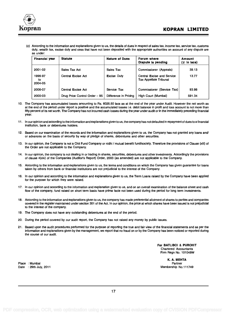

(c) According to the information and explanations given to us, the details of dues in respect of sales tax, income tax, service tax, customs duty, wealth tax, excise duty and cess that have not been deposited with the appropriate authorities on account of any dispute are as under:

| <b>Financial year</b>    | <b>Statute</b>                | <b>Nature of Dues</b> | Forum where<br>Dispute is pending                           | <b>Amount</b><br>(₹ in lacs) |
|--------------------------|-------------------------------|-----------------------|-------------------------------------------------------------|------------------------------|
| 2001-02                  | Sales Tax Act                 | Sales Tax             | Commissioner (Appeals)                                      | 39.13                        |
| 1996-97<br>to<br>2004-05 | Central Excise Act            | <b>Excise Duty</b>    | Central Excise and Service<br><b>Tax Appellate Tribunal</b> | 13.77                        |
| 2006-07                  | Central Excise Act            | Service Tax           | Commissioner (Service Tax)                                  | 93.98                        |
| 2000-03                  | Drug Price Control Order - 95 | Difference in Pricing | High Court (Mumbai)                                         | 591.34                       |

- 10. The Company has accumulated losses amounting to Rs. 6025.50 lacs as at the end of the year under Audit. However the net worth as at the end of the period under report is positive and the accumulated losses i.e. debit balance in profit and loss account is not more than fifty percent of its net worth. The Company has not incurred cash losses during the year under audit or in the immediately preceding financial year.
- 11. In our opinion and according to the information and explanations given to us, the company has not defaulted in repayment of dues to a financial institution, bank or debentures holders.
- 12. Based on our examination of the records and the information and explanations given to us, the Company has not granted any loans and/ or advances on the basis of security by way of pledge of shares, debentures and other securities.
- 13. In our opinion, the Company is not a Chit Fund Company or nidhi / mutual benefit fund/society. Therefore the provisions of Clause (xiii) of the Order are not applicable to the Company.
- 14. In our opinion, the company is not dealing in or trading in shares, securities, debentures and other investments. Accordingly the provisions of clause 4(xiv) of the Companies (Auditor's Report) Order, 2003 (as amended) are not applicable to the Company.
- 15. According to the information and explanations given to us, the terms and conditions on which the Company has given guarantee for loans taken by others from bank or financial institutions are not prejudicial to the interest of the Company.
- 16. In our opinion and according to the information and explanations given to us, the Term Loans raised by the Company have been applied for the purpose for which they were raised.
- 17. In our opinion and according to the information and explanation given to us, and on an overall examination of the balance sheet and cash flow of the company, fund raised on short term basis have prima facie not been used during the period for long term investments.
- 18. According to the information and explanations given to us, the company has made preferential allotment of shares to parties and companies covered in the register maintained under section 301 of the Act. In our opinion, the price at which shares have been issued is not prejudicial to the interest of the company.
- 19. The Company does not have any outstanding debentures at the end of the period.
- 20. During the period covered by our audit report, the Company has not raised any money by public issues.
- 21. Based upon the audit procedures performed for the purpose of reporting the true and fair view of the financial statements and as per the information and explanations given by the management, we report that no fraud on or by the Company has been noticed or reported during the course of our audit.

For BATLIBOI & PUROHIT Chartered Accountants Firm Regn No. 101048W

Place : Mumbai Date : 29th July, 2011

K. A. MEHTA Partner Membership No.111749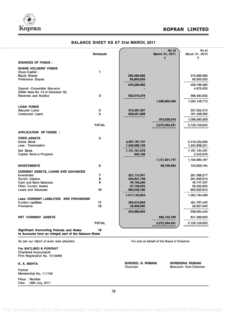



| <b>BALANCE SHEET AS AT 31st MARCH, 2011</b>                                                                |                 |                                |                              |                                |  |
|------------------------------------------------------------------------------------------------------------|-----------------|--------------------------------|------------------------------|--------------------------------|--|
|                                                                                                            | <b>Schedule</b> |                                | As at<br>March 31, 2011<br>₹ | As at<br>March 31, 2010<br>₹   |  |
| <b>SOURCES OF FUNDS:</b>                                                                                   |                 |                                |                              |                                |  |
| <b>SHARE HOLDERS' FUNDS</b><br>Share Capital:<br><b>Equity Shares</b>                                      | 1               | 390,489,080                    |                              | 370,989,080                    |  |
| <b>Preference Shares</b>                                                                                   |                 | 85,800,000                     |                              | 85,800,000                     |  |
| Deposit -Convertible Warrants<br>(Refer Note No:13 of Schedule 18)                                         |                 | 476,289,080                    |                              | 456,789,080<br>4,875,000       |  |
| <b>Reserves and Surplus</b>                                                                                | $\overline{2}$  | 622,516,376                    |                              | 568,484,632                    |  |
|                                                                                                            |                 |                                | 1,098,805,456                | 1,030,148,712                  |  |
| <b>LOAN FUNDS</b>                                                                                          |                 |                                |                              |                                |  |
| Secured Loans<br>Unsecured Loans                                                                           | 3<br>4          | 315,297,307<br>658,261,668     |                              | 337,522,315<br>761,458,593     |  |
|                                                                                                            |                 |                                | 973,558,975                  | 1,098,980,908                  |  |
|                                                                                                            | <b>TOTAL</b>    |                                | 2,072,364,431                | 2,129,129,620                  |  |
| <b>APPLICATION OF FUNDS:</b>                                                                               |                 |                                |                              |                                |  |
| <b>FIXED ASSETS</b><br>Gross Block<br>Less: Depreciation                                                   | 5               | 2,467,187,737<br>1,346,086,158 |                              | 2,416,032,692<br>1,234,898,201 |  |
| Net Block<br>Capital Work-in-Progress                                                                      |                 | 1,121,101,579<br>400,158       |                              | 1,181,134,491<br>2,545,676     |  |
|                                                                                                            |                 |                                | 1,121,501,737                | 1,183,680,167                  |  |
| <b>INVESTMENTS</b>                                                                                         | 6               |                                | 68,709,994                   | 103,859,794                    |  |
| <b>CURRENT ASSETS, LOANS AND ADVANCES</b>                                                                  |                 |                                |                              |                                |  |
| <b>Inventories</b>                                                                                         | $\overline{7}$  | 321,112,331                    |                              | 261,588,217                    |  |
| <b>Sundry Debtors</b>                                                                                      | 8               | 333,631,748                    |                              | 291,959,913                    |  |
| Cash and Bank Balances<br><b>Other Current Assets</b>                                                      | 9               | 34,194,200<br>67,746,635       |                              | 46,747,337<br>56,262,820       |  |
| Loans and Advances                                                                                         | 10              | 660,448,780                    |                              | 693,625,812                    |  |
|                                                                                                            |                 | 1,417,133,694                  |                              | 1,350,184,099                  |  |
| <b>Less: CURRENT LIABILITIES AND PROVISIONS</b>                                                            |                 |                                |                              |                                |  |
| <b>Current Liabilities</b>                                                                                 | 11              | 505,074,994                    |                              | 481,767,440                    |  |
| Provisions                                                                                                 | 12              | 29,906,000                     |                              | 26,827,000                     |  |
|                                                                                                            |                 | 534,980,994                    |                              | 508,594,440                    |  |
| <b>NET CURRENT ASSETS</b>                                                                                  |                 |                                | 882,152,700                  | 841,589,659                    |  |
|                                                                                                            | <b>TOTAL</b>    |                                | 2,072,364,431                | 2,129,129,620                  |  |
| <b>Significant Accounting Policies and Notes</b><br>to Accounts form an integral part of the Balance Sheet | 18              |                                |                              |                                |  |

As per our report of even date attached.

For BATLIBOI & PUROHIT Chartered Accountants Firm Registration No. 101048W

#### K. A. MEHTA

Partner Membership No. 111749

Place : Mumbai Date : 29th July, 2011 For and on behalf of the Board of Directors

SUSHEEL G. SOMANI SURENDRA SOMANI<br>Chairman Executive Vice-Chairm Executive Vice-Chairman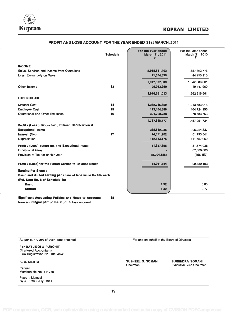

|                                                                | <b>Schedule</b> | For the year ended<br>March 31, 2011<br>₹ | For the year ended<br>March 31, 2010 |
|----------------------------------------------------------------|-----------------|-------------------------------------------|--------------------------------------|
| <b>INCOME</b>                                                  |                 |                                           |                                      |
| Sales, Services and Income from Operations                     |                 | 2,018,811,402                             | 1,687,823,776                        |
| Less: Excise duty on Sales                                     |                 | 71,504,339                                | 44,955,115                           |
|                                                                |                 | 1,947,307,063                             | 1,642,868,661                        |
| Other Income                                                   | 13              | 29,053,950                                | 19,447,900                           |
|                                                                |                 | 1,976,361,013                             | 1,662,316,561                        |
| <b>EXPENDITURE</b>                                             |                 |                                           |                                      |
| <b>Material Cost</b>                                           | 14              | 1,242,715,659                             | 1,013,583,015                        |
| <b>Employee Cost</b>                                           | 15              | 173,404,380                               | 164,724,956                          |
| Operational and Other Expenses                                 | 16              | 321,728,738                               | 278,783,753                          |
|                                                                |                 | 1,737,848,777                             | 1,457,091,724                        |
| Profit / (Loss) Before tax, Interest, Depreciation &           |                 |                                           |                                      |
| <b>Exceptional items</b>                                       |                 | 238,512,236                               | 205,224,837                          |
| Interest (Net)                                                 | 17              | 74,851,902                                | 61,793,541                           |
| Depreciation                                                   |                 | 112,333,176                               | 111,557,260                          |
| Profit / (Loss) before tax and Exceptional items               |                 | 51,327,158                                | 31,874,036                           |
| <b>Exceptional items</b>                                       |                 |                                           | 67,500,000                           |
| Provision of Tax for earlier year                              |                 | (2,704,586)                               | (356, 157)                           |
| Profit / (Loss) for the Period Carried to Balance Sheet        |                 | 54,031,744                                | 99,730,193                           |
| <b>Earning Per Share:</b>                                      |                 |                                           |                                      |
| Basic and diluted earning per share of face value Rs.10/- each |                 |                                           |                                      |
| (Ref. Note No. 6 of Schedule 18)                               |                 |                                           |                                      |
| <b>Basic</b>                                                   |                 | 1,32                                      | 0.80                                 |
| <b>Diluted</b>                                                 |                 | 1.32                                      | 0.77                                 |

#### PROFIT AND LOSS ACCOUNT FOR THE YEAR ENDED 31st MARCH, 2011

Significant Accounting Policies and Notes to Accounts 18 form an integral part of the Profit & loss account

As per our report of even date attached. The extension of the Board of Directors and on behalf of the Board of Directors For BATLIBOI & PUROHIT Chartered Accountants Firm Registration No. 101048W K. A. MEHTA Partner Membership No. 111749 Place : Mumbai Date : 29th July, 2011 SUSHEEL G. SOMANI SURENDRA SOMANI Chairman Executive Vice-Chairman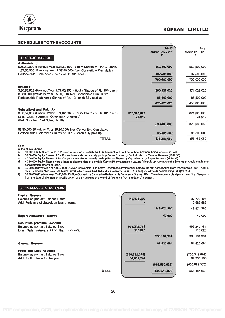

### opran Korkan Limited

#### SCHEDULES TO THEACCOUNTS

|                                                                                                                                              |                       | As at<br>March 31, 2011 | As at<br>March 31, 2010 |
|----------------------------------------------------------------------------------------------------------------------------------------------|-----------------------|-------------------------|-------------------------|
| 1 : SHARE CAPITAL                                                                                                                            |                       |                         |                         |
| <b>Authorised</b>                                                                                                                            |                       |                         |                         |
| 5,62,50,000 (Previous year 5,62,50,000) Equity Shares of Rs.10/- each.<br>1,37,50,000 (Previous year 1,37,50,000) Non-Convertible Cumulative |                       | 562,500,000             | 562,500,000             |
| Redeemable Preference Shares of Rs 10/- each.                                                                                                |                       | 137,500,000             | 137,500,000             |
|                                                                                                                                              |                       | 700,000,000             | 700,000,000             |
| <b>Issued:</b>                                                                                                                               |                       |                         |                         |
| 3,90,52,602 (Previous Year 3,71,02,602) Equity Shares of Rs 10/- each.<br>85,80,000 (Previous Year 85,80,000) Non-Convertible Cumulative     |                       | 390,526,020             | 371,026,020             |
| Redeemable Preference Shares of Rs. 10/- each fully paid up                                                                                  |                       | 85,800,000              | 85,800,000              |
|                                                                                                                                              |                       | 476,326,020             | 456,826,020             |
| Subscribed and Paid-Up:                                                                                                                      |                       |                         |                         |
| 3,90,52,602 (Previous Year 3,71,02,602) Equity Shares of Rs 10/- each.<br>Less: Calls in-Arrears (Other than Director's)                     | 390,526,020<br>36,940 |                         | 371,026,020<br>36,940   |
| (Ref. Note No.13 of Schedule 18)                                                                                                             |                       |                         |                         |
|                                                                                                                                              |                       | 390,489,080             | 370,989,080             |
| 85,80,000 (Previous Year 85,80,000) Non-Convertible Cumulative                                                                               |                       |                         |                         |
| Redeemable Preference Shares of Rs.10/- each fully paid up                                                                                   |                       | 85,800,000              | 85,800,000              |
| TOTAL                                                                                                                                        |                       | 476,289,080             | 456,789,080             |
| $\cdots$                                                                                                                                     |                       |                         |                         |

Note: -

of the above Shares

a) 60,500 Equity Shares of Rs.10/- each were allotted as fully paid-up pursuant to a contract without payment being received in cash.

b) 58,00,000 Equity Shares of Rs.10/- each were allotted as fully paid-up Bonus Shares by Capitalisation of General Reserve (1992-93).<br>c) 40,00,000 Equity Shares of Rs.10/- each were allotted as fully paid-up Bonus Share

c) 40,00,000 Equity Shares of Rs.10/- each were allotted as fully paid-up Bonus Shares by Capitalisation of Share Premium (1994-95).<br>d) 40,80,000 Equity Shares were allotted to shareholders of erstwhile Kopran Pharmaceutic consideration other than cash.

- e) 30,00,000 (Previous Year 30,00,000) 9% Non-Convertible Cumulative Redeemable Preference Shares of Rs.10/- each (Series-I) are redeemable at par. The due date for redeemption was 12th March, 2000, which is rescheduled and are redeemable in 16 quarterly installments commencing 1st April, 2005.
- f) 55,80,000 (Previous Year 55,80,000) 1% Non-Convertible Cumulative Redeemable Preference Shares of Rs.10/- each redeemable at par at the expiry of ten years from the date of allotment or a call / option of the company at the end of five years from the date of allotment.

#### 2: RESERVES & SURPLUS

| <b>Capital Reserve</b> |  |  |  |
|------------------------|--|--|--|
|------------------------|--|--|--|

| AGNIMI LIGOGI AG<br>Balance as per last Balance Sheet<br>Add: Forfeiture of deposit on laps of warrant | 148,474,390     |                 | 137,790,405<br>10,683,985 |
|--------------------------------------------------------------------------------------------------------|-----------------|-----------------|---------------------------|
|                                                                                                        |                 | 148,474,390     | 148,474,390               |
| <b>Export Allowance Reserve</b>                                                                        |                 | 40,000          | 40,000                    |
| Securities premium account                                                                             |                 |                 |                           |
| Balance as per last Balance Sheet                                                                      | 995,242,754     |                 | 995,242,754               |
| Less: Calls in-Arrears (Other than Director's)                                                         | 110,820         |                 | 110,820                   |
|                                                                                                        |                 |                 |                           |
|                                                                                                        |                 | 995, 131, 934   | 995, 131, 934             |
| <b>General Reserve</b>                                                                                 |                 | 81,420,684      | 81,420,684                |
| <b>Profit and Loss Account</b>                                                                         |                 |                 |                           |
| Balance as per last Balance Sheet                                                                      | (656, 582, 376) |                 | (756, 312, 569)           |
| Add: Profit / (loss) for the year                                                                      | 54,031,744      |                 | 99,730,193                |
|                                                                                                        |                 |                 |                           |
|                                                                                                        |                 | (602, 550, 632) | (656, 582, 376)           |
|                                                                                                        | <b>TOTAL</b>    | 622,516,376     | 568,484,632               |
|                                                                                                        |                 |                 |                           |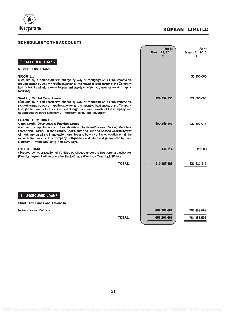

### SCHEDULES TO THE ACCOUNTS

|                                                                                                                                                                                                                                                                                                                                                                                                                                                                           | As at<br>March 31, 2011<br>₹ | As at<br>March 31, 2010<br>₹ |  |
|---------------------------------------------------------------------------------------------------------------------------------------------------------------------------------------------------------------------------------------------------------------------------------------------------------------------------------------------------------------------------------------------------------------------------------------------------------------------------|------------------------------|------------------------------|--|
| 3 : SECURED LOANS                                                                                                                                                                                                                                                                                                                                                                                                                                                         |                              |                              |  |
| <b>RUPEE TERM LOANS</b>                                                                                                                                                                                                                                                                                                                                                                                                                                                   |                              |                              |  |
| <b>SICOM Ltd.</b><br>(Secured by a pari-passu first charge by way of mortgage on all the immovable<br>properties and by way of hypothecation on all the movable fixed assets of the Company<br>both present and future excluding current assets charged to banks for working capital<br>facilities).                                                                                                                                                                      |                              | 37,500,000                   |  |
| <b>Working Capital Term Loans</b><br>(Secured by a pari-passu first charge by way of mortgage on all the immovable<br>properties and by way of hypothecation on all the movable fixed assets of the Company<br>both present and future and Second Charge on current assets of the company and<br>guaranteed by three Directors / Promoters jointly and severally).                                                                                                        | 124,599,231                  | 172,500,000                  |  |
| <b>LOANS FROM BANKS</b><br>Cash Credit, Over Draft & Packing Credit<br>(Secured by hypothecation of Raw Materials, Goods-in-Process, Packing Materials,<br>Stores and Spares, Finished goods, Book Debts and Bills and Second Charge by way<br>of mortgage on all the immovable properties and by way of hypothecation on all the<br>movable fixed assets of the company both present and future and guaranteed by three<br>Directors / Promoters jointly and severally). | 190,249,860                  | 127,302,017                  |  |
| <b>OTHER LOANS</b><br>(Secured by hypothecation of Vehicles purchased under the hire purchase scheme).<br>[Due for payment within one year Rs.1.40 lacs (Previous Year Rs.2.20 lacs)]                                                                                                                                                                                                                                                                                     | 448,216                      | 220,298                      |  |
| <b>TOTAL</b>                                                                                                                                                                                                                                                                                                                                                                                                                                                              | 315,297,307                  | 337,522,315                  |  |
| <b>4 : UNSECURED LOANS</b>                                                                                                                                                                                                                                                                                                                                                                                                                                                |                              |                              |  |
| <b>Short Term Loans and Advances</b>                                                                                                                                                                                                                                                                                                                                                                                                                                      |                              |                              |  |
| <b>Intercorporate Deposits</b>                                                                                                                                                                                                                                                                                                                                                                                                                                            | 658,261,668                  | 761,458,593                  |  |
| <b>TOTAL</b>                                                                                                                                                                                                                                                                                                                                                                                                                                                              | 658,261,668                  | 761,458,593                  |  |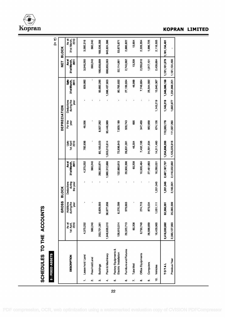Kopran

|                     | <b>SCHEDULES TO THE ACCOUNTS</b>              |                             |                                         |                                  |                                            |                                |                 |                                  |                                     |                                                  |                              |
|---------------------|-----------------------------------------------|-----------------------------|-----------------------------------------|----------------------------------|--------------------------------------------|--------------------------------|-----------------|----------------------------------|-------------------------------------|--------------------------------------------------|------------------------------|
|                     | 5 : FIXED ASSETS                              |                             |                                         |                                  |                                            |                                |                 |                                  |                                     |                                                  | (in ₹)                       |
|                     |                                               |                             | <b>GROSS</b>                            | <b>BLOCK</b>                     |                                            |                                | DEPRECIATION    |                                  |                                     | 192                                              | <b>BLOCK</b>                 |
|                     | <b>DESCRIPTION</b>                            | 1st April,<br>2010<br>As at | gthe<br>Additions<br>during the<br>year | during<br>Deductions<br>the year | As at<br>31 st March,<br>$\overline{2011}$ | <u>ទី</u><br>2010<br>1st April | For the<br>year | during the<br>Deductions<br>year | ŝ<br>31 st March,<br>$\overline{a}$ | <b>As at</b><br>31 st March,<br>$\overline{201}$ | 2010<br>As at<br>31st March, |
| ÷                   | Lease hold Land                               | 4,375,252                   | f,                                      |                                  | 4,375,252                                  | 782,936                        | 46,056          |                                  | 828,992                             | 3,546,260                                        | 3,592,316                    |
| $\ddot{\mathbf{q}}$ | Free Hold Land                                | 560,240                     | Ţ                                       |                                  | 560,240                                    |                                |                 |                                  | ï                                   | 560,240                                          | 560,240                      |
| $\ddot{\mathbf{c}}$ | <b>Buildings</b>                              | 253,721,381                 | 593<br>6,629,                           |                                  | 260,350,974                                | 85,185,023                     | 8,507,262       |                                  | 93,692,285                          | 166,658,689                                      | 168,536,358                  |
| 4                   | Plant & Machinery                             | 1,948,635,010               | 656<br>36,677                           |                                  | 1,985,312,666                              | 1,003,010,614                  | 93,446,989      |                                  | 1,096,457,603                       | 888,855,063                                      | 945,624,396                  |
| ιó,                 | Factory Equipments &<br>Electric Installation | 126,610,514                 | ,299<br>6,270                           |                                  | 132,880,813                                | 72,936,643                     | 7,829,189       |                                  | 80,765,832                          | 52,114,981                                       | 53,673,871                   |
| $\ddot{\circ}$      | Furniture and Fixtures                        | 29,320,713                  | 579,683                                 |                                  | 29,900,396                                 | 26,631,091                     | 528,743         |                                  | 27,159,834                          | 2,740,562                                        | 2,689,622                    |
| r.                  | Tube Well                                     | 60,208                      | ı                                       |                                  | 60,208                                     | 46,304                         | 695             |                                  | 46,999                              | 13,209                                           | 13,904                       |
| œ                   | Office Equipments                             | 9,730,749                   | 4,715<br>274                            |                                  | 10,005,464                                 | 7,402,195                      | 347,459         |                                  | 7,749,654                           | 2,255,810                                        | 2,328,554                    |
| o,                  | Computers                                     | 26,588,659                  | 873,034                                 |                                  | 27,461,693                                 | 24,591,934                     | 952,658         |                                  | 25,544,592                          | 1,917,101                                        | 1,996,725                    |
| ė,                  | Vehicles                                      | 16,429,965                  | E<br>1,05                               | 1,201,045                        | 16,280,031                                 | 14,311,460                     | 674,126         | 1,145,219                        | 13,840,367                          | 2,439,664                                        | 2,118,505                    |
|                     | TOTAL                                         | 2,416,032,692               | 52,356,091                              | 1,201,045                        | 2,467,187,737                              | 1,234,898,200                  | 112,333,176     | 1,145,219                        | 1,346,086,158                       | 1,121,101,579                                    | 1,181,134,491                |
|                     | Previous Year                                 | 2,393,127,993               | 25,065,599                              | 2,160,901                        | 2,416,032,692                              | 1,125,023,916                  | 111,557,260     | 1,682,977                        | 1,234,898,201                       | 1,181,134,490                                    | ٠                            |
|                     |                                               |                             |                                         |                                  |                                            |                                |                 |                                  |                                     |                                                  |                              |

### **KOPRAN LIMITED**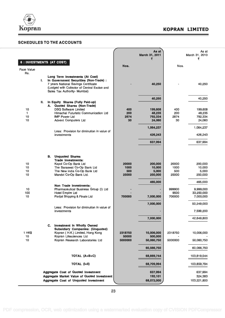

### SCHEDULES TO THE ACCOUNTS

|                   |    |                                                                                                                      |                  | As at<br>March 31, 2011<br>₹ |                | As at<br>March 31, 2010<br>₹ |
|-------------------|----|----------------------------------------------------------------------------------------------------------------------|------------------|------------------------------|----------------|------------------------------|
|                   |    | 6 : INVESTMENTS (AT COST)                                                                                            | Nos.             |                              | Nos.           |                              |
| <b>Face Value</b> |    |                                                                                                                      |                  |                              |                |                              |
| Rs.               | ı. | Long Term Investments (At Cost)<br>In Government Securities (Non-Trade) :                                            |                  |                              |                |                              |
|                   |    | 7 years National Savings Certificate<br>(Lodged with Collector of Central Excise and<br>Sales Tax Authority- Mumbai) |                  | 40,250                       |                | 40,250                       |
|                   | П. | In Equity Shares (Fully Paid-up)                                                                                     |                  | 40,250                       |                | 40,250                       |
| 10                |    | A. Quoted Shares (Non-Trade)<br><b>DSQ Software Limited</b>                                                          | 400              | 199,608                      | 400            | 199,608                      |
| 1                 |    | Himachal Futuristic Communication Ltd                                                                                | 200              | 48,235                       | 200            | 48,235                       |
| 10                |    | <b>IMP Power Ltd</b>                                                                                                 | 2874             | 792,334                      | 2874           | 792,334                      |
| 10                |    | <b>Advent Computers Ltd</b>                                                                                          | 30               | 24,060                       | 30             | 24,060                       |
|                   |    | Less: Provision for diminution in value of                                                                           |                  | 1,064,237                    |                | 1,064,237                    |
|                   |    | investments                                                                                                          |                  | 426,243                      |                | 426,243                      |
|                   |    |                                                                                                                      |                  | 637,994                      |                | 637,994                      |
|                   |    | <b>B.</b> Unquoted Shares<br><b>Trade Investments:</b>                                                               |                  |                              |                |                              |
| 10                |    | Kapol Co-Op Bank Ltd                                                                                                 | 20000            | 200,000                      | 20000          | 200,000                      |
| 10<br>10          |    | The Saraswat Co-Op Bank Ltd<br>The New india Co-Op Bank Ltd                                                          | 1000<br>500      | 10,000<br>5,000              | 1000<br>500    | 10,000<br>5,000              |
| 10                |    | Mandvi Co-Op Bank Ltd.                                                                                               | 25000            | 250,000                      | 25000          | 250,000                      |
|                   |    | Non Trade Investments:                                                                                               |                  | 465,000                      |                | 465,000                      |
| 10                |    | Pharmaceutical Business Group (I) Ltd                                                                                |                  |                              | 999900         | 9,999,000                    |
| 100<br>10         |    | <b>Hotel Empire Ltd</b><br>Parijat Shipping & Finale Ltd                                                             | 700000           | 7,000,000                    | 9500<br>700000 | 33,250,000<br>7,000,000      |
|                   |    |                                                                                                                      |                  | 7,000,000                    |                | 50,249,000                   |
|                   |    | Less: Provision for diminution in value of<br>investments                                                            |                  |                              |                | 7,599,200                    |
|                   |    |                                                                                                                      |                  | 7,000,000                    |                | 42,649,800                   |
|                   |    | <b>Investment in Wholly Owned</b><br>C.<br><b>Subsidiary Companies: (Unquoted)</b>                                   |                  |                              |                |                              |
| 1 HK\$<br>10      |    | Kopran ( H.K.) Limited, Hong Kong<br>Kopran Lifesciences Ltd                                                         | 2318750<br>50000 | 10,006,000<br>500,000        | 2318750        | 10,006,000                   |
| 10                |    | Kopran Research Laboratories Ltd                                                                                     | 5000000          | 50,060,750                   | 5000000        | 50,060,750                   |
|                   |    | TOTAL (A+B+C)                                                                                                        |                  | 60,566,750<br>68,669,744     |                | 60,066,750<br>103,819,544    |
|                   |    | <b>TOTAL (I+II)</b>                                                                                                  |                  | 68,709,994                   |                | 103,859,794                  |
|                   |    |                                                                                                                      |                  |                              |                |                              |
|                   |    | <b>Aggregate Cost of Quoted Investment</b><br><b>Aggregate Market Value of Quoted Investment</b>                     |                  | 637,994<br>192,101           |                | 637,994<br>324,383           |
|                   |    | Aggregate Cost of Unquoted Investment                                                                                |                  | 68,072,000                   |                | 103,221,800                  |
|                   |    |                                                                                                                      |                  |                              |                |                              |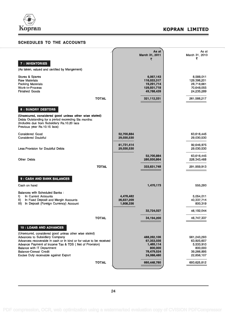

| <b>SCHEDULES TO THE ACCOUNTS</b>                                                                                                                                                                                                                                                                                                                                                |                                      |                                                                               |                                                                               |
|---------------------------------------------------------------------------------------------------------------------------------------------------------------------------------------------------------------------------------------------------------------------------------------------------------------------------------------------------------------------------------|--------------------------------------|-------------------------------------------------------------------------------|-------------------------------------------------------------------------------|
|                                                                                                                                                                                                                                                                                                                                                                                 |                                      | As at<br>March 31, 2011<br>₹                                                  | As at<br>March 31, 2010<br>₹                                                  |
| 7 : INVENTORIES<br>(As taken, valued and certified by Mangement)                                                                                                                                                                                                                                                                                                                |                                      |                                                                               |                                                                               |
| Stores & Spares<br><b>Raw Materials</b><br><b>Packing Materials</b><br><b>Work-in-Process</b><br><b>Finished Goods</b>                                                                                                                                                                                                                                                          |                                      | 6,067,143<br>116,033,317<br>19,291,714<br>129,931,718<br>49,788,439           | 8,588,011<br>129,398,201<br>28,718,661<br>70,648,055<br>24,235,289            |
| <b>TOTAL</b>                                                                                                                                                                                                                                                                                                                                                                    |                                      | 321,112,331                                                                   | 261,588,217                                                                   |
| <b>8 : SUNDRY DEBTORS</b><br>(Unsecured, considered good unless other wise stated)<br>Debts Outstanding for a period exceeding Six months:<br>(Includes due from Subsidiary Rs.10.20 lacs<br>Previous year Rs.10.15 lacs)                                                                                                                                                       |                                      |                                                                               |                                                                               |
| <b>Considered Good</b><br><b>Considered Doubtful</b>                                                                                                                                                                                                                                                                                                                            | 52,700,884<br>29,030,530             |                                                                               | 63,616,445<br>29,030,530                                                      |
| Less: Provision for Doubtful Debts                                                                                                                                                                                                                                                                                                                                              | 81,731,414<br>29,030,530             |                                                                               | 92.646.975<br>29,030,530                                                      |
| <b>Other Debts</b>                                                                                                                                                                                                                                                                                                                                                              |                                      | 52,700,884<br>280,930,864                                                     | 63,616,445<br>228,343,468                                                     |
| <b>TOTAL</b>                                                                                                                                                                                                                                                                                                                                                                    |                                      | 333,631,748                                                                   | 291,959,913                                                                   |
| 9 : CASH AND BANK BALANCES                                                                                                                                                                                                                                                                                                                                                      |                                      |                                                                               |                                                                               |
| Cash on hand                                                                                                                                                                                                                                                                                                                                                                    |                                      | 1,470,173                                                                     | 555,293                                                                       |
| <b>Balances with Scheduled Banks:</b><br>I)<br>In Current Accounts<br>II)<br>In Fixed Deposit and Margin Accounts<br>In Deposit (Foreign Currency) Account<br>III).                                                                                                                                                                                                             | 4,478,482<br>26,637,209<br>1,608,336 |                                                                               | 5,054,011<br>40,337,714<br>800,319                                            |
|                                                                                                                                                                                                                                                                                                                                                                                 |                                      | 32,724,027                                                                    | 46,192,044                                                                    |
| <b>TOTAL</b>                                                                                                                                                                                                                                                                                                                                                                    |                                      | 34,194,200                                                                    | 46,747,337                                                                    |
| <b>10 : LOANS AND ADVANCES</b><br>(Unsecured, considered good unless other wise stated)<br><b>Advances to Subsidiary Company</b><br>Advances recoverable in cash or in kind or for value to be received<br>Advance Payment of Income Tax & TDS (Net of Provision)<br><b>Balance with IT Department</b><br><b>Balance-Cenvat Credit</b><br>Excixe Duty receivable against Export |                                      | 488,262,106<br>67,353,556<br>1,465,114<br>800,000<br>78,479,524<br>24,088,480 | 561,243,293<br>63,925,607<br>5,533,910<br>800,000<br>39,266,895<br>22,856,107 |
| <b>TOTAL</b>                                                                                                                                                                                                                                                                                                                                                                    |                                      | 660,448,780                                                                   | 693,625,812                                                                   |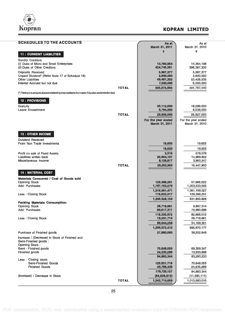

| <b>SCHEDULES TO THE ACCOUNTS</b>                                                                           |              | As at<br>March 31, 2011       | As at<br>March 31, 2010    |  |
|------------------------------------------------------------------------------------------------------------|--------------|-------------------------------|----------------------------|--|
| <b>11 : CURRENT LIABILITIES</b>                                                                            |              | ₹                             | ₹                          |  |
|                                                                                                            |              |                               |                            |  |
| <b>Sundry Creditors</b><br>(i) Dues of Micro and Small Enterprises                                         |              | 13,760,954                    | 14,364,198                 |  |
| (ii) Dues of Other Creditors                                                                               |              | 424,745,361                   | 398,387,330                |  |
| Deposits Received                                                                                          |              | 5,987,377                     | 5,987,377                  |  |
| Unpaid Dividend* (Refer Note 17 of Schedule 18)<br><b>Other Liabilities</b>                                |              | 3,600,000<br>49,481,302       | 3,600,000<br>53,428,535    |  |
| Interest Accrued but not due                                                                               |              | 7,500,000                     | 6,000,000                  |  |
|                                                                                                            | <b>TOTAL</b> | 505,074,994                   | 481,767,440                |  |
| (*) There are no amounts due and outstanding to be credited to the Investor Education and protection fund. |              |                               |                            |  |
|                                                                                                            |              |                               |                            |  |
| 12 : PROVISIONS                                                                                            |              |                               |                            |  |
| Gratuity<br>Leave Encashment                                                                               |              | 20,112,000<br>9,794,000       | 18,289,000<br>8,538,000    |  |
|                                                                                                            | <b>TOTAL</b> | 29,906,000                    | 26,827,000                 |  |
|                                                                                                            |              | For the year ended            | For the year ended         |  |
|                                                                                                            |              | March 31, 2011                | March 31, 2010             |  |
|                                                                                                            |              |                               |                            |  |
| <b>13 : OTHER INCOME</b>                                                                                   |              |                               |                            |  |
| Dividend Received                                                                                          |              |                               |                            |  |
| From Non Trade Investments                                                                                 |              | 18,650                        | 19,655                     |  |
|                                                                                                            |              | 18,650                        | 19,655                     |  |
| Profit on sale of Fixed Assets<br>Liabilities written back                                                 |              | 2,316                         | 578,076                    |  |
| Miscellaneous Income                                                                                       |              | 20,904,167<br>8,128,817       | 14,989,922<br>3,860,247    |  |
|                                                                                                            | <b>TOTAL</b> | 29,053,950                    | 19,447,900                 |  |
| <b>14 : MATERIAL COST</b>                                                                                  |              |                               |                            |  |
|                                                                                                            |              |                               |                            |  |
| Materials Consumed / Cost of Goods sold<br><b>Opening Stock</b>                                            |              | 129,398,201                   | 57,666,022                 |  |
| Add: Purchases                                                                                             |              | 1,187,163,270                 | 1,003,533,005              |  |
|                                                                                                            |              | 1,316,561,471                 | 1,061,199,027              |  |
| Less: Closing Stock                                                                                        |              | 116,033,317                   | 129,398,201                |  |
| <b>Packing Materials Consumption:</b>                                                                      |              | 1,200,528,154                 | 931,800,826                |  |
| <b>Opening Stock</b>                                                                                       |              | 28,718,661                    | 9,897,314                  |  |
| Add: Purchases                                                                                             |              | 89,617,311                    | 72,990,698                 |  |
| Less: Closing Stock                                                                                        |              | 118,335,972<br>19,291,714     | 82,888,012<br>28,718,661   |  |
|                                                                                                            |              | 99,044,258                    | 54,169,351                 |  |
|                                                                                                            |              | 1,299,572,412                 | 985,970,177                |  |
| Purchase of Finished goods                                                                                 |              | 27,980,060                    | 39,202,949                 |  |
| Increase / (Decrease) in Stock of Finished and                                                             |              |                               |                            |  |
| Semi-Finished goods:<br><b>Opening Stock:</b>                                                              |              |                               |                            |  |
| Semi - Finished goods                                                                                      |              | 70,648,055                    | 69,359,347                 |  |
| Finished goods                                                                                             |              | 24,235,289                    | 13,933,886                 |  |
| Less: Closing stock:                                                                                       |              | 94,883,344                    | 83,293,233                 |  |
| Semi-Finished Goods                                                                                        |              | 129,931,718                   | 70,648,055                 |  |
| <b>Finished Goods</b>                                                                                      |              | 49,788,439                    | 24,235,289                 |  |
| (Increase) / Decrease in Stock                                                                             |              | 179,720,157<br>(84, 836, 813) | 94,883,344<br>(11,590,111) |  |
|                                                                                                            | <b>TOTAL</b> | 1,242,715,659                 | 1,013,583,015              |  |
|                                                                                                            |              |                               |                            |  |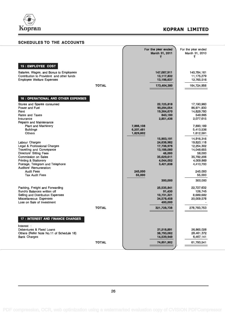

### SCHEDULES TO THE ACCOUNTS

| <b>SCHEDULES TO THE ACCOUNTS</b>                                                                                                                            |              |                                     |                                                             |                                                      |
|-------------------------------------------------------------------------------------------------------------------------------------------------------------|--------------|-------------------------------------|-------------------------------------------------------------|------------------------------------------------------|
|                                                                                                                                                             |              |                                     | For the year ended<br>March 31, 2011<br>₹                   | For the year ended<br>March 31, 2010<br>₹            |
| 15 : EMPLOYEE COST                                                                                                                                          |              |                                     |                                                             |                                                      |
| Salaries, Wages, and Bonus to Employees<br>Contribution to Provident and other funds<br><b>Employee Welfare Expenses</b>                                    |              |                                     | 147,087,911<br>13,117,832<br>13,198,637                     | 140,784,161<br>11,175,279<br>12,765,516              |
|                                                                                                                                                             | <b>TOTAL</b> |                                     | 173,404,380                                                 | 164,724,956                                          |
| <b>16 : OPERATIONAL AND OTHER EXPENSES</b>                                                                                                                  |              |                                     |                                                             |                                                      |
| Stores and Spares consumed<br>Power and Fuel<br>Rent                                                                                                        |              |                                     | 22,125,818<br>90,294,054<br>19,364,670                      | 17,190,960<br>86,971,930<br>14,829,780               |
| <b>Rates and Taxes</b><br>Insurance<br><b>Repairs and Maintenance</b>                                                                                       |              |                                     | 843,180<br>2,851,436                                        | 549.665<br>2,077,615                                 |
| <b>Plant and Machinery</b><br><b>Buildings</b><br><b>Others</b>                                                                                             |              | 7,866,108<br>6,207,481<br>1,829,602 |                                                             | 7,890,189<br>5,413,536<br>1,612,591                  |
| Labour Charges<br>Legal & Professional Charges<br><b>Travelling and Conveyance</b>                                                                          |              |                                     | 15,903,191<br>24,638,982<br>17,738,976<br>13,188,080        | 14,916,316<br>19,820,118<br>12,254,302<br>14,048,655 |
| <b>Directors' Sitting Fees</b><br>Commission on Sales<br><b>Printing &amp; Stationery</b><br>Postage, Telegram and Telephone<br>Auditors' Remuneration:     |              |                                     | 48,000<br>35,629,611<br>4,044,052<br>3,421,638              | 58,000<br>35,792,206<br>4,009,869<br>4,410,700       |
| <b>Audit Fees</b><br><b>Tax Audit Fees</b>                                                                                                                  |              | 245,000<br>55,000                   |                                                             | 245,000<br>55,000                                    |
|                                                                                                                                                             |              |                                     | 300,000                                                     | 300,000                                              |
| Packing, Freight and Forwarding<br>Sundry Balances written off<br>Selling and Distribution Expenses<br>Miscellaneous Expenses<br>Loss on Sale of Investment |              |                                     | 25,535,841<br>91,430<br>10,731,321<br>34,578,458<br>400,000 | 22,727,632<br>126,745<br>8,689,682<br>20,009,578     |
|                                                                                                                                                             | TOTAL        |                                     | 321,728,738                                                 | 278,783,753                                          |
| <b>17 : INTEREST AND FINANCE CHARGES</b>                                                                                                                    |              |                                     |                                                             |                                                      |
| Interest :<br>Debentures & Fixed Loans<br>Others (Refer Note No.11 of Schedule 18)                                                                          |              |                                     | 21,518,891<br>38,793,062                                    | 26,865,028<br>28,461,372                             |
| <b>Bank Charges</b>                                                                                                                                         |              |                                     | 14,539,949                                                  | 6,467,141                                            |
|                                                                                                                                                             | <b>TOTAL</b> |                                     | 74,851,902                                                  | 61,793,541                                           |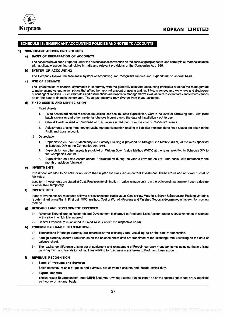

#### SCHEDULE 18: SIGNIFICANT ACCOUNTING POLICIES AND NOTES TO ACCOUNTS

#### 1) SIGNIFICANT ACCOUNTING POLICIES

#### a) BASIS OF PREPARATION OF ACCOUNTS

The accounts have been prepared under the historical cost convention on the basis of going concern and comply in all material aspects with applicable accounting principles in India and relevant provisions of the Companies Act,1956.

#### b) SYSTEM OF ACCOUNTING

The Company follows the Mercantile System of accounting and recognises Income and Expenditure on accrual basis.

#### c) USE OF ESTIMATE

The presentation of financial statements in conformity with the generally accepted accounting principles requires the management to make estimates and assumptions that affect the reported amount of assets and liabilities, revenues and expenses and disclosure of contingent liabilities. Such estimates and assumptions are based on management's evaluation of relevant facts and circumstances as on the date of financial statements. The actual outcome may diverge from these estimates.

#### d) FIXED ASSETS AND DEPRECIATION

- i) Fixed Assets :
	- 1. Fixed Assets are stated at cost of acquisition less accumulated depreciation. Cost is inclusive of borrowing cost, pilot plant batch expenses and other incidental charges incurred upto the date of installation / put to use.
	- 2. Cenvat Credit availed on purchase of fixed assets is reduced from the cost of respective assets.
	- 3. Adjustments arising from foreign exchange rate fluctuation relating to liabilties atttributable to fixed assets are taken to the Profit and Loss account.

#### ii) Depreciation :

- 1. Depreciation on Plant & Machinery and Factory Building is provided on Straight Line Method (SLM) at the rates specified in Schedule XIV to the Companies Act,1956.
- 2. Depreciation on other assets is provided on Written Down Value Method (WDV) at the rates specified in Schedule XIV to the Companies Act,1956.
- 3. Depreciation on Fixed Assets added / disposed off during the year is provided on pro rata basis with reference to the month of addition /disposal.

#### e) INVESTMENTS

Investment intended to be held for not more than a year are classified as current Investment. These are valued at Lower of cost or fair value.

Long term Investments are stated at Cost. Provision for diminution in value is made only if, in the opinion of management such a decline is other than temporary.

#### f) INVENTORIES

Items of inventories are measured at lower of cost or net realisable value. Cost of Raw Materials, Stores & Spares and Packing Materials is determined using First in First out (FIFO) method. Cost of Work-in-Process and Finished Goods is determined on absorption costing method.

#### g) RESEARCH AND DEVELOPMENT EXPENSES

- 1) Revenue Expenditure on Research and Development is charged to Profit and Loss Account under respective heads of account in the year in which it is incurred.
- 2) Capital Expenditure is included in Fixed Assets under the respective heads.

#### h) FOREIGN EXCHANGE TRANSACTIONS

- 1) Transactions in foreign currency are recorded at the exchange rate prevailing as on the date of transaction.
- 2) Foreign currency assets / liabilities as on the balance sheet date are translated at the exchange rate prevailing on the date of balance sheet.
- 3) The exchange difference arising out of settlement and restatement of Foregin currency monetary items including those arising on repayment and translation of liabilities relating to fixed assets are taken to Profit and Loss account.

#### i) REVENUE RECOGNITION

#### 1. Sales of Products and Services

Sales comprise of sale of goods and services, net of trade discounts and include excise duty.

#### 2. Export Benefits

The unutilised Export Benefits under DEPB Scheme /Advance License against export as on the balance sheet date are recognised as income on accrual basis.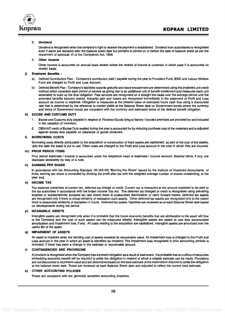

#### 3. Dividend

Dividend is recognised when the company's right to receive the payment is established . Dividend from subsidiaries is recognised even if same are declared after the balance sheet date but pertains to period on or before the date of balance sheet as per the requirment of schedule VI of the Compaines Act, 1956.

#### 4. Other Income

Other Income is accounted on accrual basis except where the receipt of income is uncertain in which case it is accounted on receipt basis.

#### j) Employee Benefits :

- a) Defined Contribution Plan : Company's contribution paid / payable during the year to Provident Fund, ESIC and Labour Welfare Fund are charged to Profit and Loss Account.
- b) Defined Benefit Plan : Company's liabilities towards gratutity and leave encashment are determined using the projected unit credit method which considers each period of service as giving rise to an additional unit of benefit entitlement and measures each unit separately to build up the final obligation. Past services are recognised on a straight line basis over the average period until the amended benefits become vested. Actuarial gain and losses are recognised immediately in the statement of Profit and Loss account as income or expense. Obligation is measured at the present value of estimated future cash flow using a discounted rate that is determined by the reference to market yields at the Balance Sheet date on Government bonds where the currency and terms of Government bonds are consistent with the currency and estimated terms of the defined benefit obligation.

#### k) EXCISE AND CUSTOMS DUTY

- 1. Excise and Customs duty payable in respect of Finished Goods lying at factory / bonded premises are provided for and included in the valuation of inventory.
- 2. CENVAT credit of Excise Duty availed during the year is accounted for by reducing purchase cost of the materials and is adjusted against excise duty payable on clearance of goods produced.

#### I) BORROWING COSTS

Borrowing costs directly attributable to the acquisition or construction of fixed assets are capitalised as part of the cost of the assets, upto the date the asset is put to use. Other costs are charged to the Profit and Loss account in the year in which they are incurred.

#### m) PRIOR PERIOD ITEMS

Prior period expenses / income is accounted under the respective head of expenses / income account, Material items, if any, are disclosed separately by way of a note.

#### n) EARNING PER SHARE

In accordance with the Accounting Standard -20 (AS-20) "Earning Per Share" issued by the Institute of Chartered Accountants of India, earning per share is computed by dividing the profit after tax with the weighted average number of shares outstanding, at the year end.

#### o) INCOME TAX

Tax expense comprises of current tax, deferred tax charge or credit. Current tax is measured at the amount expected to be paid to the tax authorities in accordance with the Indian Income Tax Act. The deferred tax charged or credit is recognised using prevailing enacted or substantatively annexed tax rate where there is unabsorbed depreciation or carry forward losses, deferred tax assets are recognised only if there is virtual certainty of realisation such assets. Other deferred tax assets are recognised only to the extent there is reasonable certainity of realisation in future. Deferred tax assets / liabilities are reviewed as at each Balance Sheet date based on developments during the period.

#### INTANGIBLE ASSETS p)

Intangible assets are recognised only when it is probable that the future economic benefits that are attributable to the asset will flow to the Company and the cost of such assets can be measured reliably. Intangible assets are stated at cost less accumulated amortization and impairment loss, if any. All costs relating to the acquisition are capitalized. Intangible assets are amortized over the useful life of the asset.

#### q) IMPAIRMENT OF ASSETS

An asset is impaired when the carrying cost of assets exceeds its recoverable value. An impairment loss is charged to the Profit and Loss account in the year in which an asset is identified as impaired. The impairment loss recognised in prior accounting periods is reversed, if there has been a change in the estimate or recoverable amount.

#### r) CONTINGENCIES AND PROVISIONS

A provision is recognised when the Company has a present obligation as a result of past event. It is probable that an outflow of resources embodying economic benefit will be required to settle the obligation in respect of which a reliable estimate can be made. Provisions are not discounted to its present value and are determined based on the best estimate of the expenditure required to settle the obligation at the balance sheet date. These are reviewed at each Balance Sheet date and adjusted to reflect the current best estimate.

#### s) OTHER ACCOUNTING POLICIES

These are consistent with the generally accepted accounting practices.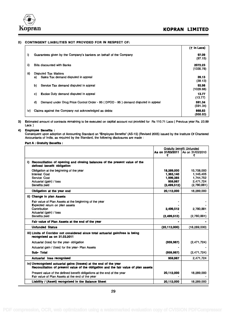

#### 2) CONTINGENT LIABILITIES NOT PROVIDED FOR IN RESPECT OF:

|      |                                                                                        | $($ ₹ in Lacs)       |  |
|------|----------------------------------------------------------------------------------------|----------------------|--|
| i)   | Guarantees given by the Company's bankers on behalf of the Company                     | 97.09<br>(97.15)     |  |
| ii)  | <b>Bills discounted with Banks</b>                                                     | 2072.23<br>(1335.78) |  |
| iii) | <b>Disputed Tax Matters</b>                                                            |                      |  |
|      | Sales Tax demand disputed in appeal<br>a)                                              | 39.13<br>(39.13)     |  |
|      | b)<br>Service Tax demand disputed in appeal                                            | 93.98<br>(1029.68)   |  |
|      | <b>Excise Duty demand disputed in appeal</b><br>C)                                     | 13.77<br>(13.77)     |  |
|      | d)<br>Demand under Drug Price Control Order - 95 (DPCO - 95) demand disputed in appeal | 591.34<br>(591.34)   |  |
| iv)  | Claims against the Company not acknowledged as debts:                                  | 868.83<br>(868.83)   |  |

3) Estimated amount of contracts remaining to be executed on capital account not provided for Rs 110.71 Lacs ( Previous year Rs. 23.89 Lacs )

#### 4) Employee Benefits :

Consequent upon adoption of Accounting Standard on "Employee Benefits" (AS-15) (Revised 2005) issued by the Institute Of Chartered Accountants of India, as required by the Standard, the following disclosures are made :

#### Part A : Gratuity Benefits :

|                                                                                                                                                         |                                                                  | <b>Gratuity benefit Unfunded</b>                                 |
|---------------------------------------------------------------------------------------------------------------------------------------------------------|------------------------------------------------------------------|------------------------------------------------------------------|
|                                                                                                                                                         | As on 31/03/2011<br>₹                                            | As on 31/03/2010<br>₹                                            |
| Reconciliation of opening and closing balances of the present value of the<br>D.<br>defined benefit obligation                                          |                                                                  |                                                                  |
| Obligation at the beginning of the year<br><b>Interest Cost</b><br>Service Cost<br>Actuarial (gain) / loss<br><b>Benefits paid</b>                      | 18.289.000<br>1,363,140<br>1,999,385<br>959,987<br>(2, 499, 512) | 15.708.000<br>1,145,405<br>1,744,752<br>2,471,724<br>(2,780,881) |
| Obligation at the year end                                                                                                                              | 20,112,000                                                       | 18,289,000                                                       |
| ii) Change in plan Assets<br>Fair value of Plan Assets at the beginning of the year                                                                     |                                                                  |                                                                  |
| <b>Expected return on plan assets</b><br>Contribution<br>Actuarial (gain) / loss<br><b>Benefits paid</b>                                                | 2,499,512<br>(2,499,512)                                         | 2,780,881<br>(2,780,881)                                         |
| Fair value of Plan Assets at the end of the year                                                                                                        |                                                                  |                                                                  |
| <b>Unfunded Status</b>                                                                                                                                  | (20, 112, 000)                                                   | (18, 289, 000)                                                   |
| iii) Limits of Corridor not considered since total actuarial gain/loss is being<br>recognised as on 31.03.2011                                          |                                                                  |                                                                  |
| Actuarial (loss) for the year-obligation                                                                                                                | (959, 987)                                                       | (2,471,724)                                                      |
| Actuarial gain / (loss) for the year- Plan Assets                                                                                                       |                                                                  |                                                                  |
| Sub-Total                                                                                                                                               | (959, 987)                                                       | (2,471,724)                                                      |
| <b>Actuarial loss recognised</b>                                                                                                                        | 959,987                                                          | 2,471,724                                                        |
| iv) Unrecognised actuarial gains (losses) at the end of the year<br>Reconciliation of present value of the obligation and the fair value of plan assets |                                                                  |                                                                  |
| Present value of the defined benefit obligations at the end of the year<br>Fair value of Plan Assets at the end of the year                             | 20,112,000                                                       | 18,289,000                                                       |
| Liability / (Asset) recognised in the Balance Sheet                                                                                                     | 20,112,000                                                       | 18,289,000                                                       |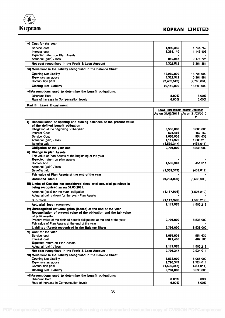

## Kopran Koran Kopran Koran Koran Koran Koran Koran Koran Koran Koran Koran Koran Koran Koran Koran Koran Koran Koran Koran Koran Koran Koran Koran Koran Koran Koran Koran Koran Koran Koran Koran Koran Koran Koran Koran Kora

| v) Cost for the year                                          |             |             |
|---------------------------------------------------------------|-------------|-------------|
| Service cost                                                  | 1,999,385   | 1.744.752   |
| Interest cost                                                 | 1,363,140   | 1.145.405   |
| <b>Expected return on Plan Assets</b>                         |             |             |
| Actuarial (gain) / loss                                       | 959,987     | 2.471.724   |
| Net cost recognised in the Profit & Loss Account              | 4,322,512   | 5,361,881   |
| vi) Movement in the liability recognised in the Balance Sheet |             |             |
| Opening Net Liability                                         | 18,289,000  | 15,708,000  |
| Expenses as above                                             | 4.322.512   | 5,361,881   |
| Contribution paid                                             | (2,499,512) | (2,780,881) |
| <b>Closing Net Liability</b>                                  | 20,112,000  | 18,289,000  |
| vii)Assumptions used to determine the benefit obligations:    |             |             |
| Discount Rate                                                 | 8.00%       | 8.00%       |
| Rate of increase in Compensation levels                       | 6.00%       | 6.00%       |

Part B : Leave Encashment

|                                                                           | Leave Encashment benefit Unfunded |                  |
|---------------------------------------------------------------------------|-----------------------------------|------------------|
|                                                                           | As on 31/03/2011                  | As on 31/03/2010 |
|                                                                           | ₹                                 | ₹                |
| i) Reconciliation of opening and closing balances of the present value    |                                   |                  |
| of the defined benefit obligation                                         |                                   |                  |
| Obligation at the beginning of the year                                   | 8,538,000                         | 6,065,000        |
| <b>Interest Cost</b>                                                      | 621,466                           | 467,160          |
| Service Cost                                                              | 1,055,905                         | 951.632          |
| Actuarial (gain) / loss                                                   | 1,117,976                         | 1,505,219        |
| <b>Benefits paid</b>                                                      | (1,539,347)                       | (451, 011)       |
| Obligation at the year end                                                | 9,794,000                         | 8.538.000        |
| ii) Change in plan Assets                                                 |                                   |                  |
| Fair value of Plan Assets at the beginning of the year                    |                                   |                  |
| Expected return on plan assets                                            |                                   |                  |
| Contribution                                                              | 1,539,347                         | 451,011          |
| Actuarial (gain) / loss                                                   |                                   |                  |
| <b>Benefits paid</b>                                                      | (1,539,347)                       | (451, 011)       |
| Fair value of Plan Assets at the end of the year                          |                                   |                  |
| <b>Unfunded Status</b>                                                    | (9,794,000)                       | (8,538,000)      |
| iii) Limits of Corridor not considered since total actuarial gain/loss is |                                   |                  |
| being recognised as on 31,03,2011.                                        |                                   |                  |
| Actuarial (loss) for the year-obligation                                  | (1, 117, 976)                     | (1,505,219)      |
| Actuarial gain / (loss) for the year- Plan Assets                         |                                   |                  |
| Sub-Total                                                                 | (1,117,976)                       | (1,505,219)      |
| <b>Actuarial loss recognised</b>                                          | 1,117,976                         | 1.505.219        |
|                                                                           |                                   |                  |
| iv) Unrecognised actuarial gains (losses) at the end of the year          |                                   |                  |
| Reconciliation of present value of the obligation and the fair value      |                                   |                  |
| of plan assets                                                            |                                   |                  |
| Present value of the defined benefit obligations at the end of the year   | 9,794,000                         | 8,538,000        |
| Fair value of Plan Assets at the end of the year                          |                                   |                  |
| Liability / (Asset) recognised in the Balance Sheet                       | 9,794,000                         | 8,538,000        |
| v) Cost for the year                                                      |                                   |                  |
| Service cost                                                              | 1,055,905                         | 951.632          |
| Interest cost                                                             | 621,466                           | 467,160          |
| <b>Expected return on Plan Assets</b>                                     |                                   |                  |
| Actuarial (gain) / loss                                                   | 1,117,976                         | 1,505,219        |
| Net cost recognised in the Profit & Loss Account                          | 2,795,347                         | 2.924.011        |
| vi) Movement in the liability recognised in the Balance Sheet             |                                   |                  |
| <b>Opening Net Liability</b>                                              | 8,538,000                         | 6,065,000        |
| Expenses as above                                                         | 2,795,347                         | 2,924,011        |
| Contribution paid                                                         | (1,539,347)                       | (451, 011)       |
| <b>Closing Net Liability</b>                                              | 9,794,000                         | 8.538.000        |
| vii) Assumptions used to determine the benefit obligations:               |                                   |                  |
| Discount Rate                                                             | 8.00%                             | 8.00%            |
| Rate of increase in Compensation levels                                   | 6.00%                             | 6.00%            |
|                                                                           |                                   |                  |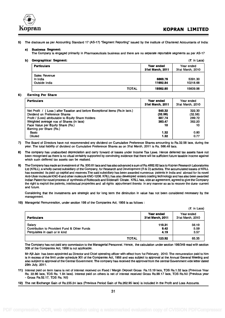

5) The disclosure as per Accounting Standard 17 (AS-17) "Segment Reporting" issued by the institute of Chartered Accountants of India:

#### a) Business Segment:

The Company is engaged primarily in Pharmaceuticals business and there are no separate reportable segments as per AS-17

#### b) Geographical Segment: (Z in Lacs) and the set of the set of the set of the set of the set of the set of the set of the set of the set of the set of the set of the set of the set of the set of the set of the set of the

| <b>Particulars</b>                         |              | Year ended<br>31st March, 2011 | Year ended<br>31st March, 2010 |
|--------------------------------------------|--------------|--------------------------------|--------------------------------|
| Sales Revenue<br>In India<br>Outside India |              | 6869.76<br>11692.84            | 5391.30<br>10218.68            |
|                                            | <b>TOTAL</b> | 18562.60                       | 15609.98                       |

#### 6) Earning Per Share

| <b>Particulars</b>                                                            | Year ended<br>31st March, 2011 | Year ended<br>31st March, 2010 |
|-------------------------------------------------------------------------------|--------------------------------|--------------------------------|
| Net Profit / (Loss) after Taxation and before Exceptional items (Rs.in lacs.) | 540.32                         | 322.30                         |
| Dividend on Preference Shares                                                 | (32.58)                        | (32.58)                        |
| Profit / (Loss) attributable to Equity Share Holders                          | 507.74                         | 289.72                         |
| Weighted average nos of Shares (in lacs)                                      | 383.47                         | 362.20                         |
| Face Value per Equity Share (Rs.)                                             | 10                             | 10                             |
| Eaming per Share (Rs.)                                                        |                                |                                |
| Basic                                                                         | 1.32                           | 0.80                           |
| <b>Diluted</b>                                                                | 1.32                           | 0.77                           |

7) The Board of Directors have not recommended any dividend on Cumulative Preference Shares amounting to Rs.32.58 lacs, during the year. The total liability of dividend on Cumulative Preference Shares as on 31st March, 2011 is Rs. 566.48 lacs.

8) The company has unabsorbed depreciation and carry forward of losses under Income Tax Laws. Hence deferred tax assets have not been recognised as there is no vitual certainty supported by convincing evidence that there will be sufficient future taxable inocme against which such deffered tax assets can be realised.

9) The Company has made an investment of Rs. 500.61 lacs and has also advanced a sum of Rs.4882.62 lacs to Kopran Research Laboratories Ltd (KRLL), a wholly owned subsidiary of the Company, for Research and Development (R & D) activities. The accumulated losses of KRLL has exceeded its paid up capital and reserves.The said subsidiary has been awarded numerous patents in India and abroad for its novel Anti-Ulcer molecule KNC-6 and other molecule KNC-1206. KRLL has also developed enteric coating technology and has also been awarded Indian Patent for novel process of synthesis of Rofecoxib and Sildenafil Citrate. KRLL has, vide an agreement, agreed to give the Company the right to exploit the patents, intellectual properties and all rights appurtenant thereto in any manner so as to recover the dues- current and future.

Considering that the investments are strategic and for long term the diminution in value has not been considered necessary by the management.

10) Managerial Remuneration, under section 198 of the Companies Act, 1956 is as follows :

|                                              |              |                                | $(5 \text{ in } \text{Lacs})$  |
|----------------------------------------------|--------------|--------------------------------|--------------------------------|
| <b>Particulars</b>                           |              | Year ended<br>31st March, 2011 | Year ended<br>31st March, 2010 |
| Salary                                       |              | 110.31                         | 56.19                          |
| Contribution to Provident Fund & Other Funds |              | 9.42                           | 5.59                           |
| Perquisites in cash or in kind               |              | 4.19                           | 3.57                           |
|                                              | <b>TOTAL</b> | 123.92                         | 65.35                          |

The Company has not paid any commission to the Managerial Personnel. Hence, the calculation under section 198/349 read with section 309 of the Companies Act, 1956 is not applicable.

Mr Ajit Jain has been appointed as Director and Chief operating officer with effect from 1st February, 2010. The remuneration paid to him is in excess of the limit under schedule XIII of the Companies Act, 1956 and was subject to approval at the Annual General Meeting and also subject to approval of the Central Government. The company has received the approval from the central Government vide letter dated 29th July, 2011.

11) Interest paid on term loans is net of interest received on Fixed / Margin Deposit Gross Rs.13.19 lacs, TDS Rs.1.32 lacs (Previous Year Rs. 22.86 lacs, TDS Rs. 1.94 lacs). Interest paid on others is net of interest received Gross Rs.99.17 lacs, TDS Rs.Nil (Previous year - Gross Rs.52.17, TDS Rs. Nil)

12) The net Exchange Gain of Rs.235.24 lacs (Previous Period Gain of Rs.262.95 lacs) is included in the Profit and Loss Accounts.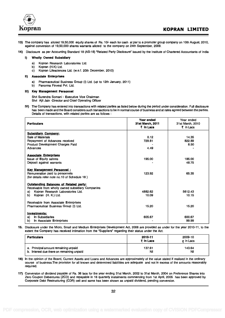

- 13) The company has alloted 19,50,000 equity shares of Rs. 10/- each for cash at par to a promoter group company on 10th August, 2010, against conversion of 19,50,000 shares warrants alloted to the company on 24th September, 2009.
- 14) Disclosure as per Accounting Standard 18 (AS-18) "Related Party Disclosure" issued by the Institute of Chartered Accountants of India

#### I) Wholly Owned Subsidiary

- a) Kopran Research Laboratories Ltd.
- b) Kopran (H.K) Ltd.
- c) Kopran Lifesciences Ltd. (w.e.f. 20th December, 2010)

#### II) Associate Enterprises

- a) Pharmaceutical Business Group (I) Ltd. (up to 12th January, 2011)
- b) Panorma Finvest Pvt. Ltd.

#### III) Key Management Personnel

Shri Surendra Somani - Executive Vice Chairman Shri Ajit Jain -Director and Chief Operating Officer

IV) The Company has entered into transactions with related parties as listed below during the period under consideration. Full disclosure has been made and the Board considers such transactions to be in normal course of business and at rates agreed between the parties. Details of transactions, with related parties are as follows :

| <b>Particulars</b>                                                                                 | Year ended<br>31st March, 2011<br>₹ in Lacs | Year ended<br>31st March, 2010<br>₹ in Lacs |
|----------------------------------------------------------------------------------------------------|---------------------------------------------|---------------------------------------------|
| <b>Subsidiary Company:</b>                                                                         |                                             |                                             |
| Sale of Materials                                                                                  | 0.12                                        | 14.35                                       |
| Repayment of Advances received                                                                     | 729.81                                      | 822.89                                      |
| <b>Product Development Charges Paid</b>                                                            |                                             | 8.50                                        |
| Advances                                                                                           | 4.49                                        |                                             |
| <b>Associate Enterprises</b>                                                                       |                                             |                                             |
| <b>Issue of Equity sahres</b>                                                                      | 195.00                                      | 185.00                                      |
| Deposit against warrants                                                                           |                                             | 48.75                                       |
| <b>Kev Management Personnel:</b>                                                                   |                                             |                                             |
| Remuneration paid to personnels                                                                    | 123.92                                      | 65.35                                       |
| (for details refer note no.10 of Schedule 18)                                                      |                                             |                                             |
| <b>Outstanding Balances of Related party:</b><br>Receivable from wholly owned subsidiary Companies |                                             |                                             |
| a) Kopran Research Laboratories Ltd.                                                               | 4882.62                                     | 5612.43                                     |
| Kopran (H. K.) Ltd.<br>b) -                                                                        | 10.09                                       | 10.15                                       |
| Receivable from Associate Enterprises                                                              |                                             |                                             |
| Pharmaceutical Business Group (I) Ltd.                                                             | 15.20                                       | 15.20                                       |
| Investments:                                                                                       |                                             |                                             |
| In Subsidiaries<br>a).                                                                             | 605.67                                      | 600.67                                      |
| In Associate Enterprises<br>b).                                                                    |                                             | 99.99                                       |

15. Disclosure under the Micro, Small and Medium Enterprises Development Act, 2006 are provided as under for the year 2010-11, to the extent the Company has received intimation from the "Suppliers" regarding their status under the Act.

| <b>Particulars</b>                        | 2010-11<br>₹ in Lacs | 2009-10<br>$\overline{z}$ in Lacs |
|-------------------------------------------|----------------------|-----------------------------------|
| a. Principal amount remaining unpaid      | 137.61               | 143.64                            |
| b. Interest due there on remaining unpaid | Nil                  | Nil                               |

- 16) In the opinion of the Board, Current Assets and Loans and Advances are approximately of the value stated if realised in the ordinary course of business.The provision for all known and determined liabilities are adequate and not in excess of the amounts reasonably required.
- 17) Conversion of dividend payable of Rs. 36 lacs for the year ending 31st March, 2002 to 31st March, 2004 on Preference Shares into Zero Coupon Debentures (ZCD) and repayable in 16 quarterly instalments commencing from 1st April, 2005 has been approved by Corporate Debt Restructuring (CDR) cell and same has been shown as unpaid dividend, pending conversion.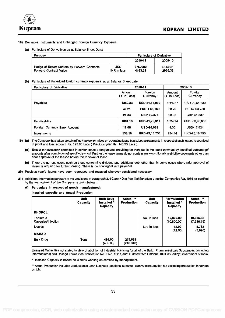

#### 18) Derivative Instruments and Unhedged Foreign Currency Exposure.

#### (a) Particulars of Derivatives as at Balance Sheet Date:

| Purpose                                                                       |                           | <b>Particulars of Derivative</b> |                    |
|-------------------------------------------------------------------------------|---------------------------|----------------------------------|--------------------|
|                                                                               |                           | 2010-11                          | 2009-10            |
| Hedge of Export Debtors by Forward Contracts<br><b>Forward Contract Value</b> | <b>USD</b><br>INR in lacs | 8750000<br>4163.29               | 6343831<br>2966.33 |

#### (b) Particulars of Unhedged foreign currency exposure as at Balance Sheet date

| <b>Particulars of Derivative</b> |                         | 2010-11              | 2009-10                    |                     |  |
|----------------------------------|-------------------------|----------------------|----------------------------|---------------------|--|
|                                  | Amount<br>(そ In Lacs) ' | Foreign<br>Currency  | Amount<br>In Lacs)<br>. (₹ | Foreign<br>Currency |  |
| Payables                         | 1389.33                 | USD-31,15,090        | 1325.37                    | USD-29,51,830       |  |
|                                  | 43.21                   | <b>EURO-68.169</b>   | 38.70                      | <b>EURO-63,750</b>  |  |
|                                  | 28.34                   | GBP-39,473           | 28.03                      | GBP-41.339          |  |
| <b>Receivables</b>               | 1862.19                 | <b>USD-41,75,312</b> | 1524.74                    | USD -33,95,863      |  |
| Foreign Currency Bank Account    | 16.08                   | <b>USD-36,061</b>    | 8.00                       | <b>USD-17,824</b>   |  |
| Investments                      | 133.19                  | HKD-23,18,750        | 134.44                     | HKD-23.18.750       |  |

- 19) (a) The Company has taken certain office / factory primises on operating lease basis. Lease payments in respect of such leases recognised in profit and loss account Rs. 193.65 Lacs ( Previous year Rs. 148.30 Lacs ).
	- (b) Except for escalation contained in certain lease arrangements providing for increase in the lease payment by specified percentage/ amounts after completion of specified period. Further the lease terms do not contain any exceptional / restrictive covenants other than prior approval of the leasee before the renewal of lease.
	- (c) There are no restrictions such as those concerning dividend and additional debt other than in some cases where prior approval of lesser is required for further leasing. There is no contingent rent payment.
- 20) Previous year's figures have been regrouped and recasted wherever considered necessary.
- 21) Additional information pursuant to the provisions of paragraph 3, 4 C and 4D of Part II of Schedule VI to the Companies Act, 1956 as certified by the management of the Company is given below :
	- A) Particulars in respect of goods manufactured:

Installed capacity and Actual Production

|                                 | <b>Unit</b><br>Capacity | <b>Bulk Drug</b><br>Installed *<br>Capacity | Actual **<br>Production | Unit<br>Capacity | <b>Formulation</b><br>installed *<br>Capacity | Actual **<br><b>Production</b> |
|---------------------------------|-------------------------|---------------------------------------------|-------------------------|------------------|-----------------------------------------------|--------------------------------|
| <b>KHOPOLI</b>                  |                         |                                             |                         |                  |                                               |                                |
| Tablets &<br>Capsules/Injection |                         |                                             |                         | No. in lacs      | 10,800.00<br>(10,800.00)                      | 10,385.38<br>(7,216.75)        |
| Liquids                         |                         |                                             |                         | Ltrs in lacs     | 12.00<br>(12.00)                              | 5,782<br>(3,990)               |
| <b>MAHAD</b>                    |                         |                                             |                         |                  |                                               |                                |
| <b>Bulk Drug</b>                | <b>Tons</b>             | 495.00<br>(495.00)                          | 274.663<br>(216.813)    |                  |                                               |                                |

Licensed Capacities not stated in view of abolition of industrial licensing for all of the Bulk. Pharmaceuticals Substances (including intermediates) and Dosage Forms vide Notification No. F No. 10(11)/92/LP dated 25th October, 1994 issued by Government of India.

\* Installed Capacity is based on 3 shifts working as certified by management.

\*\* Actual Production includes production at Loan Licensee locations, samples, captive consumption but excluding production for others on job.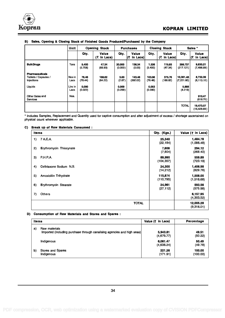

|                                                                         | Unit                              |                                      | <b>Opening Stock</b>   | <b>Purchases</b>                   |                          |                                       | <b>Closing Stock</b>   |                                             | Sales *                   |
|-------------------------------------------------------------------------|-----------------------------------|--------------------------------------|------------------------|------------------------------------|--------------------------|---------------------------------------|------------------------|---------------------------------------------|---------------------------|
|                                                                         |                                   | Qty.                                 | Value<br>$(5$ in Lacs) | Qty.                               | Value<br>ا(₹<br>in Lacs) | Qty.                                  | Value<br>$(5$ in Lacs) | Qty.                                        | Value<br>(₹<br>in Lacs)   |
| <b>Bulk Drugs</b>                                                       | <b>Tons</b>                       | 5.400<br>(5.708)                     | 47.34<br>(68.93)       | 20,000<br>(0.000)                  | 136.34<br>(0.00)         | 1.326<br>(5.400)                      | 115.93<br>(47.34)      | 298.737<br>(217.121)                        | 9,830.21<br>(7,496.89)    |
| <b>Pharmaceuticals</b><br>Tablets / Capsules /<br>Injections<br>Liquids | Nos in<br>Lacs<br>Ltrs in<br>Lacs | 76.46<br>(78.44)<br>0.090<br>(0.022) | 188.82<br>(64.22)      | 3.60<br>(2.87)<br>0.069<br>(0.299) | 143.46<br>(392.02)       | 103.96<br>(76.46)<br>0.053<br>(0.090) | 375.76<br>(188.82)     | 10,361,48<br>(7,221.60)<br>5.888<br>(4.219) | 8,732.39<br>(8, 113.10)   |
| Other Sales and<br><b>Services</b>                                      | Nos.                              |                                      |                        |                                    |                          |                                       |                        |                                             | 910.47<br>(818.70)        |
|                                                                         |                                   |                                      |                        |                                    |                          |                                       |                        | <b>TOTAL</b>                                | 19,473.07<br>(16, 428.69) |

#### B) Sales, Opening & Closing Stock of Finished Goods Produced/Purchased by the Company

\* Includes Samples, Replacement and Quantity used for captive consumption and after adjustment of excess / shortage ascertained on physical count wherever applicable.

#### C) Break up of Raw Materials Consumed :

| <b>Items</b> |                               | Qty. (Kgs.)           | Value (₹ in Lacs)       |
|--------------|-------------------------------|-----------------------|-------------------------|
| 1)           | 7 A.C.A.                      | 25,340<br>(22, 184)   | 1,484.78<br>(1,098.48)  |
| 2)           | Erythromycin Thiocynate       | 7,606<br>(7, 804)     | 294.12<br>(268.40)      |
| 3)           | <b>P.H.P.A.</b>               | 89,990<br>(104, 357)  | 559.89<br>(723.19)      |
| 4)           | Ceftriaxone Sodium N.S.       | 24,300<br>(14, 212)   | 1,406.98<br>(829.76)    |
| 5)           | <b>Amoxicillin Trihydrate</b> | 115,874<br>(110, 795) | 1,508.00<br>(1,518.68)  |
| 6)           | <b>Erythromycin Stearate</b>  | 24,961<br>(27, 112)   | 593.56<br>(575.98)      |
| 7)           | <b>Others</b>                 |                       | 6,157.95<br>(4,303.52)  |
|              | <b>TOTAL</b>                  |                       | 12,005.28<br>(9,318.01) |

#### D) Consumption of Raw Materials and Stores and Spares :

| Items                                                                                          | Value $(7 \text{ in} \text{ Lacs})$ | Percentage         |
|------------------------------------------------------------------------------------------------|-------------------------------------|--------------------|
| Raw materials<br>a)<br>Imported (including purchase through canalising agencies and high seas) | 5,943.81<br>(4,679.77)              | 49.51<br>(50.22)   |
| Indigenous                                                                                     | 6,061.47<br>(4,638.24)              | 50.49<br>(49.78)   |
| b)<br>Stores and Spares<br>Indigenous                                                          | 221.26<br>(171.91)                  | 100.00<br>(100.00) |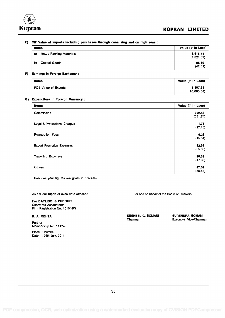

#### E) CIF Value of Imports including purchases through canalising and on high seas :

| Items |                         | Value (₹ in Lacs)      |
|-------|-------------------------|------------------------|
| a)    | Raw / Packing Materials | 5,418.71<br>(4,321.87) |
| b)    | Capital Goods           | 96.50<br>(42.51)       |

#### F) Earnings in Foreign Exchange :

| Items                | Value (₹ in Lacs)        |
|----------------------|--------------------------|
| FOB Value of Exports | 11,397.51<br>(10,065.84) |

#### G) Expenditure in Foreign Currency :

| <b>Items</b>                     | Value (₹ in Lacs) |
|----------------------------------|-------------------|
| Commission                       | 392.48            |
|                                  | (331.74)          |
| Legal & Professional Charges     | 1.71              |
|                                  | (27.15)           |
| <b>Registration Fees</b>         | 0.28              |
|                                  | (15.54)           |
| <b>Export Promotion Expenses</b> | 32.69             |
|                                  | (65.35)           |
| <b>Travelling Expenses</b>       | 90.61             |
|                                  | (47.38)           |
| <b>Others</b>                    | 47.64             |
|                                  | (35.84)           |

As per our report of even date attached.

#### For BATLIBOI & PUROHIT

Chartered Accountants Firm Registration No. 101048W

#### K. A. MEHTA

Partner Membership No. 111749

Place : Mumbai Date : 29th July, 2011 For and on behalf of the Board of Directors

SUSHEEL G. SOMANI SURENDRA SOMANI Chairman Executive Vice-Chairman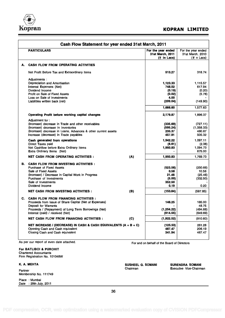

| Cash Flow Statement for year ended 31st March, 2011 |                                                                              |     |                                                       |                                                     |
|-----------------------------------------------------|------------------------------------------------------------------------------|-----|-------------------------------------------------------|-----------------------------------------------------|
|                                                     | <b>PARTICULARS</b>                                                           |     | For the year ended<br>31st March, 2011<br>(₹ in Lacs) | For the year ended<br>31st March, 2010<br>(₹n Lacs) |
| А.                                                  | <b>CASH FLOW FROM OPERATING ACTIVITIES</b>                                   |     |                                                       |                                                     |
|                                                     | Net Profit Before Tax and Extraordinary items                                |     | 513.27                                                | 318.74                                              |
|                                                     | Adjustments:                                                                 |     |                                                       |                                                     |
|                                                     | Depreciation and Amortisation                                                |     | 1,123.33                                              | 1,115.57                                            |
|                                                     | Interest Expenses (Net)                                                      |     | 748.52                                                | 617.94                                              |
|                                                     | Dividend Income                                                              |     | (0.19)                                                | (0.20)                                              |
|                                                     | Profit on Sale of Fixed Assets                                               |     | (0.02)                                                | (5.78)                                              |
|                                                     | Loss on Sale of Investments                                                  |     | 4.00                                                  |                                                     |
|                                                     | Liabilities written back (net)                                               |     | (209.04)                                              | (149.90)                                            |
|                                                     |                                                                              |     | 1,666.60                                              | 1,577.63                                            |
|                                                     | Operating Profit before working capital changes                              |     | 2,179.87                                              | 1,896.37                                            |
|                                                     | Adjustment for:                                                              |     |                                                       |                                                     |
|                                                     | (Increase) decrease in Trade and other receivables                           |     | (335.69)                                              | (727.11)                                            |
|                                                     | (Increase) decrease in Inventories                                           |     | (595.24)                                              | (1,058.33)                                          |
|                                                     | (Increase) decrease in Loans, Advances & other current assets                |     | 235.37                                                | 480.87                                              |
|                                                     | Increase (decrease) in Trade payables                                        |     | 457.91                                                | 505.32                                              |
|                                                     | Cash generated from operations                                               |     | 1,942.22                                              | 1.097.11                                            |
|                                                     | Direct Taxes paid                                                            |     | (8.61)                                                | (2.38)                                              |
|                                                     | Net Cashflow before Extra Ordinary Items                                     |     | 1,950.83                                              | 1,094.73                                            |
|                                                     | <b>Extra Ordinary Items (Net)</b>                                            |     |                                                       | 675.00                                              |
|                                                     | NET CASH FROM OPERATING ACTIVITIES :                                         | (A) | 1,950.83                                              | 1,769.73                                            |
| в.                                                  | <b>CASH FLOW FROM INVESTING ACTIVITIES :</b>                                 |     |                                                       |                                                     |
|                                                     | <b>Purchase of Fixed Assets</b>                                              |     | (523.56)                                              | (250.66)                                            |
|                                                     | Sale of Fixed Assets                                                         |     | 0.58                                                  | 10.56                                               |
|                                                     | (Increase) / Decrease in Capital Work in Progress                            |     | 21.46                                                 | (25.46)                                             |
|                                                     | Purchase of Investments                                                      |     | (5.00)                                                | (332.50)                                            |
|                                                     | Sale of Investments                                                          |     | 352.50                                                |                                                     |
|                                                     | Dividend Income                                                              |     | 0.19                                                  | 0.20                                                |
|                                                     | <b>NET CASH FROM INVESTING ACTIVITIES:</b>                                   | (B) | (153.84)                                              | (597.85)                                            |
|                                                     | C. CASH FLOW FROM FINANCING ACTIVITIES :                                     |     |                                                       |                                                     |
|                                                     | Proceeds from Issue of Share Capital (Net of Expenses)                       |     | 146.25                                                | 185.00                                              |
|                                                     | Deposit for Warrants<br>Proceeds / (Repayment) of Long Term Borrowings (Net) |     | (1, 254.22)                                           | 48.75<br>(494.66)                                   |
|                                                     | Interest (paid) / received (Net)                                             |     | (814.55)                                              | (649.69)                                            |
|                                                     | <b>NET CASH FLOW FROM FINANCING ACTIVITIES:</b>                              | (C) | (1,922.52)                                            | (910.60)                                            |
|                                                     |                                                                              |     |                                                       |                                                     |
|                                                     | NET INCREASE / (DECREASE) IN CASH & CASH EQUIVALENTS (A + B + C)             |     | (125.53)                                              | 261.28                                              |
|                                                     | Opening Cash and Cash equivalent                                             |     | 467.47                                                | 206.19                                              |
|                                                     | Closing Cash and Cash equivalent                                             |     | 341.94                                                | 467.47                                              |

As per our report of even date attached.

For and on behalf of the Board of Directors

SUSHEEL G. SOMANI SURENDRA SOMANI<br>Chairman Executive Vice-Chairm

Executive Vice-Chairman

For BATLIBOI & PUROHIT Chartered Accountants Firm Registration No. 101048W

#### K. A. MEHTA

Partner Membership No. 111749

Place : Mumbai Date : 29th July, 2011

36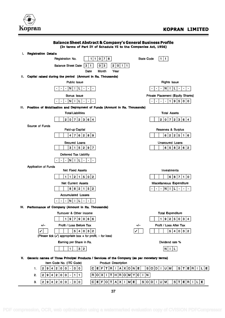

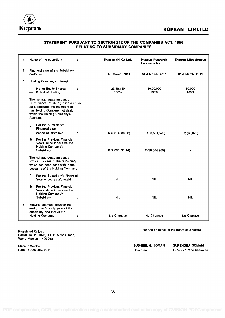

### STATEMENT PURSUANT TO SECTION 212 OF THE COMPANIES ACT, 1956 RELATING TO SUBSIDIARY COMPANIES

| 1. | Name of the subsidiary                                                                                                                                                              |   | Kopran (H.K.) Ltd. | Kopran Research<br>Laboratories Ltd. | Kopran Lifesciences<br>Ltd. |
|----|-------------------------------------------------------------------------------------------------------------------------------------------------------------------------------------|---|--------------------|--------------------------------------|-----------------------------|
| 2. | Financial year of the Subsidiary<br>ended on                                                                                                                                        |   | 31st March, 2011   | 31st March, 2011                     | 31st March, 2011            |
| З. | Holding Company's Interest                                                                                                                                                          |   |                    |                                      |                             |
|    | No. of Equity Shares<br><b>Extent of Holding</b>                                                                                                                                    |   | 23,18,750<br>100%  | 50,00,000<br>100%                    | 50,000<br>100%              |
| 4. | The net aggregate amount of<br>Subsidiary's Profits / (Losses) so far<br>as it concerns the members of<br>the Holding Company not dealt<br>within the Holding Company's<br>Account. |   |                    |                                      |                             |
|    | For the Subsidiary's<br>i).<br>Financial year                                                                                                                                       |   |                    |                                      |                             |
|    | ended as aforesaid                                                                                                                                                                  |   | HK \$ (10,336.38)  | ₹ (8,591,579)                        | ₹ (38,070)                  |
|    | For the Previous Financial<br>ii)<br>Years since it became the<br>Holding Company's<br>Subsidiary                                                                                   | ÷ | HK \$ (27,591.14)  | ₹(30,564,965)                        | $(-)$                       |
|    | The net aggregate amount of<br>Profits / Losses of the Subsidiary<br>which has been dealt with in the<br>accounts of the Holding Company                                            |   |                    |                                      |                             |
|    | For the Subsidiary's Financial<br>i)<br>Year ended as aforesaid                                                                                                                     |   | <b>NIL</b>         | <b>NIL</b>                           | <b>NIL</b>                  |
|    | For the Previous Financial<br>ii)<br>Years since it became the<br><b>Holding Company's</b><br>Subsidiary                                                                            |   | <b>NIL</b>         | <b>NIL</b>                           | <b>NIL</b>                  |
| 5. | Material changes between the<br>end of the financial year of the<br>subsidiary and that of the                                                                                      |   |                    |                                      |                             |
|    | <b>Holding Company</b>                                                                                                                                                              |   | No Changes         | No Changes                           | No Charges                  |

Registered Office : Parijat House, 1076, Dr. E. Moses Road, Worli, Mumbai  $-400$  018.

Place : Mumbai Date : 29th July, 2011 For and on behalf of the Board of Directors

SUSHEEL G. SOMANI SURENDRA SOMANI Chairman Executive Vice-Chairman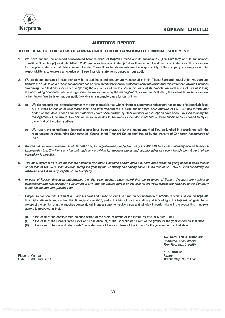

### AUDITOR'S REPORT

#### TO THE BOARD OF DIRECTORS OF KOPRAN LIMITED ON THE CONSOLIDATED FINANCIAL STATEMENTS

- 1. We have audited the attached consolidated balance sheet of Kopran Limited and its subsidiaries. [The Company and its subsidiaries constitute The Group "] as at 31st March, 2011, and also the consolidated profit and loss account and the consolidated cash flow statement for the year ended on that date annexed thereto. These financial statements are the responsibility of the company's management. Our responsibility is to express an opinion on these financial statements based on our audit.
- 2. We conducted our audit in accordance with the auditing standards generally accepted in India. These Standards require that we plan and perform the audit to obtain reasonable assurance about whether the financial statements are free of material misstatement. An audit includes examining, on a test basis, evidence supporting the amounts and disclosures in the financial statements. An audit also includes assessing the accounting principles used and significant estimates made by the management, as well as evaluating the overall financial statement presentation. We believe that our audit provides a reasonable basis for our opinion.
- 3. a) We did not audit the financial statements of certain subsidiaries, whose financial statements reflect total assets (net of current liabilities) of Rs. 2599.17 lacs as at 31st March 2011 and total revenue of Rs. 4.58 lacs and total cash outflows of Rs. 0.42 lacs for the year ended on that date. These financial statements have been audited by other auditors whose reports have been furnished to us by the management of the Group. Our opinion, in so far relates to the amounts included in respect of these subsidiaries, is based solely on the report of the other auditors.
	- b) We report the consolidated financial results have been prepared by the management of Kopran Limited in accordance with the requirements of Accounting Standards 21 'Consolidated Financial Statements' issued by the Institute of Chartered Accountants of India.
- 4. Kopran Ltd has made investments of Rs. 500.61 lacs and given unsecured advances of Rs. 4882.62 lacs to its subsidiary Kopran Research Laboratories Ltd. The Company has not made any provision for the investments and doubtful advances even though the net worth of the subsidiary is negative.
- 5. The other auditors have stated that the accounts of Kopran Research Laboratories Ltd. have been made on going concern basis inspite of net loss of Rs. 85.92 lacs incurred during the year by the Company and having accumulated loss of Rs. 2976.12 lacs exceeding the reserves and the paid up capital of the Company.
- 6. In case of Kopran Research Laboratories Ltd, the other auditors have stated that the balances of Sundry Creditors are subject to confirmation and reconciliation / adjustment, if any, and the impact thereof on the loss for the year, assets and reserves of the Company is not ascertained and provided for.
- 7. Subject to our comments in para 4, 5 and 6 above and based on our Audit and on consideration of reports of other auditors on separate financial statements and on the other financial information, and to the best of our information and according to the explanation given to us, we are of the opinion that the attached consolidated financial statements give a true and fair view in conformity with the accounting principles generally accepted in India:
	- (i) in the case of the consolidated balance sheet, of the state of affairs of the Group as at 31st March, 2011.
	- (ii) in the case of the Consolidated Profit and Loss account, of the Consolidated Profit of the group for the year ended on that date.
	- (iii) in the case of the consolidated cash flow statement, of the cash flows of the Group for the year ended on that date.

For BATLIBOI & PUROHIT Chartered Accountants Firm Reg. No.101048W

K. A. MEHTA Partner Membership No.111749

Place : Mumbai Date : 29th July, 2011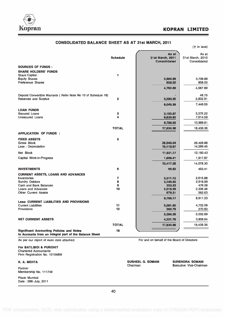

|                                                                                                            |                 |                                  | $($ ₹ in lacs)                   |
|------------------------------------------------------------------------------------------------------------|-----------------|----------------------------------|----------------------------------|
|                                                                                                            |                 | As at                            | As at                            |
|                                                                                                            | <b>Schedule</b> | 31st March, 2011<br>Consolidated | 31st March. 2010<br>Consolidated |
| <b>SOURCES OF FUNDS:</b>                                                                                   |                 |                                  |                                  |
| <b>SHARE HOLDERS' FUNDS</b>                                                                                |                 |                                  |                                  |
| Share Capital:                                                                                             | 1               |                                  |                                  |
| <b>Equity Shares</b>                                                                                       |                 | 3,904.89                         | 3,709.89                         |
| <b>Preference Shares</b>                                                                                   |                 | 858.00                           | 858.00                           |
|                                                                                                            |                 | 4,762.89                         | 4,567.89                         |
| Deposit Convertible Warrants (Refer Note No 10 of Schedule 18)                                             |                 |                                  | 48.75                            |
| <b>Reserves and Surplus</b>                                                                                | $\overline{2}$  | 3,283.50                         | 2,832.91                         |
|                                                                                                            |                 | 8,046.39                         | 7,449.55                         |
| <b>LOAN FUNDS</b>                                                                                          |                 |                                  |                                  |
| Secured Loans                                                                                              | 3               | 3,152.97                         | 3,375.22                         |
| Unsecured Loans                                                                                            | 4               | 6,635.62                         | 7,614.59                         |
|                                                                                                            |                 | 9,788.59                         | 10,989.81                        |
|                                                                                                            | <b>TOTAL</b>    | 17,834.98                        | 18,439.36                        |
| <b>APPLICATION OF FUNDS:</b>                                                                               |                 |                                  |                                  |
| <b>FIXED ASSETS</b>                                                                                        | 5               |                                  |                                  |
| Gross Block                                                                                                |                 | 26,940.04                        | 26,429.88                        |
| Less : Depreciation                                                                                        |                 | 15,418.87                        | 14,269.45                        |
| Net Block                                                                                                  |                 | 11,521.17                        | 12,160.43                        |
| Capital Work-in-Progress                                                                                   |                 | 1,896.41                         | 1,917.87                         |
|                                                                                                            |                 | 13,417.58                        | 14,078.30                        |
| <b>INVESTMENTS</b>                                                                                         | 6               | 95.62                            | 452.41                           |
| <b>CURRENT ASSETS, LOANS AND ADVANCES</b>                                                                  |                 |                                  |                                  |
| <b>Inventories</b>                                                                                         | 7               | 3,211.12                         | 2,615.88                         |
| <b>Sundry Debtors</b>                                                                                      | 8               | 3,446.92                         | 2,916.99                         |
| Cash and Bank Balances                                                                                     | 9               | 353.23                           | 479.38                           |
| Loans and Advances                                                                                         | 10              | 2,016.59                         | 2,336.46                         |
| <b>Other Current Assets</b>                                                                                |                 | 678.31                           | 562.63                           |
| <b>Less: CURRENT LIABILITIES AND PROVISIONS</b>                                                            |                 | 9,706.17                         | 8,911.33                         |
| <b>Current Liabilities</b>                                                                                 | 11              | 5,081.60                         | 4,732.09                         |
| Provisions                                                                                                 | 12              | 302.79                           | 270.60                           |
|                                                                                                            |                 | 5,384.39                         | 5,002.69                         |
| <b>NET CURRENT ASSETS</b>                                                                                  |                 | 4,321.78                         | 3,908.64                         |
|                                                                                                            | <b>TOTAL</b>    | 17,834.98                        | 18,439.36                        |
|                                                                                                            | 18              |                                  |                                  |
| <b>Significant Accounting Policies and Notes</b><br>to Accounts from an integral part of the Balance Sheet |                 |                                  |                                  |

#### CONSOLIDATED BALANCE SHEET AS AT 31st MARCH, 2011

For BATLIBOI & PUROHIT Chartered Accountants Firm Registration No. 101048W

Partner Membership No. 111749

Place: Mumbai Date : 29th July, 2011

As per our report of even date attached. For and on behalf of the Board of Directors

K. A. MEHTA SUSHEEL G. SOMANI SURENDRA SOMANI SURENDRA SOMANI SURENDRA SOMANI SURENDRA SOMANI SURENDRA SOMANI Executive Vice-Chairman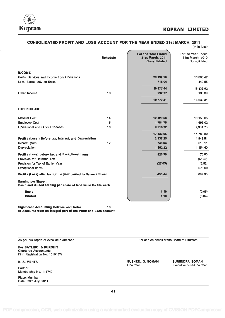

#### CONSOLIDATED PROFIT AND LOSS ACCOUNT FOR THE YEAR ENDED 31st MARCH, 2011

|                                                                                             |                 |                                                               | $($ $\overline{\tau}$ in lacs)                         |  |
|---------------------------------------------------------------------------------------------|-----------------|---------------------------------------------------------------|--------------------------------------------------------|--|
|                                                                                             | <b>Schedule</b> | For the Year Ended<br>31st March, 2011<br><b>Consolidated</b> | For the Year Ended<br>31st March, 2010<br>Consolidated |  |
| <b>INCOME</b>                                                                               |                 |                                                               |                                                        |  |
| Sales, Services and Income from Operations                                                  |                 | 20,192.58                                                     | 16,885.47                                              |  |
| Less: Excise duty on Sales                                                                  |                 | 715.04                                                        | 449.55                                                 |  |
|                                                                                             |                 | 19,477.54                                                     | 16,435.92                                              |  |
| Other Income                                                                                | 13              | 292.77                                                        | 196.39                                                 |  |
|                                                                                             |                 | 19,770.31                                                     | 16,632.31                                              |  |
| <b>EXPENDITURE</b>                                                                          |                 |                                                               |                                                        |  |
| <b>Material Cost</b>                                                                        | 14              | 12,429.58                                                     | 10,156.05                                              |  |
| <b>Employee Cost</b>                                                                        | 15              | 1,784.76                                                      | 1,695.02                                               |  |
| Operational and Other Expenses                                                              | 16              | 3,218.72                                                      | 2,931.73                                               |  |
|                                                                                             |                 | 17,433.06                                                     | 14,782.80                                              |  |
| Profit / (Loss) Before tax, Interest, and Depreciation                                      |                 | 2,337.25                                                      | 1,849.51                                               |  |
| Interest (Net)                                                                              | 17              | 748.64                                                        | 618.11                                                 |  |
| Depreciation                                                                                |                 | 1,162.22                                                      | 1,154.60                                               |  |
| Profit / (Loss) before tax and Exceptional items                                            |                 | 426.39                                                        | 76.80                                                  |  |
| Provision for Deferred Tax                                                                  |                 |                                                               | (65.40)                                                |  |
| Provision for Tax of Earlier Year                                                           |                 | (27.05)                                                       | (3.52)                                                 |  |
| <b>Exceptional Items</b>                                                                    |                 |                                                               | 675.00                                                 |  |
| Profit / (Loss) after tax for the year carried to Balance Sheet                             |                 | 453.44                                                        | 689.93                                                 |  |
| <b>Earning per Share:</b><br>Basic and diluted earning per share of face value Rs.10/- each |                 |                                                               |                                                        |  |
| <b>Basic</b>                                                                                |                 | 1.10                                                          | (0.05)                                                 |  |
| <b>Diluted</b>                                                                              |                 | 1.10                                                          | (0.04)                                                 |  |
|                                                                                             |                 |                                                               |                                                        |  |

Significant Accounting Policies and Notes 18 to Accounts from an integral part of the Profit and Loss account

As per our report of even date attached.

For BATLIBOI & PUROHIT Chartered Accountants Firm Registration No. 101048W

K. A. MEHTA

Partner Membership No. 111749

Place: Mumbai Date : 29th July, 2011 For and on behalf of the Board of Directors

SUSHEEL G. SOMANI SURENDRA SOMANI<br>Chairman Executive Vice-Chairm

Executive Vice-Chairman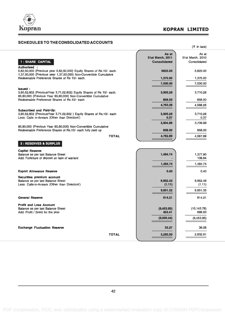

 $($ ₹ in lacs)

### SCHEDULES TO THE CONSOLIDATED ACCOUNTS

|                                                                                                                                              | As at               | As at              |  |
|----------------------------------------------------------------------------------------------------------------------------------------------|---------------------|--------------------|--|
|                                                                                                                                              | 31st March, 2011    | 31st March, 2010   |  |
| 1 : SHARE CAPITAL                                                                                                                            | <b>Consolidated</b> | Consolidated       |  |
| <b>Authorised:</b>                                                                                                                           |                     |                    |  |
| 5,62,50,000 (Previous year 5,62,50,000) Equity Shares of Rs.10/- each.<br>1,37,50,000 (Previous year 1,37,50,000) Non-Convertible Cumulative | 5625.00             | 5,625,00           |  |
| Redeemable Preference Shares of Rs 10/- each.                                                                                                | 1,375.00            | 1,375.00           |  |
|                                                                                                                                              | 7,000.00            | 7,000.00           |  |
| Issued:                                                                                                                                      |                     |                    |  |
| 3,90,52,602 (Previous Year 3,71,02,602) Equity Shares of Rs 10/- each.<br>85,80,000 (Previous Year 85,80,000) Non-Convertible Cumulative     | 3,905.26            | 3,710.26           |  |
| Redeemable Preference Shares of Rs.10/- each                                                                                                 | 858.00              | 858.00             |  |
|                                                                                                                                              | 4,763.26            | 4,568.26           |  |
| <b>Subscribed and Paid-Up:</b>                                                                                                               |                     |                    |  |
| 3,90,52,602 (Previous Year 3,71,02,602) Equity Shares of Rs.10/- each                                                                        | 3,905.26            | 3,710.26           |  |
| Less: Calls in-Arrears (Other than Directors')                                                                                               | 0.37                | 0.37               |  |
|                                                                                                                                              | 3,904.89            | 3,709.89           |  |
| 85,80,000 (Previous Year 85,80,000) Non-Convertible Cumulative                                                                               |                     |                    |  |
| Redeemable Preference Shares of Rs.10/- each fully paid up                                                                                   | 858,00              | 858,00             |  |
| <b>TOTAL</b>                                                                                                                                 | 4,762.89            | 4,567.89           |  |
| 2 : RESERVES & SURPLUS                                                                                                                       |                     |                    |  |
| <b>Capital Reserve</b>                                                                                                                       |                     |                    |  |
| Balance as per last Balance Sheet<br>Add: Forfeiture of deposit on laps of warrant                                                           | 1,484.74            | 1.377.90<br>106.84 |  |
|                                                                                                                                              |                     |                    |  |
|                                                                                                                                              | 1,484.74            | 1,484.74           |  |
| <b>Export Allowance Reserve</b>                                                                                                              | 0.40                | 0.40               |  |
| Securities premium account                                                                                                                   |                     |                    |  |
| Balance as per last Balance Sheet                                                                                                            | 9,952.43            | 9,952.46           |  |
| Less: Calls-in-Arrears (Other than Directors')                                                                                               | (1.11)              | (1.11)             |  |
|                                                                                                                                              | 9,951.32            | 9,951.35           |  |
| <b>General Reserve</b>                                                                                                                       | 814.21              | 814.21             |  |
| <b>Profit and Loss Account</b>                                                                                                               |                     |                    |  |
| Balance as per last Balance Sheet                                                                                                            | (9,453.85)          | (10,143.78)        |  |
| Add: Profit / (loss) for the year                                                                                                            | 453.41              | 689.93             |  |
|                                                                                                                                              | (9,000.44)          | (9,453.85)         |  |
| <b>Exchange Fluctuation Reserve</b>                                                                                                          | 33.27               | 36.06              |  |
| <b>TOTAL</b>                                                                                                                                 | 3,283.50            | 2,832.91           |  |
|                                                                                                                                              |                     |                    |  |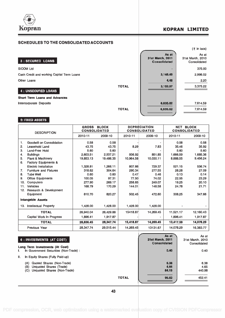

### Kopran Koran Kopran Kopran Koran Koran Koran Koran Koran Koran Koran Koran Koran Koran Koran Koran Koran Koran Koran Koran Koran Koran Koran Koran Koran Koran Koran Koran Koran Koran Koran Koran Koran Koran Koran Koran Kor

#### SCHEDULES TO THE CONSOLIDATED ACCOUNTS



#### 5: FIXED ASSETS

| <b>DESCRIPTION</b> |                               | <b>GROSS</b><br><b>CONSOLIDATED</b> | <b>BLOCK</b> |           | <b>DEPRECIATION</b><br><b>CONSOLIDATED</b> | <b>NET BLOCK</b><br><b>CONSOLIDATED</b> |           |
|--------------------|-------------------------------|-------------------------------------|--------------|-----------|--------------------------------------------|-----------------------------------------|-----------|
|                    |                               | 2010-11                             | 2009-10      | 2010-11   | 2009-10                                    | 2010-11                                 | 2009-10   |
| $\mathbf{1}$ .     | Goodwill on Consolidation     | 0.58                                | 0.58         |           |                                            | 0.58                                    | 0.58      |
| 2.                 | Leasehold Land                | 43.75                               | 43.75        | 8.29      | 7.83                                       | 35.46                                   | 35.92     |
| 3.                 | Land-Free Hold                | 5.60                                | 5.60         |           |                                            | 5.60                                    | 5.60      |
| 4.                 | <b>Buildings</b>              | 2,603.51                            | 2.537.21     | 936.92    | 851.85                                     | 1,666.59                                | 1,685,36  |
| 5.                 | Plant & Machinery             | 19,853.13                           | 19.486.35    | 10.964.58 | 10,030.11                                  | 8.888.55                                | 9,456.24  |
| 6.                 | Factory Equipments &          |                                     |              |           |                                            |                                         |           |
|                    | Electric Installation         | 1.328.81                            | 1.266.11     | 807.66    | 729.37                                     | 521.15                                  | 536.74    |
| 7 <sub>1</sub>     | <b>Furniture and Fixtures</b> | 318.62                              | 304.64       | 290.34    | 277.55                                     | 28.28                                   | 27.09     |
| 8.                 | <b>Tube Well</b>              | 0.60                                | 0.60         | 0.47      | 0.46                                       | 0.13                                    | 0.14      |
| 9.                 | <b>Office Equipments</b>      | 100.05                              | 97.31        | 77.50     | 74.02                                      | 22.55                                   | 23.29     |
| 10.                | Computers                     | 277.90                              | 269.17       | 258.65    | 249.07                                     | 19.25                                   | 20.10     |
| 11.                | Vehicles                      | 168.79                              | 170.29       | 144.01    | 148.58                                     | 24.78                                   | 21.71     |
| 12.                | Research & Development        |                                     |              |           |                                            |                                         |           |
|                    | Equipment                     | 810.70                              | 820.27       | 502.45    | 472.60                                     | 308.25                                  | 347.66    |
|                    | <b>Intangeble Assets</b>      |                                     |              |           |                                            |                                         |           |
| 13.                | <b>Intellectual Property</b>  | 1,428.00                            | 1,428.00     | 1,428.00  | 1,428.00                                   |                                         |           |
|                    | <b>TOTAL</b>                  | 26,940.04                           | 26,429.88    | 15418.87  | 14,269.45                                  | 11,521.17                               | 12,160.43 |
|                    | Capital Work In Progress      | 1,896.41                            | 1,917.87     |           |                                            | 1,896.41                                | 1,917.87  |
|                    | <b>TOTAL</b>                  | 28,836.45                           | 28,347.74    | 15,418.87 | 14.269.45                                  | 13,417.59                               | 14,078.29 |
|                    | Previous Year                 | 28,347.74                           | 29,515.44    | 14.269.45 | 13131.67                                   | 14.078.29                               | 16,383.77 |

|    | 6 : INVESTMENTS (AT COST)                                                                                |              | As at<br>31st March, 2011<br>Consolidated | As at<br>31st March, 2010<br>Consolidated |  |
|----|----------------------------------------------------------------------------------------------------------|--------------|-------------------------------------------|-------------------------------------------|--|
| L. | Long Term Investments (At Cost)<br>In Government Securities (Non-Trade) :                                |              | 0.40                                      | 0.40                                      |  |
| H. | In Equity Shares (Fully Paid-up)                                                                         |              |                                           |                                           |  |
|    | Quoted Shares (Non-Trade)<br>(A)<br>(B)<br>Unquoted Shares (Trade)<br>Unquoted Shares (Non-Trade)<br>(C) |              | 6.38<br>4.65<br>84.19                     | 6.38<br>4.65<br>440.98                    |  |
|    |                                                                                                          | <b>TOTAL</b> | 95.62                                     | 452.41                                    |  |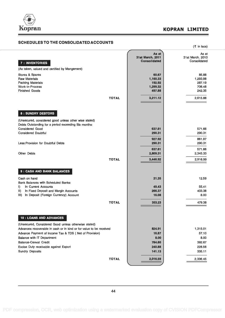

### SCHEDULES TO THE CONSOLIDATED ACCOUNTS

| SCHEDULES TO THE CONSOLIDATED ACCOUNTS                                                                                                                                                                                                                                                                                                             |                                                               | $(5 \in \mathsf{in} \mathsf{lacs})$                         |
|----------------------------------------------------------------------------------------------------------------------------------------------------------------------------------------------------------------------------------------------------------------------------------------------------------------------------------------------------|---------------------------------------------------------------|-------------------------------------------------------------|
| 7 : INVENTORIES<br>(As taken, valued and certified by Mangement)                                                                                                                                                                                                                                                                                   | As at<br>31st March, 2011<br><b>Consolidated</b>              | As at<br>31st March, 2010<br>Consolidated                   |
| Stores & Spares<br><b>Raw Materials</b><br><b>Packing Materials</b><br><b>Work-in-Process</b><br><b>Finished Goods</b><br><b>TOTAL</b>                                                                                                                                                                                                             | 60.67<br>1,160.33<br>192.92<br>1,299.32<br>497.88<br>3,211.12 | 85,88<br>1,293.98<br>287.19<br>706.48<br>242.35<br>2,615.88 |
| 8 : SUNDRY DEBTORS<br>(Unsecured, considered good unless other wise stated)<br>Debts Outstanding for a period exceeding Six months:<br><b>Considered Good</b><br><b>Considered Doubtful</b>                                                                                                                                                        | 637.61<br>290.31                                              | 571.66<br>290.31                                            |
| Less: Provision for Doubtful Debts<br><b>Other Debts</b><br><b>TOTAL</b>                                                                                                                                                                                                                                                                           | 927.92<br>290.31<br>637.61<br>2,809.31<br>3,446.92            | 861.97<br>290.31<br>571.66<br>2,345.33<br>2,916.99          |
| 9 : CASH AND BANK BALANCES<br>Cash on hand<br><b>Bank Balances with Scheduled Banks:</b><br>I)<br>In Current Accounts                                                                                                                                                                                                                              | 21.35<br>49.43                                                | 12.59<br>55.41                                              |
| $\vert \vert \vert$<br>In Fixed Deposit and Margin Accounts<br>In Deposit (Foreign Currency) Account<br>III)<br><b>TOTAL</b>                                                                                                                                                                                                                       | 266.37<br>16.08<br>353.23                                     | 403.38<br>8.00<br>479.38                                    |
| 10 : LOANS AND ADVANCES<br>(Unsecured, Considered Good unless otherwise stated)<br>Advances recoverable in cash or in kind or for value to be received<br>Advance Payment of Income Tax & TDS ( Net of Provision)<br>Balance with IT Department<br><b>Balance-Cenvat Credit</b><br>Excise Duty receivable against Export<br><b>Sundry Deposits</b> | 824.91<br>16.87<br>8.00<br>784.80<br>240.88<br>141.13         | 1,315.01<br>57.10<br>8.00<br>392.67<br>228.56<br>335.11     |
| <b>TOTAL</b>                                                                                                                                                                                                                                                                                                                                       | 2,016.59                                                      | 2,336.45                                                    |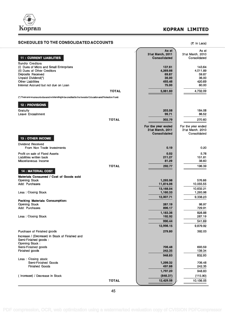

### SCHEDULES TO THE CONSOLIDATED ACCOUNTS (Times) (Times)

| <b>11 : CURRENT LIABILITIES</b>                                                                            | As at<br>31st March, 2011<br><b>Consolidated</b> | As at<br>31st March, 2010<br>Consolidated |
|------------------------------------------------------------------------------------------------------------|--------------------------------------------------|-------------------------------------------|
| <b>Sundry Creditors</b><br>(i) Dues of Micro and Small Enterprises                                         | 137.61                                           | 143.64                                    |
| (ii) Dues of Other Creditors                                                                               | 4.269.66                                         | 4,011.89                                  |
| Deposits Received                                                                                          | 69.87                                            | 59.87                                     |
| Unpaid Dividend(*)<br><b>Other Liabilities</b>                                                             | 36.00<br>493.46                                  | 36.00<br>420.69                           |
| Interest Accrued but not due on Loan                                                                       | 75,00                                            | 60.00                                     |
| <b>TOTAL</b>                                                                                               |                                                  |                                           |
|                                                                                                            | 5,081.60                                         | 4,732.09                                  |
| (*) There are no amounts due and outstanding to be credited to the Investor Education and Protection Fund. |                                                  |                                           |
| 12 : PROVISIONS                                                                                            |                                                  |                                           |
| Gratuity                                                                                                   | 203,08                                           | 184.08                                    |
| Leave Encashment                                                                                           | 99.71                                            | 86.52                                     |
| <b>TOTAL</b>                                                                                               | 302.79                                           | 270.60                                    |
|                                                                                                            | For the year ended<br>31st March, 2011           | For the year ended<br>31st March, 2010    |
|                                                                                                            | <b>Consolidated</b>                              | Consolidated                              |
| <b>13 : OTHER INCOME</b>                                                                                   |                                                  |                                           |
| <b>Dividend Received</b><br>From Non Trade Investments                                                     | 0.19                                             | 0.20                                      |
| Profit on sale of Fixed Assets                                                                             | 0.02                                             | 5.78                                      |
| Liabilities written back                                                                                   | 211.27                                           | 151.81                                    |
| Miscellaneous Income                                                                                       | 81.29                                            | 38.60                                     |
| <b>TOTAL</b>                                                                                               | 292.77                                           | 196.39                                    |
| <b>14 : MATERIAL COST</b>                                                                                  |                                                  |                                           |
| Materials Consumed / Cost of Goods sold                                                                    |                                                  |                                           |
| <b>Opening Stock</b>                                                                                       | 1,293.98                                         | 576.66                                    |
| Add: Purchases                                                                                             | 11,874.06                                        | 10,055.55                                 |
|                                                                                                            | 13,168.04                                        | 10,632.21                                 |
| Less: Closing Stock                                                                                        | 1,160.33                                         | 1,293.98                                  |
| <b>Packing Materials Consumption:</b>                                                                      | 12,007.71                                        | 9,338.23                                  |
| <b>Opening Stock</b>                                                                                       | 287.19                                           | 98.97                                     |
| Add: Purchases                                                                                             | 896.17                                           | 729.91                                    |
|                                                                                                            | 1,183.36                                         | 828.88                                    |
| Less: Closing Stock                                                                                        | 192.92                                           | 287.19                                    |
|                                                                                                            | 990.44                                           | 541.69                                    |
|                                                                                                            | 12,998.15                                        | 9,879.92                                  |
| Purchase of Finished goods                                                                                 | 279.80                                           | 392.03                                    |
| Increase / (Decrease) in Stock of Finished and<br>Semi-Finished goods:                                     |                                                  |                                           |
| <b>Opening Stock:</b><br>Semi-Finished goods                                                               | 706.48                                           | 693.59                                    |
| Finished goods                                                                                             | 242.35                                           | 139.34                                    |
|                                                                                                            | 948.83                                           | 832.93                                    |
| Less : Closing stock:                                                                                      |                                                  |                                           |
| Semi-Finished Goods<br><b>Finished Goods</b>                                                               | 1,299.32<br>497.88                               | 706.48<br>242.35                          |
|                                                                                                            | 1,797.20                                         | 948.83                                    |
| (Increase) / Decrease in Stock                                                                             | (848.37)                                         | (115.90)                                  |
|                                                                                                            |                                                  |                                           |
| <b>TOTAL</b>                                                                                               | 12,429.58                                        | 10,156.05                                 |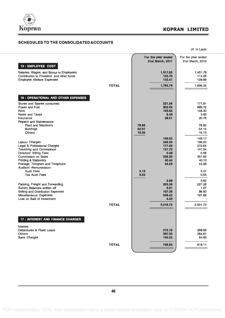

### Kopran KOPRAN LIMITED

#### SCHEDULES TO THE CONSOLIDATED ACCOUNTS

For the year ended 31st March, 2011  $($ ₹ in Lacs) For the year ended 31st March, 2010 15 : EMPLOYEE COST Salaries, Wages, and Bonus to Employees 1,451.78 1,451.78 1,451.78 1,451.78 1,451.78 1,451.78 1,451.78 1,451.78<br>Contribution to Provident and other funds Contribution to Provident and other funds<br>
Employee Welfare Expenses 114.26<br>
133.41 128.98 Employee Welfare Expenses TOTAL 1,784.76 1,695.02 16 : OPERATIONAL AND OTHER EXPENSES Stores and Spares consumed **221.26** 171.91 171.91 171.91 171.91 171.91 171.91 171.91 171.91 171.91 171.91 171.91 171.91 171.91 171.91 171.91 171.91 171.91 171.91 171.91 171.91 171.91 171.91 171.91 171.91 171.91 171.91 171. Power and Fuel 902.94 869.72 Rent 193.65 12.000 193.65 148.30 148.30 148.30 148.30 148.30 148.30 148.30 148.30 148.30 148.30 148.30 148.30 Rates and Taxes  $\qquad \qquad 5.65$ Insurance 28.51 20.78 Repairs and Maintenance Plant and Machinery 78.66 78.90<br>
Buildings 54.14 78.90 Buildings 62.07 54.14 Others 16.13 **16.13** 18.30 **16.13** 159.03 149.17<br>246.39 198.20 السابق المسابق المسابق المسابق المسابق المسابق المسابق المسابق المسابق المسابق المسابق المسابق المسابق المسابق<br>المسابق المسابق المسابق المسابق المسابق المسابق المسابق المسابق المسابق المسابق المسابق المسابق المسابق المساب Legal & Professional Charges 272.64 and 272.64 and 272.64 and 272.64 and 272.64 and 272.64 and 272.64 and 272.64 Travelling and Conveyance 141.54 and the convertion of the convertion of the convertion of the convertion of the convertion of the convertion of the convertion of the convertion of the convertion of the convertion of the c Directors' Sitting Fees 0.48 0.58 0.58 0.48 0.58 0.58 0.48 0.58 0.58 0.48 0.58 0.58 0.48 0.58 0.58 0.48 0.58 0.58 0.48 0.58 0.58 0.48 0.58 0.48 0.58 0.48 0.58 0.48 0.58 0.48 0.58 0.48 0.58 0.48 0.58 0.48 0.58 0.48 0.58 0.4 Commission on Sales 357.92<br>Printing & Stationery 357.92<br>Printing & Stationery 357.92 Printing & Stationery 40.44 and Telephone 40.44 40.44  $\pm$  20.44  $\pm$  40.44  $\pm$  40.44  $\pm$  40.44  $\pm$  40.44  $\pm$  40.44  $\pm$  40.44  $\pm$  40.44  $\pm$  40.44  $\pm$  40.44  $\pm$  40.44  $\pm$  40.44  $\pm$  40.44  $\pm$  40.44  $\pm$  40.45  $\pm$ Postage, Telegram and Telephone 34.28 and 34.29 and 34.28 and 34.28 and 34.28 and 34.28 and 34.28 and 34.28 and 34.28 and 34.28 and 34.28 and 34.28 and 34.28 and 34.28 and 34.28 and 35.3 and 35.3 and 35.3 and 35.3 and 35.3 Auditors' Remuneration:<br>Audit Fees Audit Fees 3.13 3.07 Tax Audit Fees 0.55 0.55 3.68 3.62 Packing, Freight and Forwarding 227.28 227.28 227.28 227.28 227.28 227.28 227.28 227.28 227.28 227.28 227.28 2<br>Sundry Balances written off 227.28 Sundry Balances written off **1.27**<br>
Selling and Distribution Expenses **1.27**<br>
107.36 107.36 107.36 26.90 Selling and Distribution Expenses 107.36 86.90<br>Miscellaneous Expenses 191.89 86.90 Miscellaneous Expenses Loss on Sale of Investment 4.00 TOTAL 10. 3,218.72 2,931.73 17 : INTEREST AND FINANCE CHARGES Interest : Debentures & Fixed Loans 268.65<br>
215.19 215.19 268.65<br>
215.19 284.61 Others 387.93 284.61 Bank Charges 145.52 64.85 TOTAL | 748.64 618.11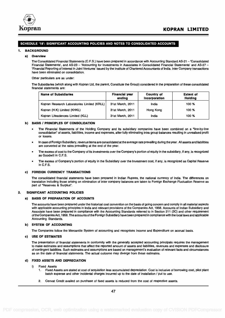

#### SCHEDULE '18': SIGNIFICANT ACCOUNTING POLICIES AND NOTES TO CONSOLIDATED ACCOUNTS

#### 1. BACKGROUND

#### a) Overview

The Consolidated Financial Statements (C.F.S.) have been prepared in accordance with Accounting Standard AS-21 - 'Consolidated Financial Statements', and AS-23 - 'Accounting for Investments in Associates in Consolidated Financial Statements' and AS-27 -'Financial Reporting of Interest in Joint Ventures' issued by the Institute of Chartered Accountants of India. Inter Company transactions have been eliminated on consolidation.

Other particulars are as under:

The Subsidiaries (which along with Kopran Ltd, the parent, Constitute the Group) considered in the preparation of these consolidated financial statements are:

| <b>Name of Subsidiaries</b>                 | <b>Financial year</b><br>endina | Country of<br>Incorporation | <b>Extent of</b><br>Holdina |
|---------------------------------------------|---------------------------------|-----------------------------|-----------------------------|
| Kopran Research Laboratories Limited (KRLL) | 31st March, 2011                | India                       | 100 %                       |
| Kopran (H.K) Limited (KHKL)                 | 31st March, 2011                | Hong Kong                   | 100 %                       |
| Kopran Lifesciences Limited (KLL)           | 31st March, 2011                | India                       | 100 %                       |

#### b) BASIS / PRINCIPLES OF CONSOLIDATION

- The Financial Statements of the Holding Company and its subsidiary companies have been combined on a "line-by-line consolidation" of assets, liabilities, income and expenses, after fully eliminating intra group balances resulting in unrealised profit or losses.
- In case of Foreign Subsidiary, revenue items are consolidated at the average rate prevailing during the year. All assets and liabilities are converted at the rates prevailing at the end of the year.
- The excess of cost to the Company of its investments over the Company's portion of equity in the subsidiary, if any, is recognized as Goodwill in C.F.S.
- The excess of Company's portion of equity in the Subsidiary over the Investment cost, if any, is recognized as Capital Reserve in C.F.S.

#### c) FOREIGN CURRENCY TRANSACTIONS

The consolidated financial statements have been prepared in Indian Rupees, the national currency of India. The differences on translation including those arising on elimination of inter company balances are taken to Foreign Exchange Fluctuation Reserve as part of "Reserves & Surplus".

#### 2. SIGNIFICANT ACCOUNTING POLICIES

#### a) BASIS OF PREPARATION OF ACCOUNTS

The accounts have been prepared under the historical cost convention on the basis of going concern and comply in all material aspects with applicable accounting principles in India and relevant provisions of the Companies Act, 1956. Accounts of Indian Subsidiary and Associate have been prepared in compliance with the Accounting Standards referred to in Section 211 (3C) and other requirement of the Companies Act, 1956. The accounts of the Foreign Subsidiary have been prepared in compliance with the local laws and applicable Accounting Standards.

#### b) SYSTEM OF ACCOUNTING

The Companies follow the Mercantile System of accounting and recognises Income and Expenditure on accrual basis.

#### c) USE OF ESTIMATES

The presentation of financial statements in conformity with the generally accepted accounting principals requires the management to make estimates and assumptions that affect the reported amount of assets and liabilities, revenues and expenses and disclosure of contingent liabilities. Such estimates and assumptions are based on management's evaluation of relevant facts and circumstances as on the date of financial statements. The actual outcome may diverge from these estimates.

#### d) FIXED ASSETS AND DEPRECIATION

- i) Fixed Assets
	- 1. Fixed Assets are stated at cost of acquisition less accumulated depreciation. Cost is inclusive of borrowing cost, pilot plant batch expense and other incidental charges incurred up to the date of installation / put to use.
	- 2. Cenvat Credit availed on purchase of fixed assets is reduced from the cost of respective assets.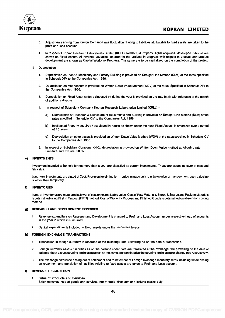

- 3. Adjustments arising from foreign Exchange rate fluctuation relating to liabilities attributable to fixed assets are taken to the profit and loss account.
- 4. In respect of Kopran Research Laboratories Limited (KRLL), Intellectual Property Rights acquired / developed in-house are shown as Fixed Assets. All revenue expenses incurred for the projects in progress with respect to process and product development are shown as Capital Work- in- Progress. The same are to be capitalized on the completion of the project.
- ii) Depreciation
	- 1. Depreciation on Plant & Machinery and Factory Building is provided on Straight Line Method (SLM) at the rates specified in Schedule XIV to the Companies Act, 1956.
	- 2. Depreciation on other assets is provided on Written Down Value Method (WDV) at the rates, Specified in Schedule XIV to the Companies Act, 1956.
	- 3. Depreciation on Fixed Asset added / disposed off during the year is provided on pro-rata basis with reference to the month of addition / disposal.
	- 4. In respect of Subsidiary Company Kopran Research Laboratories Limited (KRLL)
		- a) Depreciation of Research & Development Equipments and Building is provided on Straight Line Method (SLM) at the rates specified in Schedule XIV to the Companies Act, 1956.
		- b) Intellectual Property acquired / developed in-house as shown under the head Fixed Assets, is amortized over a period of 10 years.
		- c) Depreciation on other assets is provided on Written Down Value Method (WDV) at the rates specified in Schedule XIV to the Companies Act, 1956.
	- 5. In respect of Subsidiary Company KHKL, depreciation is provided on Written Down Value method at following rate: Furniture and fixtures: 20 %

#### e) INVESTMENTS

Investment intended to be held for not more than a year are classified as current investments. These are valued at lower of cost and fair value.

Long-term investments are stated at Cost. Provision for diminution in value is made only if, in the opinion of management, such a decline is other than temporary.

#### f) INVENTORIES

Items of Inventories are measured at lower of cost or net realisable value. Cost of Raw Materials, Stores & Spares and Packing Materials is determined using First in First out (FIFO) method. Cost of Work- in- Process and Finished Goods is determined on absorption costing method.

#### 9) RESEARCH AND DEVELOPMENT EXPENSES

- 1. Revenue expenditure on Research and Development is charged to Profit and Loss Account under respective head of accounts in the year in which it is incurred.
- 2. Capital expenditure is included in fixed assets under the respective heads.

#### h) FOREIGN EXCHANGE TRANSACTIONS

- 1. Transaction in foreign currency is recorded at the exchange rate prevailing as on the date of transaction.
- 2. Foreign Currency assets / liabilities as on the balance sheet date are translated at the exchange rate prevailing on the date of balance sheet except opening and closing stock as the same are translated at the opening and closing exchange rate respectively.
- 3. The exchange difference arising out of settlement and restatement of Foreign exchange monetary items including those arising on repayment and translation of liabilities relating to fixed assets are taken to Profit and Loss account.

#### i) REVENUE RECOGNITION

#### <sup>1</sup> Sales of Products and Services

Sales comprise sale of goods and services, net of trade discounts and include excise duty.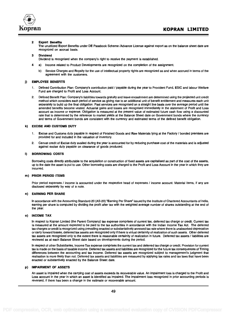

#### 2 Export Benefits

The unutilized Export Benefits under DE Passbook Scheme /Advance License against export as on the balance sheet date are recognized on accrual basis.

#### 3 Dividend

Dividend is recognised when the company's right to receive the payment is established.

- 4 a) Income related to Product Developments are recognized on the completion of the assignment.
	- b) Service Charges and Royalty for the use of intellectual property rights are recognized as and when accrued in terms of the agreement with the customers.

#### j) EMPLOYEE BENEFITS

- 1. Defined Contribution Plan: Company's contribution paid / payable during the year to Provident Fund, ESIC and labour Welfare Fund are charged to Profit and Loss Account.
- 2. Defined Benefit Plan: Company's liabilities towards gratuity and leave encashment are determined using the projected unit credit method which considers each period of service as giving rise to an additional unit of benefit entitlement and measures each unit separately to build up the final obligation. Past services are recognised on a straight line basis over the average period until the amended benefits become vested. Actuarial gains and losses are recognised immediately in the statement of Profit and Loss account as income or expense. Obligation is measured at the present value of estimated future cash flow using a discounted rate that is determined by the reference to market yields at the Balance Sheet date on Government bonds where the currency and terms of Government bonds are consistent with the currency and estimated terms of the defined benefit obligation.

#### k) EXCISE AND CUSTOMS DUTY

- Excise and Customs duty payable in respect of Finished Goods and Raw Materials lying at the Factory / bonded premises are provided for and included in the valuation of inventory.
- 2. Cenvat credit of Excise duty availed during the year is accounted for by reducing purchase cost of the materials and is adjusted against excise duty payable on clearance of goods produced.

#### I) BORROWING COSTS

Borrowing costs directly attributable to the acquisition or construction of fixed assets are capitalised as part of the cost of the assets, up to the date the asset is put to use. Other borrowing costs are charged to the Profit and Loss Account in the year in which they are incurred.

#### m) PRIOR PERIOD ITEMS

Prior period expenses / income is accounted under the respective head of expenses / income account. Material items, if any are disclosed separately by way of a note.

#### n) EARNING PER SHARE

In accordance with the Accounting Standard-20 (AS-20) "Earning Per Share" issued by the Institute of Chartered Accountants of India, earning per share is computed by dividing the profit after tax with the weighted average number of shares outstanding at the end of the year.

#### o) INCOME TAX

In respect to Kopran Limited (the Parent Company) tax expense comprises of current tax, deferred tax charge or credit. Current tax is measured at the amount expected to be paid to the tax authorities in accordance with the Indian Income Tax Act. The deferred tax charges or credit is recognized using prevailing enacted or substantatively annexed tax rate where there is unabsorbed deprecation or carry forward losses, deferred tax assets are recognized only if there is virtual certainity of realization of such assets. Other deferred tax assets are recognized only to the extent there is reasonable certainity of realization in future. Deferred tax assets / liabilities are reviewed as at each Balance Sheet date based on developments during the period.

In respect of other Subsidiaries, Income Tax expense comprises the current tax and deferred tax charge or credit. Provision for current tax is made on the basis of taxable income. Deferred tax assets and liabilities are recognized for the future tax consequences of Timing differences between the accounting and tax income. Deferred tax assets are recognized subject to management's judgment that realisation is more likely than not. Deferred tax assets and liabilities are measured by applying tax rates and tax laws that have been enacted or substantively enacted by the Balance Sheet date.

#### p) IMPAIRMENT OF ASSETS

An asset is impaired when the carrying cost of assets exceeds its recoverable value. An impairment loss is charged to the Profit and Loss account in the year in which an asset is identified as impaired. The impairment loss recognized in prior accounting periods is reversed, if there has been a change in the estimate or recoverable amount.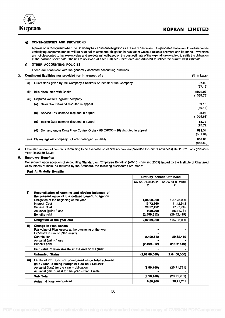

#### q) CONTINGENCIES AND PROVISIONS

A provision is recognised when the Company has a present obligation as a result of past event. It is probable that an oufflow of resources embodying economic benefit will be required to settle the obligation in respect of which a reliable estimate can be made. Provisions are not discounted to its present value and are determined based on the best estimate of the expenditure required to settle the obligation at the balance sheet date. These are reviewed at each Balance Sheet date and adjusted to reflect the current best estimate.

#### r) OTHER ACCOUNTING POLICIES

These are consistent with the generally accepted accounting practices.

#### 3. Contingent liabilities not provided for in respect of :  $(\bar{\tau})$  in Lacs)

| (i)   | Guarantees given by the Company's bankers on behalf of the Company               | 97.09<br>(97.15)     |
|-------|----------------------------------------------------------------------------------|----------------------|
| (ii)  | <b>Bills discounted with Banks</b>                                               | 2072.23<br>(1335.78) |
| (iii) | Disputed matters against company                                                 |                      |
|       | (a) Sales Tax Demand disputed in appeal                                          | 39.13<br>(39.13)     |
|       | (b) Service Tax demand disputed in appeal                                        | 93.98<br>(1029.68)   |
|       | <b>Excise Duty demand disputed in appeal</b><br>(c)                              | 13.77<br>(13.77)     |
|       | Demand under Drug Price Control Order - 95 (DPCO - 95) disputed in appeal<br>(d) | 591.34<br>(591.34)   |
|       | (iv) Claims against company not acknowledged as debts                            | 868.83<br>(868.83)   |

4. Estimated amount of contracts remaining to be executed on capital account not provided for (net of advances) Rs.110.71 Lacs (Previous Year Rs.23.89 Lacs).

#### 5. Employee Benefits:

Consequent upon adoption of Accounting Standard on "Employee Benefits" (AS-15) (Revised 2005) issued by the Institute of Chartered Accountants of India, as required by the Standard, the following disclosures are made:

#### Part A: Gratuity Benefits

|      |                                                                                                             |                        | <b>Gratuity benefit Unfunded</b> |  |  |
|------|-------------------------------------------------------------------------------------------------------------|------------------------|----------------------------------|--|--|
|      |                                                                                                             | As on 31.03.2011<br>₹  | As on 31.03.2010                 |  |  |
| i)   | Reconciliation of opening and closing balances of                                                           |                        |                                  |  |  |
|      | the present value of the defined benefit obligation                                                         |                        |                                  |  |  |
|      | Obligation at the beginning of the year<br><b>Interest Cost</b>                                             | 1,84,08,000            | 1,57,78,000                      |  |  |
|      | Service Cost                                                                                                | 13,72,660<br>20,57,152 | 11,42,943<br>17,97,745           |  |  |
|      | Actuarial (gain) / loss                                                                                     | 9.50.700               | 26.71.731                        |  |  |
|      | <b>Benefits paid</b>                                                                                        | (2,499,512)            | (29, 82, 419)                    |  |  |
|      | Obligation at the year end                                                                                  | 2.02.89.000            | 1.84.08.000                      |  |  |
| ii)  | <b>Change in Plan Assets</b>                                                                                |                        |                                  |  |  |
|      | Fair value of Plan Assets at the beginning of the year                                                      |                        |                                  |  |  |
|      | <b>Expected return on plan assets</b>                                                                       |                        |                                  |  |  |
|      | Contribution                                                                                                | 2,499,512              | 29,82,419                        |  |  |
|      | Actuarial (gain) / loss                                                                                     |                        |                                  |  |  |
|      | <b>Benefits paid</b>                                                                                        | (2,499,512)            | (29, 82, 419)                    |  |  |
|      | Fair value of Plan Assets at the end of the year                                                            |                        |                                  |  |  |
|      | <b>Unfunded Status</b>                                                                                      | (2.02.89,000)          | (1.84.08.000)                    |  |  |
| iii) | Limits of Corridor not considered since total actuarial<br>gain / loss is being recognized as on 31.03.2011 |                        |                                  |  |  |
|      | Actuarial (loss) for the year - obligation<br>Actuarial gain / (loss) for the year - Plan Assets            | (9,50,700)             | (26, 71, 731)                    |  |  |
|      | <b>Sub Total</b>                                                                                            | (9,50,700)             | (26, 71, 731)                    |  |  |
|      | <b>Actuarial loss recognized</b>                                                                            | 9,50,700               | 26.71.731                        |  |  |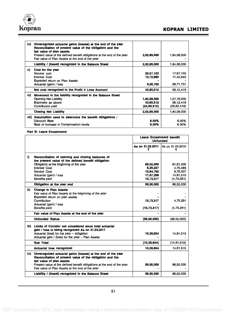

| Unrecognized actuarial gains (losses) at the end of the year<br>iv).<br>Reconciliation of present value of the obligation and the<br>fair value of plan assets |           |
|----------------------------------------------------------------------------------------------------------------------------------------------------------------|-----------|
| 1,84,08,000<br>Present value of the defined benefit obligations at the end of the year<br>2,02,89,000<br>Fair value of Plan Assets at the end of the year      |           |
| Liability / (Asset) recognized in the Balance Sheet<br>2,02,89,000<br>1,84,08,000                                                                              |           |
| Cost for the year                                                                                                                                              |           |
| Service cost<br>20,57,152                                                                                                                                      | 17,97,745 |
| 13,72,660<br><b>Interest Cost</b>                                                                                                                              | 11.42.943 |
| <b>Expected return on Plan Assets</b>                                                                                                                          |           |
| Actuarial (gain) / loss<br>9,50,700                                                                                                                            | 26.71.731 |
| Net cost recognized in the Profit & Loss Account<br>43,80,512                                                                                                  | 56,12,419 |
| Movement in the liability recognized in the Balance Sheet                                                                                                      |           |
| Opening Net Liability<br>1,84,08,000<br>1,57,78,000                                                                                                            |           |
| Expenses as above<br>43,80,512                                                                                                                                 | 56,12,419 |
| Contribution paid<br>(29,82,419)<br>(24, 99, 512)                                                                                                              |           |
| <b>Closing Net Liability</b><br>1,84,08,000<br>2,02,89,000                                                                                                     |           |
| Assumption used to determine the benefit obligations :<br>vii) -                                                                                               |           |
| Discount Rate<br>8.00%                                                                                                                                         | 8.00%     |
| Rate of increase in Compensation levels<br>6.00%                                                                                                               | 6.00%     |

Part B: Leave Encashment

|                                                                                                                                                                                                                         | <b>Leave Encashment benefit</b><br><b>Unfunded</b> |                       |
|-------------------------------------------------------------------------------------------------------------------------------------------------------------------------------------------------------------------------|----------------------------------------------------|-----------------------|
|                                                                                                                                                                                                                         | As on 31.03.2011<br>₹                              | As on 31.03.2010<br>₹ |
| i)<br>Reconciliation of opening and closing balances of<br>the present value of the defined benefit obligation                                                                                                          |                                                    |                       |
| Obligation at the beginning of the year                                                                                                                                                                                 | 86,52,000                                          | 61.81.000             |
| <b>Interest Cost</b>                                                                                                                                                                                                    | 6,29,227                                           | 4.75.469              |
| Service Cost                                                                                                                                                                                                            | 10,84,792                                          | 9,79,307              |
| Actuarial (gain) / loss                                                                                                                                                                                                 | 11,97,298                                          | 14.91.515             |
| <b>Benefits paid</b>                                                                                                                                                                                                    | 15,73,317                                          | (4,75,291)            |
| Obligation at the year end                                                                                                                                                                                              | 99,90,000                                          | 86,52,000             |
| ii)<br><b>Change in Plan Assets</b><br>Fair value of Plan Assets at the beginning of the year                                                                                                                           |                                                    |                       |
| <b>Expected return on plan assets</b>                                                                                                                                                                                   |                                                    |                       |
| Contribution                                                                                                                                                                                                            | 15,73,317                                          | 4,75,291              |
| Actuarial (gain) / loss<br><b>Benefits paid</b>                                                                                                                                                                         | (15,73,317)                                        | (4,75,291)            |
| Fair value of Plan Assets at the end of the year                                                                                                                                                                        |                                                    |                       |
| <b>Unfunded Status</b>                                                                                                                                                                                                  | (99, 90, 000)                                      | (86, 52, 000)         |
| Limits of Corridor not considered since total actuarial<br>iii)<br>gain / loss is being recognized As on 31.03.2011<br>Actuarial (loss) for the year - obligation<br>Actuarial gain / (loss) for the year - Plan Assets | 10,38,654                                          | 14,91,515             |
| <b>Sub Total</b>                                                                                                                                                                                                        | (10, 38, 654)                                      | (14, 91, 515)         |
| <b>Actuarial loss recognized</b>                                                                                                                                                                                        | 10,38,654                                          | 14,91,515             |
| Unrecognized actuarial gains (losses) at the end of the year<br>iv)<br>Reconciliation of present value of the obligation and the<br>fair value of plan assets                                                           |                                                    |                       |
| Present value of the defined benefit obligations at the end of the year<br>Fair value of Plan Assets at the end of the year                                                                                             | 99,90,000                                          | 86,52,000             |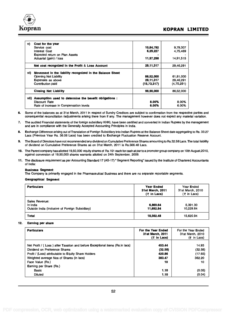

### dia ang karamatan na karamatan ng Kopesitas ng Kopesitas ng Kopesitas ng Kopesitas ng Kopesitas ng Kopesitas n

| v)    | Cost for the year                                         |             |            |
|-------|-----------------------------------------------------------|-------------|------------|
|       | Service cost                                              | 10,84,792   | 9,79,307   |
|       | <b>Interest Cost</b>                                      | 6,29,227    | 4.75.469   |
|       | <b>Expected return on Plan Assets</b>                     |             |            |
|       | Actuarial (gain) / loss                                   | 11,97,298   | 14,91,515  |
|       | Net cost recognized in the Profit & Loss Account          | 29,11,317   | 29,46,291  |
| vi)   | Movement in the liability recognized in the Balance Sheet |             |            |
|       | <b>Opening Net Liability</b>                              | 86.52.000   | 61,81,000  |
|       | <b>Expenses as above</b>                                  | 29,11,317   | 29,46,291  |
|       | Contribution paid                                         | (15,73,317) | (4,75,291) |
|       | <b>Closing Net Liability</b>                              | 99,90,000   | 86,52,000  |
| vii). | Assumption used to determine the benefit obligations :    |             |            |
|       | Discount Rate                                             | 8.00%       | 8.00%      |
|       | Rate of increase in Compensation levels                   | 6.00%       | 6.00%      |
|       |                                                           |             |            |

6. Some of the balances as at 31st March, 2011 in respect of Sundry Creditors are subject to confirmation from the respective parties and consequential reconciliation /adjustments arising there from if any. The management however does not expect any material variation.

- 7. The audited Financial statements of the foreign subsidiary KHKL have been certified and converted in Indian Rupees by the management and are in compliance with the Generally Accepted Accounting Principles in India.
- 8. Exchange Difference arising out of Translation of Foreign Subsidiary into Indian Rupees at the Balance Sheet date aggregating to Rs. 33.27 Lacs (Previous Year Rs. 36.06 Lacs) has been credited to Exchange Fluctuation Reserve Account.
- 9. The Board of Directors have not recommended any dividend on Cumulative Preference Shares amounting to Rs.32.58 Lacs. The total liability of dividend on Cumulative Preference Shares as on 31st March, 2011 is Rs.566.48 Lacs.
- 10. The Parent company has allotted 19,50,000 equity shares of Rs.10/- each for cash at par to a promoter group company on 10th August,2010, against conversion of 19,50,000 shares warrants allotted on 24th September, 2009.
- 11. The disclosure requirement as per Accounting Standard 17 (AS-17) " Segment Reporting" issued by the Institute of Chartered Accountants of India:

#### Business Segment:

The Company is primarily engaged in the Pharmaceutical Business and there are no separate reportable segments.

#### Geographical Segment

| <b>Particulars</b>                                                            | <b>Year Ended</b><br>31st March, 2011<br>$(5$ in Lacs) | Year Ended<br>31st March, 2010<br>$(5$ in Lacs) |
|-------------------------------------------------------------------------------|--------------------------------------------------------|-------------------------------------------------|
| Sales Revenue:<br>In India<br>Outside India (Inclusive of Foreign Subsidiary) | 6,869,64<br>11,692.84                                  | 5.391.30<br>10.229.64                           |
| Total                                                                         | 18,562.48                                              | 15,620.94                                       |

#### 12. Earning per share

| <b>Particulars</b>                                                           | For the Year Ended<br>31st March, 2011<br>$(5$ in Lacs) | For the Year Ended<br>31st March, 2010<br>$($ ₹ in Lacs) |
|------------------------------------------------------------------------------|---------------------------------------------------------|----------------------------------------------------------|
| Net Profit / (Loss) after Taxation and before Exceptional items (Rs.in lacs) | 453.44                                                  | 14.93                                                    |
| Dividend on Preference Shares                                                | (32.58)                                                 | (32.58)                                                  |
| Profit / (Loss) attributable to Equity Share Holders                         | 420.86                                                  | (17.65)                                                  |
| Weighted average Nos of Shares (in lacs)                                     | 383.47                                                  | 362.20                                                   |
| Face Value (Rs.)                                                             | 10                                                      | 10                                                       |
| <b>Eaming per Share (Rs.)</b>                                                |                                                         |                                                          |
| Basic                                                                        | 1.10                                                    | (0.05)                                                   |
| <b>Diluted</b>                                                               | 1.10                                                    | (0.04)                                                   |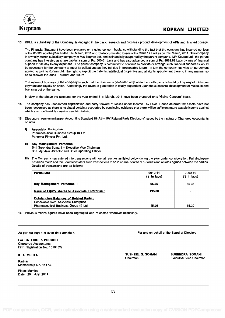

13. KRLL, a subsidiary of the Company, is engaged in the basic research and process / product development of APIs and finished dosage.

The Financial Statement have been prepared on a going concern basis, notwithstanding the fact that the company has incurred net loss of Rs. 85.92 Lacs the year ended 31st March, 2011 and total accumulated losses of Rs. 2976.12 Lacs as on 31st March, 2011. The company is a wholly owned subsidiary company of M/s. Kopran Ltd. and is financially supported by the parent company. M/s Kopran Ltd., the parent company has invested as share capital a sum of Rs. 500.61 Lacs and has also advanced a sum of Rs. 4882.62 Lacs by way of financial support for its day to day expenses. The parent company is committed to continue to provide or arrange such financial support as would be necessary for the company to meet its obligations as they fall due in foreseeable future. In turn the company has vide an agreement agreed to give to Kopran Ltd., the right to exploit the patents, intellectual properties and all rights appurtenant there to in any manner so as to recover the dues  $-$  current and future.

The nature of business of the company is such that the revenue is generated only when the molecule is licensed out by way of milestone payment and royalty on sales. Accordingly the revenue generation is totally dependent upon the successful development of molecule and licensing out of the same.

In view of the above the accounts for the year ended 31st March, 2011 have been prepared on a "Going Concern" basis.

- 14. The company has unabsorbed depreciation and carry forward of losses under Income Tax Laws. Hence deferred tax assets have not been recognised as there is no virtual certainty supported by convincing evidence that there will be sufficient future taxable income against which such deferred tax assets can be realised.
- 15. Disclosure requirement as per Accounting Standard 18 (AS -18) "Related Party Disclosure" issued by the Institute of Chartered Accountants of India.

#### I) Associate Enterprise

Pharmaceutical Business Group (I) Ltd. Panorma Finvest Pvt. Ltd.

- II) Key Management Personnel Shri Surendra Somani - Executive Vice Chairman Shri Ajit Jain -Director and Chief Operating Officer
- III) The Company has entered into transactions with certain parties as listed below during the year under consideration. Full disclosure has been made and the Board considers such transactions to be in normal course of business and at rates agreed between the parties. Details of transactions are as follows:

| <b>Particulars</b>                                                                                                       | 2010-11<br>$(5$ in lacs) | 2009-10<br>$(\bar{z}$ in lacs) |
|--------------------------------------------------------------------------------------------------------------------------|--------------------------|--------------------------------|
| <b>Kev Management Personnel:</b>                                                                                         | 65.35                    | 65.35                          |
| <b>Issue of Equity shares to Associate Enterprise:</b>                                                                   | 195.00                   |                                |
| Outstanding Balances of Related Party:<br>Receivable from Associate Enterprise<br>Pharmaceutical Business Group (I) Ltd. | 15.20                    | 15.20                          |

16. Previous Year's figures have been regrouped and re-casted wherever necessary.

|  |  |  |  |  |  |  | As per our report of even date attached. |
|--|--|--|--|--|--|--|------------------------------------------|
|--|--|--|--|--|--|--|------------------------------------------|

For BATLIBOI & PUROHIT Chartered Accountants Firm Registration No. 101048W

K. A. MEHTA

Partner Membership No. 111749

Place: Mumbai Date : 29th July, 2011 For and on behalf of the Board of Directors

SUSHEEL G. SOMANI SURENDRA SOMANI<br>Chairman Executive Vice-Chairm

Executive Vice-Chairman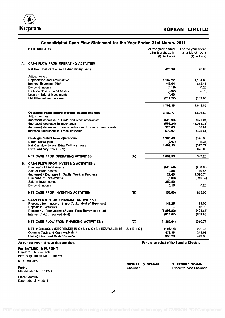

### Kopran Korean Kopran Korean Korean Korean Korean Korean Korean Korean Korean Korean Korean Korean Korean Korean

| <b>PARTICULARS</b>                                                 |     | For the year ended<br>31st March, 2011<br>$($ ₹ in Lacs) | For the year ended<br>31st March, 2011<br>$($ ₹ in Lacs) |
|--------------------------------------------------------------------|-----|----------------------------------------------------------|----------------------------------------------------------|
| <b>CASH FLOW FROM OPERATING ACTIVITIES</b>                         |     |                                                          |                                                          |
| Net Profit Before Tax and Extraordinary items                      |     | 426.39                                                   | 76.80                                                    |
| Adjustments:                                                       |     |                                                          |                                                          |
| Depreciation and Amortisation                                      |     | 1,162.22                                                 | 1.154.60                                                 |
| Interest Expenses (Net)                                            |     | 748.64                                                   | 618.11                                                   |
| Dividend Income                                                    |     | (0.19)                                                   | (0.20)                                                   |
| Profit on Sale of Fixed Assets                                     |     | (0.02)                                                   | (5.78)                                                   |
| Loss on Sale of Investments                                        |     | 4.00                                                     |                                                          |
| Liabilities written back (net)                                     |     | (211.27)                                                 | (149.90)                                                 |
|                                                                    |     | 1,703.38                                                 | 1,616.82                                                 |
|                                                                    |     |                                                          |                                                          |
| Operating Profit before working capital changes<br>Adjustment for: |     | 2,129.77                                                 | 1,693.62                                                 |
| (Increase) decrease in Trade and other receivables                 |     | (529.93)                                                 | (671.04)                                                 |
| (Increase) decrease in Inventories                                 |     | (595.24)                                                 | (1,058.33)                                               |
| (Increase) decrease in Loans, Advances & other current assets      |     | 323.83                                                   | 88.97                                                    |
| Increase (decrease) in Trade payables                              |     | 577.97                                                   | (378.61)                                                 |
| Cash generated from operations                                     |     | 1,906.40                                                 | (325.39)                                                 |
| Direct Taxes paid                                                  |     | (9.07)                                                   | (2.38)                                                   |
| Net Cashflow before Extra Ordinary Items                           |     | 1,897.33                                                 | (327.77)                                                 |
| <b>Extra Ordinary Items (Net)</b>                                  |     |                                                          | 675.00                                                   |
| <b>NET CASH FROM OPERATING ACTIVITIES :</b>                        | (A) | 1,897.33                                                 | 347.23                                                   |
| <b>CASH FLOW FROM INVESTING ACTIVITIES:</b>                        |     |                                                          |                                                          |
| Purchase of Fixed Assets                                           |     | (523.56)                                                 | (250.66)                                                 |
| Sale of Fixed Assets                                               |     | 0.58                                                     | 10.56                                                    |
| (Increase) / Decrease in Capital Work in Progress                  |     | 21,46                                                    | 1,396.74                                                 |
| Purchase of Investments                                            |     | (5.00)                                                   | (330.84)                                                 |
| Sale of Investments                                                |     | 352.50                                                   |                                                          |
| Dividend Income                                                    |     | 0.19                                                     | 0.20                                                     |
| <b>NET CASH FROM INVESTING ACTIVITIES</b>                          | (B) | (153.83)                                                 | 826.00                                                   |
| <b>CASH FLOW FROM FINANCING ACTIVITIES:</b>                        |     |                                                          |                                                          |
| Proceeds from Issue of Share Capital (Net of Expenses)             |     | 146.25                                                   | 185.00                                                   |
| Deposit for Warrants                                               |     |                                                          | 48.75                                                    |
| Proceeds / (Repayment) of Long Term Borrowings (Net)               |     | (1, 201.22)                                              | (494.66)                                                 |
| Interest (paid) / received (Net)                                   |     | (814.67)                                                 | (649.86)                                                 |
| <b>NET CASH FLOW FROM FINANCING ACTIVITIES:</b>                    | (C) | (1,869.64)                                               | (910.77)                                                 |
| NET INCREASE / (DECREASE) IN CASH & CASH EQUIVALENTS $(A + B + C)$ |     | (126.14)                                                 | 262.46                                                   |
| Opening Cash and Cash equivalent                                   |     | 479.38                                                   | 216.93                                                   |
| Closing Cash and Cash equivalent                                   |     | 353.23                                                   | 479.38                                                   |
| As per our report of even date attached.                           |     | For and on behalf of the Board of Directors              |                                                          |

Firm Registration No. 101048W

K. A. MEHTA

Partner Membership No. 111749

Place: Mumbai Date : 29th July, 2011

SUSHEEL G. SOMANI SURENDRA SOMANI<br>Chairman Executive Vice-Chairm Executive Vice-Chairman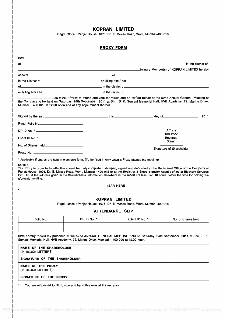### KOPRAN LIMITED

Regd. Office : Parijat House, 1076, Dr. E. Moses Road, Worli, Mumbai-400 018.

### PROXY FORM

|                                                                                                                                                                                                                                |                        | in the district of the state of the state of the state of the state of the state of the state of the state of  |                          |  |
|--------------------------------------------------------------------------------------------------------------------------------------------------------------------------------------------------------------------------------|------------------------|----------------------------------------------------------------------------------------------------------------|--------------------------|--|
|                                                                                                                                                                                                                                |                        | being a Member(s) of KOPRAN LIMITED hereby and the control of the control of the control of the control of the |                          |  |
|                                                                                                                                                                                                                                |                        |                                                                                                                |                          |  |
|                                                                                                                                                                                                                                |                        |                                                                                                                |                          |  |
|                                                                                                                                                                                                                                |                        |                                                                                                                |                          |  |
|                                                                                                                                                                                                                                |                        |                                                                                                                |                          |  |
| the Company to be held on Saturday, 24th September, 2011 at Shri S. K. Somani Memorial Hall, HVB Academy, 79, Marine Drive,<br>Mumbai - 400 020 at 12.00 noon and at any adjournment thereof.                                  |                        | as my/our Proxy to attend and vote for me/us and on my/our behalf at the 52nd Annual General Meeting of        |                          |  |
| and by the said entertainment of the said entertainment of the said entertainment of the said entertainment of the said entertainment of the said entertainment of the said entertainment of the said entertainment of the sai |                        |                                                                                                                |                          |  |
| Regd. Folio No._____________________________                                                                                                                                                                                   |                        |                                                                                                                |                          |  |
|                                                                                                                                                                                                                                |                        |                                                                                                                | Affix a                  |  |
|                                                                                                                                                                                                                                |                        |                                                                                                                | 100 Paise                |  |
|                                                                                                                                                                                                                                |                        |                                                                                                                | Revenue<br>Stamp         |  |
|                                                                                                                                                                                                                                |                        |                                                                                                                | Signature of Shareholder |  |
|                                                                                                                                                                                                                                |                        |                                                                                                                |                          |  |
| aforesaid meeting.                                                                                                                                                                                                             |                        |                                                                                                                |                          |  |
|                                                                                                                                                                                                                                | <b>KOPRAN LIMITED</b>  |                                                                                                                |                          |  |
|                                                                                                                                                                                                                                |                        | Regd. Office: Parijat House, 1076, Dr. E. Moses Road, Worli, Mumbai 400 018.                                   |                          |  |
|                                                                                                                                                                                                                                | <b>ATTENDANCE SLIP</b> |                                                                                                                |                          |  |
| Folio No.                                                                                                                                                                                                                      | DP ID No. *            | Client ID No. *                                                                                                | No. of Shares held       |  |
|                                                                                                                                                                                                                                |                        |                                                                                                                |                          |  |
|                                                                                                                                                                                                                                |                        |                                                                                                                |                          |  |
| I/We hereby record my presence at the 52nd ANNUAL GENERAL MEETING held on Saturday, 24th September, 2011 at Shri S. K.                                                                                                         |                        |                                                                                                                |                          |  |
| Somani Memorial Hall, HVB Academy, 79, Marine Drive, Mumbai - 400 020 at 12.00 noon.                                                                                                                                           |                        |                                                                                                                |                          |  |
| <b>NAME OF THE SHAREHOLDER</b><br>(IN BLOCK LETTERS)                                                                                                                                                                           |                        |                                                                                                                |                          |  |
| SIGNATURE OF THE SHAREHOLDER                                                                                                                                                                                                   |                        |                                                                                                                |                          |  |
| NAME OF THE PROXY<br>(IN BLOCK LETTERS)                                                                                                                                                                                        |                        |                                                                                                                |                          |  |
|                                                                                                                                                                                                                                |                        |                                                                                                                |                          |  |
| SIGNATURE OF THE PROXY                                                                                                                                                                                                         |                        |                                                                                                                |                          |  |

1. You are requested to fill in, sign and hand this over at the entrance.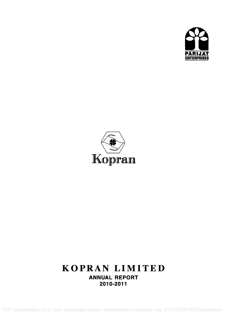



# KOPRAN LIMITED ANNUAL REPORT 2010-2011